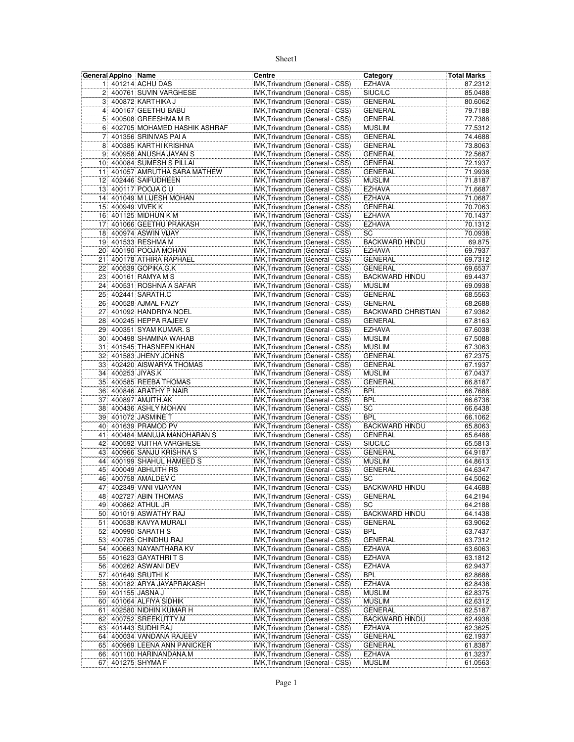|                 | General Appino Name |                              | Centre                          | Category                  | Total Marks |
|-----------------|---------------------|------------------------------|---------------------------------|---------------------------|-------------|
| 11              |                     | 401214 ACHU DAS              | IMK, Trivandrum (General - CSS) | <b>EZHAVA</b>             | 87.2312     |
|                 |                     | 2 400761 SUVIN VARGHESE      | IMK, Trivandrum (General - CSS) | SIUC/LC                   | 85.0488     |
|                 |                     | 3 400872 KARTHIKA J          | IMK, Trivandrum (General - CSS) | <b>GENERAL</b>            | 80.6062     |
| 4 <sup>1</sup>  |                     | 400167 GEETHU BABU           | IMK, Trivandrum (General - CSS) | <b>GENERAL</b>            | 79.7188     |
| 5               |                     | 400508 GREESHMA M R          | IMK, Trivandrum (General - CSS) | <b>GENERAL</b>            | 77.7388     |
| 6               |                     | 402705 MOHAMED HASHIK ASHRAF | IMK, Trivandrum (General - CSS) | <b>MUSLIM</b>             | 77.5312     |
| $\overline{7}$  |                     | 401356 SRINIVAS PAI A        | IMK, Trivandrum (General - CSS) | <b>GENERAL</b>            | 74.4688     |
| 8 <sup>1</sup>  |                     | 400385 KARTHI KRISHNA        | IMK, Trivandrum (General - CSS) | <b>GENERAL</b>            | 73.8063     |
| 9 <sup>1</sup>  |                     | 400958 ANUSHA JAYAN S        | IMK, Trivandrum (General - CSS) | <b>GENERAL</b>            | 72.5687     |
|                 |                     | 10 400084 SUMESH S PILLAI    | IMK, Trivandrum (General - CSS) | <b>GENERAL</b>            | 72.1937     |
| 11              |                     | 401057 AMRUTHA SARA MATHEW   | IMK, Trivandrum (General - CSS) | <b>GENERAL</b>            | 71.9938     |
| 12              |                     | 402446 SAIFUDHEEN            | IMK, Trivandrum (General - CSS) | <b>MUSLIM</b>             | 71.8187     |
| 13              |                     | 400117 POOJA C U             | IMK, Trivandrum (General - CSS) | <b>EZHAVA</b>             | 71.6687     |
| 14              |                     | 401049 M LIJESH MOHAN        | IMK, Trivandrum (General - CSS) | <b>EZHAVA</b>             | 71.0687     |
| 15              |                     | 400949 VIVEK K               | IMK, Trivandrum (General - CSS) | <b>GENERAL</b>            | 70.7063     |
|                 |                     | 16 401125 MIDHUN K M         | IMK, Trivandrum (General - CSS) | <b>EZHAVA</b>             | 70.1437     |
| 17              |                     | 401066 GEETHU PRAKASH        | IMK, Trivandrum (General - CSS) | <b>EZHAVA</b>             | 70.1312     |
|                 |                     | 18 400974 ASWIN VIJAY        | IMK, Trivandrum (General - CSS) | SC                        | 70.0938     |
| 19              |                     | 401533 RESHMA M              | IMK, Trivandrum (General - CSS) | <b>BACKWARD HINDU</b>     | 69.875      |
| 20 <sup>1</sup> |                     | 400190 POOJA MOHAN           | IMK, Trivandrum (General - CSS) | <b>EZHAVA</b>             | 69.7937     |
| 21              |                     | 400178 ATHIRA RAPHAEL        | IMK, Trivandrum (General - CSS) | <b>GENERAL</b>            | 69.7312     |
| 22              |                     | 400539 GOPIKA.G.K            | IMK, Trivandrum (General - CSS) | <b>GENERAL</b>            | 69.6537     |
| 23              |                     | 400161 RAMYA M S             | IMK, Trivandrum (General - CSS) | <b>BACKWARD HINDU</b>     | 69.4437     |
| 24              |                     | 400531 ROSHNA A SAFAR        | IMK, Trivandrum (General - CSS) | <b>MUSLIM</b>             | 69.0938     |
| 25              |                     | 402441 SARATH.C              | IMK, Trivandrum (General - CSS) | <b>GENERAL</b>            | 68.5563     |
| 26              |                     | 400528 AJMAL FAIZY           | IMK, Trivandrum (General - CSS) | <b>GENERAL</b>            | 68.2688     |
| 27              |                     | 401092 HANDRIYA NOEL         | IMK, Trivandrum (General - CSS) | <b>BACKWARD CHRISTIAN</b> | 67.9362     |
| 28              |                     | 400245 HEPPA RAJEEV          | IMK, Trivandrum (General - CSS) | GENERAL                   | 67.8163     |
| 29              |                     | 400351 SYAM KUMAR. S         | IMK, Trivandrum (General - CSS) | <b>EZHAVA</b>             | 67.6038     |
| 30 <sup>1</sup> |                     | 400498 SHAMINA WAHAB         | IMK, Trivandrum (General - CSS) | <b>MUSLIM</b>             | 67.5088     |
| 31              |                     | 401545 THASNEEN KHAN         | IMK, Trivandrum (General - CSS) | <b>MUSLIM</b>             | 67.3063     |
| 32              |                     | 401583 JHENY JOHNS           | IMK, Trivandrum (General - CSS) | <b>GENERAL</b>            | 67.2375     |
| 33              |                     | 402420 AISWARYA THOMAS       | IMK, Trivandrum (General - CSS) | <b>GENERAL</b>            | 67.1937     |
| 34              |                     | 400253 JIYAS.K               | IMK, Trivandrum (General - CSS) | <b>MUSLIM</b>             | 67.0437     |
| 35 <sup>2</sup> |                     | 400585 REEBA THOMAS          | IMK, Trivandrum (General - CSS) | <b>GENERAL</b>            | 66.8187     |
|                 |                     | 36 400846 ARATHY P NAIR      | IMK, Trivandrum (General - CSS) | <b>BPL</b>                | 66.7688     |
| 37              |                     | 400897 AMJITH.AK             | IMK, Trivandrum (General - CSS) | <b>BPL</b>                | 66.6738     |
| 38              |                     | 400436 ASHLY MOHAN           | IMK, Trivandrum (General - CSS) | SC                        | 66.6438     |
| 39 <sup>1</sup> |                     | 401072 JASMINE T             | IMK, Trivandrum (General - CSS) | <b>BPL</b>                | 66.1062     |
| 40              |                     | 401639 PRAMOD PV             | IMK, Trivandrum (General - CSS) | <b>BACKWARD HINDU</b>     | 65.8063     |
| 41!             |                     | 400484 MANUJA MANOHARAN S    | IMK, Trivandrum (General - CSS) | <b>GENERAL</b>            | 65.6488     |
| 42              |                     | 400592 VIJITHA VARGHESE      | IMK, Trivandrum (General - CSS) | SIUC/LC                   | 65.5813     |
| 43              |                     | 400966 SANJU KRISHNA S       | IMK, Trivandrum (General - CSS) | <b>GENERAL</b>            | 64.9187     |
| 44              |                     | 400199 SHAHUL HAMEED S       | IMK, Trivandrum (General - CSS) | <b>MUSLIM</b>             | 64.8613     |
| 45              |                     | 400049 ABHIJITH RS           | IMK, Trivandrum (General - CSS) | <b>GENERAL</b>            | 64.6347     |
| 46              |                     | 400758 AMALDEV C             | IMK, Trivandrum (General - CSS) | SC                        | 64.5062     |
| 47              |                     | 402349 VANI VIJAYAN          | IMK, Trivandrum (General - CSS) | <b>BACKWARD HINDU</b>     | 64.4688     |
|                 |                     | 48 402727 ABIN THOMAS        | IMK, Trivandrum (General - CSS) | GENERAL                   | 64.2194     |
|                 |                     | 49 400862 ATHUL JR           | IMK, Trivandrum (General - CSS) | SC                        | 64.2188     |
|                 |                     | 50 401019 ASWATHY RAJ        | IMK, Trivandrum (General - CSS) | <b>BACKWARD HINDU</b>     | 64.1438     |
| 51              |                     | 400538 KAVYA MURALI          | IMK, Trivandrum (General - CSS) | <b>GENERAL</b>            | 63.9062     |
|                 |                     | 52 400990 SARATH S           | IMK, Trivandrum (General - CSS) | <b>BPL</b>                | 63.7437     |
|                 |                     | 53 400785 CHINDHU RAJ        | IMK, Trivandrum (General - CSS) | <b>GENERAL</b>            | 63.7312     |
|                 |                     | 54 400663 NAYANTHARA KV      | IMK, Trivandrum (General - CSS) | EZHAVA                    | 63.6063     |
|                 |                     | 55 401623 GAYATHRITS         | IMK, Trivandrum (General - CSS) | <b>EZHAVA</b>             | 63.1812     |
|                 |                     | 56 400262 ASWANI DEV         | IMK, Trivandrum (General - CSS) | <b>EZHAVA</b>             | 62.9437     |
|                 |                     | 57 401649 SRUTHIK            | IMK, Trivandrum (General - CSS) | <b>BPL</b>                | 62.8688     |
| 58              |                     | 400182 ARYA JAYAPRAKASH      | IMK, Trivandrum (General - CSS) | <b>EZHAVA</b>             | 62.8438     |
|                 |                     | 59 401155 JASNA J            | IMK, Trivandrum (General - CSS) | <b>MUSLIM</b>             | 62.8375     |
|                 |                     | 60 401064 ALFIYA SIDHIK      | IMK, Trivandrum (General - CSS) | <b>MUSLIM</b>             | 62.6312     |
|                 |                     | 61 402580 NIDHIN KUMAR H     | IMK, Trivandrum (General - CSS) | <b>GENERAL</b>            | 62.5187     |
|                 |                     | 62 400752 SREEKUTTY.M        | IMK, Trivandrum (General - CSS) | <b>BACKWARD HINDU</b>     | 62.4938     |
|                 |                     | 63 401443 SUDHI RAJ          | IMK, Trivandrum (General - CSS) | <b>EZHAVA</b>             | 62.3625     |
|                 |                     | 64 400034 VANDANA RAJEEV     | IMK, Trivandrum (General - CSS) | <b>GENERAL</b>            | 62.1937     |
| 65              |                     | 400969 LEENA ANN PANICKER    | IMK, Trivandrum (General - CSS) | <b>GENERAL</b>            | 61.8387     |
|                 |                     | 66 401100 HARINANDANA.M      | IMK, Trivandrum (General - CSS) | <b>EZHAVA</b>             | 61.3237     |
| 67              |                     | 401275 SHYMA F               | IMK, Trivandrum (General - CSS) | <b>MUSLIM</b>             | 61.0563     |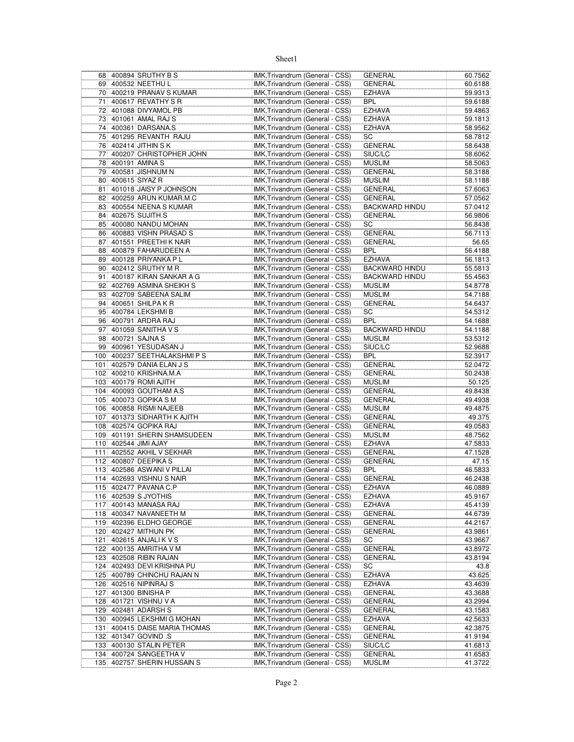|     | 68 400894 SRUTHY B S         | IMK, Trivandrum (General - CSS) | <b>GENERAL</b>        | 60.7562 |
|-----|------------------------------|---------------------------------|-----------------------|---------|
|     | 69 400532 NEETHU L           | IMK, Trivandrum (General - CSS) | <b>GENERAL</b>        | 60.6188 |
|     | 70 400219 PRANAV S KUMAR     | IMK, Trivandrum (General - CSS) | <b>EZHAVA</b>         | 59.9313 |
| 71  | 400617 REVATHY S R           | IMK, Trivandrum (General - CSS) | BPL                   | 59.6188 |
| 72  | 401088 DIVYAMOL PB           | IMK, Trivandrum (General - CSS) | <b>EZHAVA</b>         | 59.4863 |
| 73  | 401061 AMAL RAJ S            | IMK, Trivandrum (General - CSS) | <b>EZHAVA</b>         | 59.1813 |
| 74  | 400361 DARSANA.S             |                                 | <b>EZHAVA</b>         |         |
|     |                              | IMK, Trivandrum (General - CSS) |                       | 58.9562 |
|     | 75 401295 REVANTH RAJU       | IMK, Trivandrum (General - CSS) | SC                    | 58.7812 |
| 76  | 402414 JITHIN S K            | IMK, Trivandrum (General - CSS) | <b>GENERAL</b>        | 58.6438 |
| 77  | 400207 CHRISTOPHER JOHN      | IMK, Trivandrum (General - CSS) | SIUC/LC               | 58.6062 |
| 78  | 400191 AMINA S               | IMK, Trivandrum (General - CSS) | <b>MUSLIM</b>         | 58.5063 |
| 79  | 400581 JISHNUM N             | IMK, Trivandrum (General - CSS) | GENERAL               | 58.3188 |
| 80  | 400615 SIYAZ R               | IMK, Trivandrum (General - CSS) | <b>MUSLIM</b>         | 58.1188 |
| 81  | 401018 JAISY P JOHNSON       | IMK, Trivandrum (General - CSS) | GENERAL               | 57.6063 |
| 82  | 400259 ARUN KUMAR.M.C        | IMK, Trivandrum (General - CSS) | <b>GENERAL</b>        | 57.0562 |
|     |                              |                                 |                       |         |
| 83  | 400554 NEENA S KUMAR         | IMK, Trivandrum (General - CSS) | <b>BACKWARD HINDU</b> | 57.0412 |
| 84  | 402675 SUJITH.S              | IMK, Trivandrum (General - CSS) | <b>GENERAL</b>        | 56.9806 |
| 85  | 400080 NANDU MOHAN           | IMK, Trivandrum (General - CSS) | SC                    | 56.8438 |
|     | 86 400883 VISHN PRASAD S     | IMK, Trivandrum (General - CSS) | <b>GENERAL</b>        | 56.7113 |
| 87  | 401551 PREETHI K NAIR        | IMK, Trivandrum (General - CSS) | <b>GENERAL</b>        | 56.65   |
|     | 88 400879 FAHARUDEEN A       | IMK, Trivandrum (General - CSS) | BPL                   | 56.4188 |
| 89  | 400128 PRIYANKA PL           | IMK, Trivandrum (General - CSS) | <b>EZHAVA</b>         | 56.1813 |
|     | 90 402412 SRUTHY M R         | IMK, Trivandrum (General - CSS) | <b>BACKWARD HINDU</b> | 55.5813 |
|     | 400187 KIRAN SANKAR A G      | IMK, Trivandrum (General - CSS) |                       |         |
| 91  |                              |                                 | <b>BACKWARD HINDU</b> | 55.4563 |
| 92  | 402769 ASMINA SHEIKH S       | IMK, Trivandrum (General - CSS) | <b>MUSLIM</b>         | 54.8778 |
| 93  | 402709 SABEENA SALIM         | IMK, Trivandrum (General - CSS) | <b>MUSLIM</b>         | 54.7188 |
| 94  | 400651 SHILPA K R            | IMK, Trivandrum (General - CSS) | <b>GENERAL</b>        | 54.6437 |
| 95  | 400784 LEKSHMI B             | IMK, Trivandrum (General - CSS) | SC                    | 54.5312 |
| 96  | 400791 ARDRA RAJ             | IMK, Trivandrum (General - CSS) | <b>BPL</b>            | 54.1688 |
| 97  | 401059 SANITHA V S           | IMK, Trivandrum (General - CSS) | <b>BACKWARD HINDU</b> | 54.1188 |
| 98  | 400721 SAJNA S               | IMK, Trivandrum (General - CSS) | <b>MUSLIM</b>         | 53.5312 |
|     | 99 400961 YESUDASAN J        | IMK, Trivandrum (General - CSS) | SIUC/LC               | 52.9688 |
|     | 100 400237 SEETHALAKSHMIPS   |                                 | <b>BPL</b>            | 52.3917 |
|     |                              | IMK, Trivandrum (General - CSS) |                       |         |
| 101 | 402579 DANIA ELAN J S        | IMK, Trivandrum (General - CSS) | <b>GENERAL</b>        | 52.0472 |
|     | 102 400210 KRISHNA.M.A       | IMK, Trivandrum (General - CSS) | GENERAL               | 50.2438 |
|     | 103 400179 ROMI AJITH        | IMK, Trivandrum (General - CSS) | <b>MUSLIM</b>         | 50.125  |
|     | 104 400093 GOUTHAM A.S       | IMK, Trivandrum (General - CSS) | <b>GENERAL</b>        | 49.8438 |
|     | 105 400073 GOPIKA S M        | IMK, Trivandrum (General - CSS) | <b>GENERAL</b>        | 49.4938 |
| 106 | 400858 RISMI NAJEEB          | IMK, Trivandrum (General - CSS) | <b>MUSLIM</b>         | 49.4875 |
| 107 | 401373 SIDHARTH K AJITH      | IMK, Trivandrum (General - CSS) | <b>GENERAL</b>        | 49.375  |
| 108 | 402574 GOPIKA RAJ            | IMK, Trivandrum (General - CSS) | <b>GENERAL</b>        | 49.0583 |
|     |                              |                                 |                       |         |
|     | 109 401191 SHERIN SHAMSUDEEN | IMK, Trivandrum (General - CSS) | <b>MUSLIM</b>         | 48.7562 |
| 110 | 402544 JIMI AJAY             | IMK, Trivandrum (General - CSS) | EZHAVA                | 47.5833 |
|     | 111 402552 AKHIL V SEKHAR    | IMK, Trivandrum (General - CSS) | <b>GENERAL</b>        | 47.1528 |
| 112 | 400807 DEEPIKA S             | IMK, Trivandrum (General - CSS) | <b>GENERAL</b>        | 47.15   |
|     | 113 402586 ASWANI V PILLAI   | IMK, Trivandrum (General - CSS) | BPL                   | 46.5833 |
|     | 114 402693 VISHNU S NAIR     | IMK, Trivandrum (General - CSS) | <b>GENERAL</b>        | 46.2438 |
|     | 115 402477 PAVANA C.P        | IMK, Trivandrum (General - CSS) | <b>EZHAVA</b>         | 46.0889 |
|     | 116 402539 S JYOTHIS         | IMK, Trivandrum (General - CSS) | <b>EZHAVA</b>         | 45.9167 |
| 117 | 400143 MANASA RAJ            | IMK, Trivandrum (General - CSS) | EZHAVA                | 45.4139 |
|     | 118 400347 NAVANEETH M       | IMK, Trivandrum (General - CSS) | <b>GENERAL</b>        | 44.6739 |
|     |                              |                                 |                       |         |
|     | 119 402396 ELDHO GEORGE      | IMK, Trivandrum (General - CSS) | GENERAL               | 44.2167 |
|     | 120 402427 MITHUN PK         | IMK, Trivandrum (General - CSS) | GENERAL               | 43.9861 |
| 121 | 402615 ANJALI K V S          | IMK, Trivandrum (General - CSS) | SC                    | 43.9667 |
|     | 122 400135 AMRITHA V M       | IMK, Trivandrum (General - CSS) | GENERAL               | 43.8972 |
| 123 | 402508 RIBIN RAJAN           | IMK, Trivandrum (General - CSS) | <b>GENERAL</b>        | 43.8194 |
|     | 124 402493 DEVI KRISHNA PU   | IMK, Trivandrum (General - CSS) | SC                    | 43.8    |
| 125 | 400789 CHINCHU RAJAN N       | IMK, Trivandrum (General - CSS) | <b>EZHAVA</b>         | 43.625  |
|     | 126 402516 NIPINRAJ S        | IMK, Trivandrum (General - CSS) | <b>EZHAVA</b>         | 43.4639 |
| 127 | 401300 BINISHA P             | IMK, Trivandrum (General - CSS) | GENERAL               | 43.3688 |
|     |                              |                                 |                       |         |
|     | 128 401721 VISHNU V A        | IMK, Trivandrum (General - CSS) | <b>GENERAL</b>        | 43.2994 |
|     | 129 402481 ADARSH S          | IMK, Trivandrum (General - CSS) | <b>GENERAL</b>        | 43.1583 |
|     | 130 400945 LEKSHMI G MOHAN   | IMK, Trivandrum (General - CSS) | <b>EZHAVA</b>         | 42.5633 |
| 131 | 400415 DAISE MARIA THOMAS    | IMK, Trivandrum (General - CSS) | GENERAL               | 42.3875 |
|     | 132 401347 GOVIND S          | IMK, Trivandrum (General - CSS) | GENERAL               | 41.9194 |
| 133 | 400130 STALIN PETER          | IMK, Trivandrum (General - CSS) | SIUC/LC               | 41.6813 |
|     | 134 400724 SANGEETHA V       | IMK, Trivandrum (General - CSS) | <b>GENERAL</b>        | 41.6583 |
|     | 135 402757 SHERIN HUSSAIN S  | IMK, Trivandrum (General - CSS) | <b>MUSLIM</b>         | 41.3722 |
|     |                              |                                 |                       |         |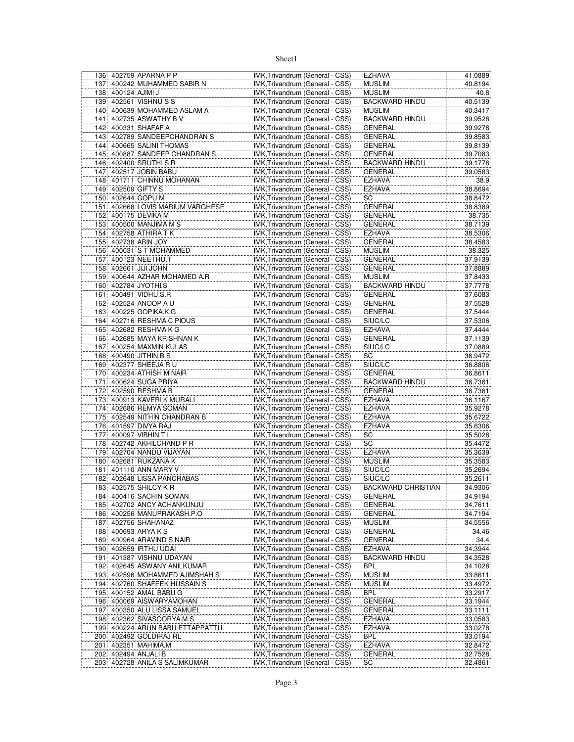|     |                    | 136 402759 APARNA P P            | IMK, Trivandrum (General - CSS) | <b>EZHAVA</b>             | 41.0889 |
|-----|--------------------|----------------------------------|---------------------------------|---------------------------|---------|
|     |                    | 137 400242 MUHAMMED SABIR N      | IMK, Trivandrum (General - CSS) | <b>MUSLIM</b>             | 40.8194 |
|     | 138 400124 AJIMI J |                                  | IMK, Trivandrum (General - CSS) | <b>MUSLIM</b>             | 40.8    |
|     |                    | 139 402561 VISHNU S S            | IMK, Trivandrum (General - CSS) | <b>BACKWARD HINDU</b>     | 40.5139 |
|     |                    | 140 400639 MOHAMMED ASLAM A      | IMK, Trivandrum (General - CSS) | <b>MUSLIM</b>             | 40.3417 |
|     |                    | 141 402735 ASWATHY B V           | IMK, Trivandrum (General - CSS) | <b>BACKWARD HINDU</b>     | 39.9528 |
|     |                    | 142 400331 SHAFAF A              | IMK, Trivandrum (General - CSS) | GENERAL                   | 39.9278 |
|     |                    |                                  |                                 |                           |         |
|     |                    | 143 402789 SANDEEPCHANDRAN S     | IMK, Trivandrum (General - CSS) | GENERAL                   | 39.8583 |
|     |                    | 144 400665 SALINI THOMAS         | IMK, Trivandrum (General - CSS) | GENERAL                   | 39.8139 |
|     |                    | 145 400887 SANDEEP CHANDRAN S    | IMK, Trivandrum (General - CSS) | GENERAL                   | 39.7083 |
|     |                    | 146 402400 SRUTHI SR             | IMK, Trivandrum (General - CSS) | <b>BACKWARD HINDU</b>     | 39.1778 |
|     |                    | 147 402517 JOBIN BABU            | IMK, Trivandrum (General - CSS) | <b>GENERAL</b>            | 39.0583 |
|     |                    | 148 401711 CHINNU MOHANAN        | IMK, Trivandrum (General - CSS) | <b>EZHAVA</b>             | 38.9    |
|     |                    | 149 402509 GIFTY S               | IMK, Trivandrum (General - CSS) | <b>EZHAVA</b>             | 38.8694 |
|     |                    | 150 402644 GOPU M                | IMK, Trivandrum (General - CSS) | SC                        | 38.8472 |
|     |                    | 151 402668 LOVIS MARIUM VARGHESE | IMK, Trivandrum (General - CSS) | GENERAL                   | 38.8389 |
|     |                    | 152 400175 DEVIKA M              |                                 |                           |         |
|     |                    |                                  | IMK, Trivandrum (General - CSS) | GENERAL                   | 38.735  |
|     |                    | 153 400500 MANJIMA M S           | IMK, Trivandrum (General - CSS) | GENERAL                   | 38.7139 |
|     |                    | 154 402758 ATHIRA T K            | IMK, Trivandrum (General - CSS) | <b>EZHAVA</b>             | 38.5306 |
|     |                    | 155 402738 ABIN JOY              | IMK, Trivandrum (General - CSS) | GENERAL                   | 38.4583 |
|     |                    | 156 400031 S T MOHAMMED          | IMK, Trivandrum (General - CSS) | <b>MUSLIM</b>             | 38.325  |
|     |                    | 157 400123 NEETHU.T              | IMK, Trivandrum (General - CSS) | <b>GENERAL</b>            | 37.9139 |
|     |                    | 158 402661 JJJJJ JOHN            | IMK, Trivandrum (General - CSS) | GENERAL                   | 37.8889 |
|     |                    | 159 400644 AZHAR MOHAMED A.R     | IMK, Trivandrum (General - CSS) | <b>MUSLIM</b>             | 37.8433 |
|     |                    | 160 402784 JYOTHI.S              | IMK, Trivandrum (General - CSS) | <b>BACKWARD HINDU</b>     | 37.7778 |
|     |                    | 161 400491 VIDHU.S.R             | IMK, Trivandrum (General - CSS) | GENERAL                   | 37.6083 |
|     |                    |                                  |                                 |                           |         |
|     |                    | 162 402524 ANOOP A U             | IMK, Trivandrum (General - CSS) | GENERAL                   | 37.5528 |
|     |                    | 163 400225 GOPIKA.K.G            | IMK, Trivandrum (General - CSS) | GENERAL                   | 37.5444 |
|     |                    | 164 402716 RESHMA C PIOUS        | IMK, Trivandrum (General - CSS) | SIUC/LC                   | 37.5306 |
|     |                    | 165 402682 RESHMA K G            | IMK, Trivandrum (General - CSS) | EZHAVA                    | 37.4444 |
|     |                    | 166 402685 MAYA KRISHNAN K       | IMK, Trivandrum (General - CSS) | GENERAL                   | 37.1139 |
|     |                    | 167 400254 MAXMIN KULAS          | IMK, Trivandrum (General - CSS) | SIUC/LC                   | 37.0889 |
|     |                    | 168 400490 JITHIN B S            | IMK, Trivandrum (General - CSS) | SC                        | 36.9472 |
|     |                    | 169 402377 SHEEJA R U            | IMK, Trivandrum (General - CSS) | SIUC/LC                   | 36.8806 |
|     |                    | 170 400234 ATHISH M NAIR         | IMK, Trivandrum (General - CSS) | GENERAL                   | 36.8611 |
|     |                    |                                  |                                 |                           |         |
| 171 |                    | 400624 SUGA PRIYA                | IMK, Trivandrum (General - CSS) | <b>BACKWARD HINDU</b>     | 36.7361 |
|     |                    | 172 402590 RESHMA B              | IMK, Trivandrum (General - CSS) | GENERAL                   | 36.7361 |
|     |                    | 173 400913 KAVERIK MURALI        | IMK, Trivandrum (General - CSS) | <b>EZHAVA</b>             | 36.1167 |
|     |                    | 174 402686 REMYA SOMAN           | IMK, Trivandrum (General - CSS) | EZHAVA                    | 35.9278 |
|     |                    | 175 402549 NITHIN CHANDRAN B     | IMK, Trivandrum (General - CSS) | <b>EZHAVA</b>             | 35.6722 |
|     |                    | 176 401597 DIVYA RAJ             | IMK, Trivandrum (General - CSS) | <b>EZHAVA</b>             | 35.6306 |
|     |                    | 177 400097 VIBHIN T L            | IMK, Trivandrum (General - CSS) | SC                        | 35.5028 |
|     |                    | 178 402742 AKHILCHAND P R        | IMK, Trivandrum (General - CSS) | SC                        | 35.4472 |
|     |                    | 179 402704 NANDU VIJAYAN         | IMK, Trivandrum (General - CSS) | <b>EZHAVA</b>             | 35.3639 |
|     |                    |                                  |                                 |                           |         |
|     |                    | 180 402681 RUKZANA K             | IMK, Trivandrum (General - CSS) | <b>MUSLIM</b>             | 35.3583 |
|     |                    | 181 401110 ANN MARY V            | IMK, Trivandrum (General - CSS) | SIUC/LC                   | 35.2694 |
|     |                    | 182 402648 LISSA PANCRABAS       | IMK, Trivandrum (General - CSS) | SIUC/LC                   | 35.2611 |
|     |                    | 183 402575 SHILCY K R            | IMK, Trivandrum (General - CSS) | <b>BACKWARD CHRISTIAN</b> | 34.9306 |
|     |                    | 184 400416 SACHIN SOMAN          | IMK, Trivandrum (General - CSS) | GENERAL                   | 34.9194 |
|     |                    | 185 402702 ANCY ACHANKUNJU       | IMK, Trivandrum (General - CSS) | GENERAL                   | 34.7611 |
|     |                    | 186 400256 MANUPRAKASH.P.O       | IMK, Trivandrum (General - CSS) | GENERAL                   | 34.7194 |
|     |                    | 187 402756 SHAHANAZ              | IMK, Trivandrum (General - CSS) | <b>MUSLIM</b>             | 34.5556 |
|     |                    | 188 400693 ARYA K S              | IMK, Trivandrum (General - CSS) | GENERAL                   | 34.46   |
|     |                    | 189 400964 ARAVIND S NAIR        | IMK, Trivandrum (General - CSS) | GENERAL                   | 34.4    |
|     |                    | 190 402659 IRTHU UDAI            | IMK, Trivandrum (General - CSS) | EZHAVA                    | 34.3944 |
|     |                    |                                  |                                 |                           |         |
| 191 |                    | 401387 VISHNU UDAYAN             | IMK, Trivandrum (General - CSS) | <b>BACKWARD HINDU</b>     | 34.3528 |
|     |                    | 192 402645 ASWANY ANILKUMAR      | IMK, Trivandrum (General - CSS) | <b>BPL</b>                | 34.1028 |
|     |                    | 193 402596 MOHAMMED AJIMSHAH S   | IMK, Trivandrum (General - CSS) | <b>MUSLIM</b>             | 33.8611 |
| 194 |                    | 402760 SHAFEEK HUSSAIN S         | IMK, Trivandrum (General - CSS) | <b>MUSLIM</b>             | 33.4972 |
|     |                    | 195 400152 AMAL BABU G           | IMK, Trivandrum (General - CSS) | <b>BPL</b>                | 33.2917 |
|     |                    | 196 400069 AISWARYAMOHAN         | IMK, Trivandrum (General - CSS) | GENERAL                   | 33.1944 |
|     |                    | 197 400350 ALU LISSA SAMUEL      | IMK, Trivandrum (General - CSS) | GENERAL                   | 33.1111 |
|     |                    | 198 402362 SIVASOORYA.M.S        | IMK, Trivandrum (General - CSS) | EZHAVA                    | 33.0583 |
|     |                    | 199 400224 ARUN BABU ETTAPPATTU  | IMK, Trivandrum (General - CSS) | <b>EZHAVA</b>             | 33.0278 |
|     |                    | 200 402492 GOLDIRAJ RL           | IMK, Trivandrum (General - CSS) | <b>BPL</b>                | 33.0194 |
|     |                    |                                  |                                 |                           |         |
| 201 |                    | 402351 MAHIMA.M                  | IMK, Trivandrum (General - CSS) | <b>EZHAVA</b>             | 32.8472 |
|     |                    | 202 402494 ANJALI B              | IMK, Trivandrum (General - CSS) | <b>GENERAL</b>            | 32.7528 |
|     |                    | 203 402728 ANILA S SALIMKUMAR    | IMK, Trivandrum (General - CSS) | SC                        | 32.4861 |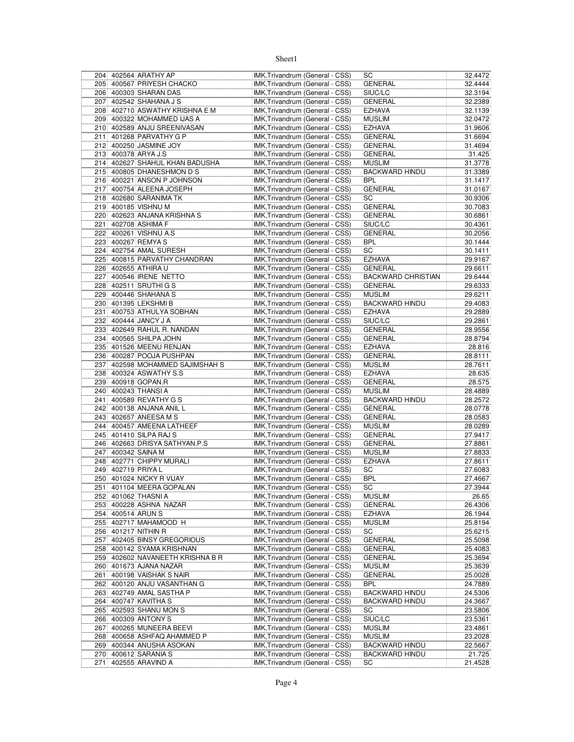|     |                    | 204 402564 ARATHY AP                     | IMK, Trivandrum (General - CSS)                                    |                                 | SC                          | 32.4472           |
|-----|--------------------|------------------------------------------|--------------------------------------------------------------------|---------------------------------|-----------------------------|-------------------|
|     |                    | 205 400567 PRIYESH CHACKO                | IMK, Trivandrum (General - CSS)                                    |                                 | <b>GENERAL</b>              | 32.4444           |
|     |                    | 206 400303 SHARAN DAS                    | IMK, Trivandrum (General - CSS)                                    |                                 | SIUC/LC                     | 32.3194           |
|     |                    | 207 402542 SHAHANA J S                   | IMK, Trivandrum (General - CSS)                                    |                                 | <b>GENERAL</b>              | 32.2389           |
|     |                    | 208 402710 ASWATHY KRISHNA E M           | IMK, Trivandrum (General - CSS)                                    |                                 | EZHAVA                      | 32.1139           |
|     |                    | 209 400322 MOHAMMED IJAS A               | IMK, Trivandrum (General - CSS)                                    |                                 | MUSLIM                      | 32.0472           |
|     |                    | 210 402589 ANJU SREENIVASAN              | IMK, Trivandrum (General - CSS)                                    |                                 | EZHAVA                      | 31.9606           |
|     |                    | 211 401268 PARVATHY G P                  | IMK, Trivandrum (General - CSS)                                    |                                 | <b>GENERAL</b>              | 31.6694           |
| 212 |                    | 400250 JASMINE JOY                       | IMK, Trivandrum (General - CSS)                                    |                                 | GENERAL                     | 31.4694           |
|     |                    | 213 400378 ARYA J.S                      | IMK, Trivandrum (General - CSS)                                    |                                 | GENERAL                     | 31.425            |
| 214 |                    | 402627 SHAHUL KHAN BADUSHA               | IMK, Trivandrum (General - CSS)                                    |                                 | MUSLIM                      | 31.3778           |
|     |                    | 215 400805 DHANESHMON D S                | IMK, Trivandrum (General - CSS)                                    |                                 | <b>BACKWARD HINDU</b>       | 31.3389           |
|     |                    | 216 400221 ANSON P JOHNSON               | IMK, Trivandrum (General - CSS)                                    |                                 | BPL                         | 31.1417           |
|     |                    | 217 400754 ALEENA JOSEPH                 | IMK, Trivandrum (General - CSS)                                    |                                 | <b>GENERAL</b>              | 31.0167           |
|     |                    | 218 402680 SARANIMA TK                   | IMK, Trivandrum (General - CSS)                                    |                                 | SC                          | 30.9306           |
|     |                    | 219 400185 VISHNU M                      | IMK, Trivandrum (General - CSS)                                    |                                 | GENERAL                     | 30.7083           |
|     |                    | 220 402623 ANJANA KRISHNA S              | IMK, Trivandrum (General - CSS)                                    |                                 | GENERAL                     | 30.6861           |
| 221 |                    | 402708 ASHIMA F                          | IMK, Trivandrum (General - CSS)                                    |                                 | SIUC/LC                     | 30.4361           |
|     |                    | 222 400261 VISHNU A.S                    | IMK, Trivandrum (General - CSS)                                    |                                 | GENERAL                     | 30.2056           |
|     |                    | 223 400267 REMYA S                       | IMK, Trivandrum (General - CSS)                                    |                                 | BPL                         | 30.1444           |
|     |                    | 224 402754 AMAL SURESH                   | IMK, Trivandrum (General - CSS)                                    |                                 | SC                          | 30.1411           |
| 225 |                    | 400815 PARVATHY CHANDRAN                 | IMK, Trivandrum (General - CSS)                                    |                                 | EZHAVA                      | 29.9167           |
|     |                    | 226 402655 ATHIRA U                      | IMK, Trivandrum (General - CSS)                                    |                                 | GENERAL                     | 29.6611           |
| 227 |                    | 400546 IRENE NETTO                       | IMK, Trivandrum (General - CSS)                                    |                                 | <b>BACKWARD CHRISTIAN</b>   | 29.6444           |
| 228 |                    | 402511 SRUTHI G S                        | IMK, Trivandrum (General - CSS)                                    |                                 | GENERAL                     | 29.6333           |
|     |                    | 229 400446 SHAHANA S                     | IMK, Trivandrum (General - CSS)                                    |                                 | MUSLIM                      | 29.6211           |
| 230 |                    | 401395 LEKSHMI B                         | IMK, Trivandrum (General - CSS)                                    |                                 | <b>BACKWARD HINDU</b>       | 29.4083           |
| 231 |                    | 400753 ATHULYA SOBHAN                    | IMK, Trivandrum (General - CSS)                                    |                                 | EZHAVA                      | 29.2889           |
|     |                    | 232 400444 JANCY J A                     | IMK, Trivandrum (General - CSS)                                    |                                 | SIUC/LC                     | 29.2861           |
|     |                    | 233 402649 RAHUL R. NANDAN               | IMK, Trivandrum (General - CSS)                                    |                                 | GENERAL                     | 28.9556           |
|     |                    | 234 400565 SHILPA JOHN                   | IMK, Trivandrum (General - CSS)                                    |                                 | GENERAL                     | 28.8794           |
|     |                    | 235 401526 MEENU RENJAN                  | IMK, Trivandrum (General - CSS)                                    |                                 | <b>EZHAVA</b>               | 28.816            |
|     |                    | 236 400287 POOJA PUSHPAN                 | IMK, Trivandrum (General - CSS)                                    |                                 | GENERAL                     | 28.8111           |
| 237 |                    | 402598 MOHAMMED SAJIMSHAH S              | IMK, Trivandrum (General - CSS)                                    |                                 | <b>MUSLIM</b>               | 28.7611           |
|     |                    | 238 400324 ASWATHY S.S                   | IMK, Trivandrum (General - CSS)                                    |                                 | EZHAVA                      | 28.635            |
| 239 |                    | 400918 GOPAN.R                           | IMK, Trivandrum (General - CSS)                                    |                                 | GENERAL                     | 28.575            |
|     |                    | 240 400243 THANSI A                      | IMK, Trivandrum (General - CSS)                                    |                                 | MUSLIM                      | 28.4889           |
| 241 |                    | 400589 REVATHY G S                       | IMK, Trivandrum (General - CSS)                                    |                                 | <b>BACKWARD HINDU</b>       | 28.2572           |
|     |                    | 242 400138 ANJANA ANIL L                 | IMK, Trivandrum (General - CSS)                                    |                                 | GENERAL                     | 28.0778           |
|     |                    | 243 402657 ANEESA M S                    | IMK, Trivandrum (General - CSS)                                    |                                 | GENERAL                     | 28.0583           |
|     |                    | 244 400457 AMEENA LATHEEF                | IMK, Trivandrum (General - CSS)                                    |                                 | MUSLIM                      | 28.0289           |
|     |                    | 245 401410 SILPA RAJ S                   | IMK, Trivandrum (General - CSS)                                    |                                 | GENERAL                     | 27.9417           |
| 246 |                    | 402663 DRISYA SATHYAN.P.S                | IMK, Trivandrum (General - CSS)                                    |                                 | GENERAL                     |                   |
| 247 |                    | 400342 SAINA M                           |                                                                    |                                 |                             |                   |
|     |                    |                                          |                                                                    |                                 |                             | 27.8861           |
|     |                    |                                          |                                                                    | IMK, Trivandrum (General - CSS) | MUSLIM                      | 27.8833           |
|     |                    | 248 402771 CHIPPY MURALI                 | IMK, Trivandrum (General - CSS)                                    |                                 | <b>EZHAVA</b>               | 27.8611           |
|     | 249 402719 PRIYA L |                                          | IMK, Trivandrum (General - CSS)                                    |                                 | SC                          | 27.6083           |
|     |                    | 250 401024 NICKY R VIJAY                 | IMK, Trivandrum (General - CSS)                                    |                                 | BPL                         | 27.4667           |
|     |                    | 251 401104 MEERA GOPALAN                 | IMK, Trivandrum (General - CSS)                                    |                                 | SC                          | 27.3944           |
|     |                    | 252 401062 THASNI A                      | IMK, Trivandrum (General - CSS)                                    |                                 | <b>MUSLIM</b>               |                   |
|     |                    | 253 400228 ASHNA NAZAR                   | IMK, Trivandrum (General - CSS)                                    |                                 | GENERAL                     | 26.4306           |
|     |                    | 254 400514 ARUN S                        | IMK, Trivandrum (General - CSS)                                    |                                 | EZHAVA                      | 26.1944           |
| 255 |                    | 402717 MAHAMOOD H                        | IMK, Trivandrum (General - CSS)                                    |                                 | <b>MUSLIM</b>               | 25.8194           |
|     |                    | 256 401217 NITHIN R                      | IMK, Trivandrum (General - CSS)                                    |                                 | SC                          | 25.6215           |
|     |                    | 257 402405 BINSY GREGORIOUS              | IMK, Trivandrum (General - CSS)                                    |                                 | <b>GENERAL</b>              | 25.5098           |
|     |                    | 258 400142 SYAMA KRISHNAN                | IMK, Trivandrum (General - CSS)                                    |                                 | GENERAL                     | 25.4083           |
|     |                    | 259 402602 NAVANEETH KRISHNA B R         | IMK, Trivandrum (General - CSS)                                    |                                 | GENERAL                     | 25.3694           |
|     |                    | 260 401673 AJANA NAZAR                   | IMK, Trivandrum (General - CSS)                                    |                                 | MUSLIM                      | 26.65<br>25.3639  |
|     |                    | 261 400198 VAISHAK S NAIR                | IMK, Trivandrum (General - CSS)                                    |                                 | <b>GENERAL</b>              | 25.0028           |
|     |                    | 262 400120 ANJU VASANTHAN G              | IMK, Trivandrum (General - CSS)                                    |                                 | BPL                         | 24.7889           |
|     |                    | 263 402749 AMAL SASTHA P                 | IMK, Trivandrum (General - CSS)                                    |                                 | <b>BACKWARD HINDU</b>       | 24.5306           |
| 264 |                    | 400747 KAVITHA S                         | IMK, Trivandrum (General - CSS)                                    |                                 | BACKWARD HINDU              | 24.3667           |
|     |                    | 265 402593 SHANU MON S                   | IMK, Trivandrum (General - CSS)                                    |                                 | SC                          | 23.5806           |
|     |                    | 266 400309 ANTONY S                      | IMK, Trivandrum (General - CSS)                                    |                                 | SIUC/LC                     | 23.5361           |
|     |                    | 267 400265 MUNEERA BEEVI                 | IMK, Trivandrum (General - CSS)                                    |                                 | MUSLIM                      | 23.4861           |
|     |                    | 268 400658 ASHFAQ AHAMMED P              | IMK, Trivandrum (General - CSS)                                    |                                 | MUSLIM                      | 23.2028           |
|     |                    | 269 400344 ANUSHA ASOKAN                 | IMK, Trivandrum (General - CSS)                                    |                                 | <b>BACKWARD HINDU</b>       | 22.5667           |
| 271 |                    | 270 400612 SARANIA S<br>402555 ARAVIND A | IMK, Trivandrum (General - CSS)<br>IMK, Trivandrum (General - CSS) |                                 | <b>BACKWARD HINDU</b><br>SC | 21.725<br>21.4528 |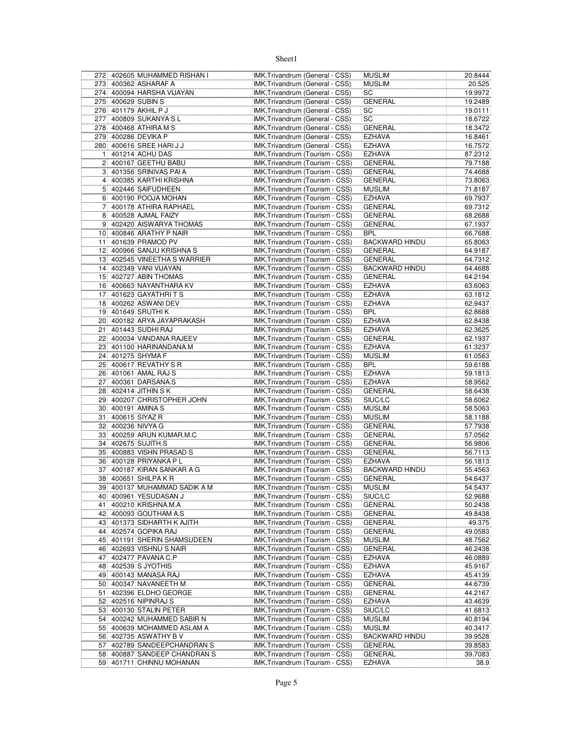|                 | 272 402605 MUHAMMED RISHAN I | IMK, Trivandrum (General - CSS) | <b>MUSLIM</b>         | 20.8444 |
|-----------------|------------------------------|---------------------------------|-----------------------|---------|
| 273             | 400362 ASHARAF A             | IMK, Trivandrum (General - CSS) | <b>MUSLIM</b>         | 20.525  |
|                 | 274 400094 HARSHA VIJAYAN    | IMK, Trivandrum (General - CSS) | SC                    | 19.9972 |
| 275             | 400629 SUBIN S               | IMK, Trivandrum (General - CSS) | <b>GENERAL</b>        | 19.2489 |
|                 | 276 401179 AKHIL P J         | IMK, Trivandrum (General - CSS) | SC                    | 19.0111 |
| 277             | 400809 SUKANYA SL            | IMK, Trivandrum (General - CSS) | SC                    | 18.6722 |
|                 |                              |                                 |                       |         |
| 278             | 400468 ATHIRA M S            | IMK, Trivandrum (General - CSS) | <b>GENERAL</b>        | 18.3472 |
|                 | 279 400286 DEVIKA P          | IMK, Trivandrum (General - CSS) | <b>EZHAVA</b>         | 16.8461 |
| 280             | 400616 SREE HARI J J         | IMK, Trivandrum (General - CSS) | <b>EZHAVA</b>         | 16.7572 |
| 11              | 401214 ACHU DAS              | IMK, Trivandrum (Tourism - CSS) | <b>EZHAVA</b>         | 87.2312 |
| 2               | 400167 GEETHU BABU           | IMK, Trivandrum (Tourism - CSS) | <b>GENERAL</b>        | 79.7188 |
|                 | 3 401356 SRINIVAS PAI A      | IMK, Trivandrum (Tourism - CSS) | GENERAL               | 74.4688 |
| $\overline{4}$  | 400385 KARTHI KRISHNA        | IMK, Trivandrum (Tourism - CSS) | GENERAL               | 73.8063 |
| 5               | 402446 SAIFUDHEEN            | IMK, Trivandrum (Tourism - CSS) | <b>MUSLIM</b>         | 71.8187 |
|                 | 6 400190 POOJA MOHAN         | IMK, Trivandrum (Tourism - CSS) | <b>EZHAVA</b>         | 69.7937 |
|                 |                              |                                 |                       |         |
| 71              | 400178 ATHIRA RAPHAEL        | IMK, Trivandrum (Tourism - CSS) | <b>GENERAL</b>        | 69.7312 |
| 8 <sup>1</sup>  | 400528 AJMAL FAIZY           | IMK, Trivandrum (Tourism - CSS) | <b>GENERAL</b>        | 68.2688 |
| 9               | 402420 AISWARYA THOMAS       | IMK, Trivandrum (Tourism - CSS) | <b>GENERAL</b>        | 67.1937 |
|                 | 10 400846 ARATHY P NAIR      | IMK, Trivandrum (Tourism - CSS) | <b>BPL</b>            | 66.7688 |
|                 | 11 401639 PRAMOD PV          | IMK, Trivandrum (Tourism - CSS) | <b>BACKWARD HINDU</b> | 65.8063 |
|                 | 12 400966 SANJU KRISHNA S    | IMK, Trivandrum (Tourism - CSS) | GENERAL               | 64.9187 |
| 13              | 402545 VINEETHA S WARRIER    | IMK, Trivandrum (Tourism - CSS) | <b>GENERAL</b>        | 64.7312 |
|                 | 14 402349 VANI VIJAYAN       | IMK, Trivandrum (Tourism - CSS) | <b>BACKWARD HINDU</b> | 64.4688 |
| 15              | 402727 ABIN THOMAS           | IMK, Trivandrum (Tourism - CSS) | <b>GENERAL</b>        | 64.2194 |
|                 |                              |                                 |                       |         |
| 16              | 400663 NAYANTHARA KV         | IMK, Trivandrum (Tourism - CSS) | <b>EZHAVA</b>         | 63.6063 |
| 17              | 401623 GAYATHRITS            | IMK, Trivandrum (Tourism - CSS) | <b>EZHAVA</b>         | 63.1812 |
| 18              | 400262 ASWANI DEV            | IMK, Trivandrum (Tourism - CSS) | <b>EZHAVA</b>         | 62.9437 |
|                 | 19 401649 SRUTHI K           | IMK, Trivandrum (Tourism - CSS) | <b>BPL</b>            | 62.8688 |
| 20 <sup>1</sup> | 400182 ARYA JAYAPRAKASH      | IMK, Trivandrum (Tourism - CSS) | <b>EZHAVA</b>         | 62.8438 |
| 21              | 401443 SUDHI RAJ             | IMK, Trivandrum (Tourism - CSS) | <b>EZHAVA</b>         | 62.3625 |
| 22              | 400034 VANDANA RAJEEV        | IMK, Trivandrum (Tourism - CSS) | <b>GENERAL</b>        | 62.1937 |
|                 | 23 401100 HARINANDANA.M      | IMK, Trivandrum (Tourism - CSS) | <b>EZHAVA</b>         | 61.3237 |
| 24              | 401275 SHYMA F               |                                 | <b>MUSLIM</b>         |         |
|                 |                              | IMK, Trivandrum (Tourism - CSS) |                       | 61.0563 |
| 25              | 400617 REVATHY S R           | IMK, Trivandrum (Tourism - CSS) | <b>BPL</b>            | 59.6188 |
| 26              | 401061 AMAL RAJ S            | IMK, Trivandrum (Tourism - CSS) | <b>EZHAVA</b>         | 59.1813 |
| 27 <sup>2</sup> | 400361 DARSANA.S             | IMK, Trivandrum (Tourism - CSS) | <b>EZHAVA</b>         | 58.9562 |
|                 | 28 402414 JITHIN SK          | IMK, Trivandrum (Tourism - CSS) | <b>GENERAL</b>        | 58.6438 |
| 29              | 400207 CHRISTOPHER JOHN      | IMK, Trivandrum (Tourism - CSS) | SIUC/LC               | 58.6062 |
| 30 <sup>2</sup> | 400191 AMINA S               | IMK, Trivandrum (Tourism - CSS) | <b>MUSLIM</b>         | 58.5063 |
| 31              | 400615 SIYAZ R               | IMK, Trivandrum (Tourism - CSS) | <b>MUSLIM</b>         | 58.1188 |
| 32              | 400236 NIVYA G               | IMK, Trivandrum (Tourism - CSS) | <b>GENERAL</b>        | 57.7938 |
| 33              | 400259 ARUN KUMAR.M.C        | IMK, Trivandrum (Tourism - CSS) | <b>GENERAL</b>        | 57.0562 |
|                 |                              |                                 |                       |         |
| 34              | 402675 SUJITH.S              | IMK, Trivandrum (Tourism - CSS) | <b>GENERAL</b>        | 56.9806 |
|                 | 35 400883 VISHN PRASAD S     | IMK, Trivandrum (Tourism - CSS) | <b>GENERAL</b>        | 56.7113 |
|                 | 36 400128 PRIYANKA PL        | IMK, Trivandrum (Tourism - CSS) | <b>EZHAVA</b>         | 56.1813 |
| 37              | 400187 KIRAN SANKAR A G      | IMK, Trivandrum (Tourism - CSS) | <b>BACKWARD HINDU</b> | 55.4563 |
| $38$            | 400651 SHILPA K R            | IMK, Trivandrum (Tourism - CSS) | <b>GENERAL</b>        | 54.6437 |
|                 | 39 400137 MUHAMMAD SADIK A M | IMK, Trivandrum (Tourism - CSS) | <b>MUSLIM</b>         | 54.5437 |
|                 | 40 400961 YESUDASAN J        | IMK, Trivandrum (Tourism - CSS) | SIUC/LC               | 52.9688 |
| 41              | 400210 KRISHNA.M.A           | IMK, Trivandrum (Tourism - CSS) | <b>GENERAL</b>        | 50.2438 |
| 42              | 400093 GOUTHAM A.S           | IMK, Trivandrum (Tourism - CSS) | <b>GENERAL</b>        | 49.8438 |
|                 |                              |                                 |                       |         |
| 43              | 401373 SIDHARTH K AJITH      | IMK, Trivandrum (Tourism - CSS) | GENERAL               | 49.375  |
|                 | 44 402574 GOPIKA RAJ         | IMK, Trivandrum (Tourism - CSS) | <b>GENERAL</b>        | 49.0583 |
| 45              | 401191 SHERIN SHAMSUDEEN     | IMK, Trivandrum (Tourism - CSS) | <b>MUSLIM</b>         | 48.7562 |
| 46              | 402693 VISHNU S NAIR         | IMK, Trivandrum (Tourism - CSS) | <b>GENERAL</b>        | 46.2438 |
| 47              | 402477 PAVANA C.P            | IMK, Trivandrum (Tourism - CSS) | <b>EZHAVA</b>         | 46.0889 |
| 48              | 402539 S JYOTHIS             | IMK, Trivandrum (Tourism - CSS) | <b>EZHAVA</b>         | 45.9167 |
| 49              | 400143 MANASA RAJ            | IMK, Trivandrum (Tourism - CSS) | <b>EZHAVA</b>         | 45.4139 |
| 50              | 400347 NAVANEETH M           | IMK, Trivandrum (Tourism - CSS) | <b>GENERAL</b>        | 44.6739 |
| 51              | 402396 ELDHO GEORGE          | IMK, Trivandrum (Tourism - CSS) | <b>GENERAL</b>        | 44.2167 |
|                 | 52 402516 NIPINRAJ S         | IMK, Trivandrum (Tourism - CSS) |                       |         |
|                 |                              |                                 | <b>EZHAVA</b>         | 43.4639 |
|                 | 53 400130 STALIN PETER       | IMK, Trivandrum (Tourism - CSS) | SIUC/LC               | 41.6813 |
| 54              | 400242 MUHAMMED SABIR N      | IMK, Trivandrum (Tourism - CSS) | <b>MUSLIM</b>         | 40.8194 |
|                 | 55 400639 MOHAMMED ASLAM A   | IMK, Trivandrum (Tourism - CSS) | <b>MUSLIM</b>         | 40.3417 |
|                 | 56 402735 ASWATHY B V        | IMK, Trivandrum (Tourism - CSS) | <b>BACKWARD HINDU</b> | 39.9528 |
| 57              | 402789 SANDEEPCHANDRAN S     | IMK, Trivandrum (Tourism - CSS) | <b>GENERAL</b>        | 39.8583 |
|                 | 58 400887 SANDEEP CHANDRAN S | IMK, Trivandrum (Tourism - CSS) | <b>GENERAL</b>        | 39.7083 |
|                 | 59 401711 CHINNU MOHANAN     | IMK, Trivandrum (Tourism - CSS) | <b>EZHAVA</b>         | 38.9    |
|                 |                              |                                 |                       |         |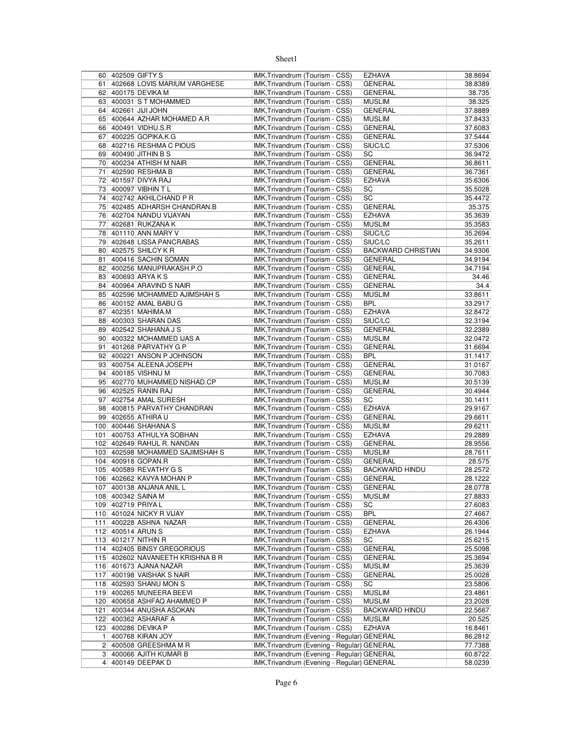|                 | 60 402509 GIFTY S                | IMK, Trivandrum (Tourism - CSS)             | <b>EZHAVA</b>             | 38.8694 |
|-----------------|----------------------------------|---------------------------------------------|---------------------------|---------|
| 61              | 402668 LOVIS MARIUM VARGHESE     | IMK, Trivandrum (Tourism - CSS)             | <b>GENERAL</b>            | 38.8389 |
|                 | 62 400175 DEVIKA M               | IMK, Trivandrum (Tourism - CSS)             | <b>GENERAL</b>            | 38.735  |
| 63              | 400031 S T MOHAMMED              | IMK, Trivandrum (Tourism - CSS)             | <b>MUSLIM</b>             | 38.325  |
|                 | 64 402661 JJJJJJOHN              | IMK, Trivandrum (Tourism - CSS)             | <b>GENERAL</b>            | 37.8889 |
| 65              | 400644 AZHAR MOHAMED A.R         | IMK, Trivandrum (Tourism - CSS)             | <b>MUSLIM</b>             | 37.8433 |
|                 |                                  |                                             | <b>GENERAL</b>            |         |
|                 | 66 400491 VIDHU.S.R              | IMK, Trivandrum (Tourism - CSS)             |                           | 37.6083 |
| 671             | 400225 GOPIKA.K.G                | IMK, Trivandrum (Tourism - CSS)             | <b>GENERAL</b>            | 37.5444 |
| 68              | 402716 RESHMA C PIOUS            | IMK, Trivandrum (Tourism - CSS)             | SIUC/LC                   | 37.5306 |
| 69              | 400490 JITHIN B S                | IMK, Trivandrum (Tourism - CSS)             | SC                        | 36.9472 |
|                 | 70 400234 ATHISH M NAIR          | IMK, Trivandrum (Tourism - CSS)             | <b>GENERAL</b>            | 36.8611 |
| 71              | 402590 RESHMA B                  | IMK, Trivandrum (Tourism - CSS)             | GENERAL                   | 36.7361 |
| 72              | 401597 DIVYA RAJ                 | IMK, Trivandrum (Tourism - CSS)             | <b>EZHAVA</b>             | 35.6306 |
| 73              | 400097 VIBHIN T L                | IMK, Trivandrum (Tourism - CSS)             | SC                        | 35.5028 |
| 74              | 402742 AKHILCHAND P R            | IMK, Trivandrum (Tourism - CSS)             | SC                        | 35.4472 |
| 75              | 402485 ADHARSH CHANDRAN B        | IMK, Trivandrum (Tourism - CSS)             | <b>GENERAL</b>            | 35.375  |
|                 |                                  |                                             |                           |         |
|                 | 76 402704 NANDU VIJAYAN          | IMK, Trivandrum (Tourism - CSS)             | <b>EZHAVA</b>             | 35.3639 |
| 77              | 402681 RUKZANA K                 | IMK, Trivandrum (Tourism - CSS)             | <b>MUSLIM</b>             | 35.3583 |
|                 | 78 401110 ANN MARY V             | IMK, Trivandrum (Tourism - CSS)             | SIUC/LC                   | 35.2694 |
|                 | 79 402648 LISSA PANCRABAS        | IMK, Trivandrum (Tourism - CSS)             | SIUC/LC                   | 35.2611 |
|                 | 80 402575 SHILCY KR              | IMK, Trivandrum (Tourism - CSS)             | <b>BACKWARD CHRISTIAN</b> | 34.9306 |
| 81              | 400416 SACHIN SOMAN              | IMK, Trivandrum (Tourism - CSS)             | <b>GENERAL</b>            | 34.9194 |
| 82              | 400256 MANUPRAKASH.P.O           | IMK, Trivandrum (Tourism - CSS)             | <b>GENERAL</b>            | 34.7194 |
| 83              | 400693 ARYA K S                  | IMK, Trivandrum (Tourism - CSS)             | <b>GENERAL</b>            | 34.46   |
| 84              | 400964 ARAVIND S NAIR            | IMK, Trivandrum (Tourism - CSS)             | <b>GENERAL</b>            | 34.4    |
| 85              | 402596 MOHAMMED AJIMSHAH S       | IMK, Trivandrum (Tourism - CSS)             | <b>MUSLIM</b>             | 33.8611 |
|                 |                                  |                                             |                           |         |
| 86              | 400152 AMAL BABU G               | IMK, Trivandrum (Tourism - CSS)             | <b>BPL</b>                | 33.2917 |
| 87              | 402351 MAHIMA.M                  | IMK, Trivandrum (Tourism - CSS)             | <b>EZHAVA</b>             | 32.8472 |
| 88              | 400303 SHARAN DAS                | IMK, Trivandrum (Tourism - CSS)             | SIUC/LC                   | 32.3194 |
|                 | 89 402542 SHAHANA J S            | IMK, Trivandrum (Tourism - CSS)             | <b>GENERAL</b>            | 32.2389 |
|                 | 90 400322 MOHAMMED IJAS A        | IMK, Trivandrum (Tourism - CSS)             | <b>MUSLIM</b>             | 32.0472 |
| 91              | 401268 PARVATHY G P              | IMK, Trivandrum (Tourism - CSS)             | <b>GENERAL</b>            | 31.6694 |
| 92              | 400221 ANSON P JOHNSON           | IMK, Trivandrum (Tourism - CSS)             | <b>BPL</b>                | 31.1417 |
| 93              | 400754 ALEENA JOSEPH             | IMK, Trivandrum (Tourism - CSS)             | <b>GENERAL</b>            | 31.0167 |
| 94              | 400185 VISHNU M                  |                                             |                           |         |
|                 |                                  | IMK, Trivandrum (Tourism - CSS)             | <b>GENERAL</b>            | 30.7083 |
|                 | 95 402770 MUHAMMED NISHAD.CP     | IMK, Trivandrum (Tourism - CSS)             | <b>MUSLIM</b>             | 30.5139 |
|                 | 96 402525 RANIN RAJ              | IMK, Trivandrum (Tourism - CSS)             | <b>GENERAL</b>            | 30.4944 |
| 97 <sup>1</sup> | 402754 AMAL SURESH               | IMK, Trivandrum (Tourism - CSS)             | SC                        | 30.1411 |
| 98              | 400815 PARVATHY CHANDRAN         | IMK, Trivandrum (Tourism - CSS)             | <b>EZHAVA</b>             | 29.9167 |
|                 | 99 402655 ATHIRA U               | IMK, Trivandrum (Tourism - CSS)             | <b>GENERAL</b>            | 29.6611 |
| 100             | 400446 SHAHANA S                 | IMK, Trivandrum (Tourism - CSS)             | <b>MUSLIM</b>             | 29.6211 |
| 101             | 400753 ATHULYA SOBHAN            | IMK, Trivandrum (Tourism - CSS)             | <b>EZHAVA</b>             | 29.2889 |
| 102             | 402649 RAHUL R. NANDAN           | IMK, Trivandrum (Tourism - CSS)             | <b>GENERAL</b>            | 28.9556 |
|                 | 103 402598 MOHAMMED SAJIMSHAH S  | IMK, Trivandrum (Tourism - CSS)             | <b>MUSLIM</b>             | 28.7611 |
|                 | 104 400918 GOPAN.R               | IMK, Trivandrum (Tourism - CSS)             | <b>GENERAL</b>            |         |
|                 |                                  |                                             |                           | 28.575  |
|                 | 105 400589 REVATHY G S           | IMK, Trivandrum (Tourism - CSS)             | <b>BACKWARD HINDU</b>     | 28.2572 |
|                 | 106 402662 KAVYA MOHAN P         | IMK, Trivandrum (Tourism - CSS)             | <b>GENERAL</b>            | 28.1222 |
|                 | 107 400138 ANJANA ANIL L         | IMK, Trivandrum (Tourism - CSS)             | <b>GENERAL</b>            | 28.0778 |
|                 | 108 400342 SAINA M               | IMK, Trivandrum (Tourism - CSS)             | <b>MUSLIM</b>             | 27.8833 |
|                 | 109 402719 PRIYA L               | IMK, Trivandrum (Tourism - CSS)             | SC                        | 27.6083 |
|                 | 110 401024 NICKY R VIJAY         | IMK, Trivandrum (Tourism - CSS)             | <b>BPL</b>                | 27.4667 |
| 111             | 400228 ASHNA NAZAR               | IMK, Trivandrum (Tourism - CSS)             | <b>GENERAL</b>            | 26.4306 |
|                 | 112 400514 ARUN S                | IMK, Trivandrum (Tourism - CSS)             | <b>EZHAVA</b>             | 26.1944 |
|                 | 113 401217 NITHIN R              | IMK, Trivandrum (Tourism - CSS)             | SC                        | 25.6215 |
|                 | 114 402405 BINSY GREGORIOUS      | IMK, Trivandrum (Tourism - CSS)             |                           |         |
|                 |                                  |                                             | <b>GENERAL</b>            | 25.5098 |
|                 | 115 402602 NAVANEETH KRISHNA B R | IMK, Trivandrum (Tourism - CSS)             | <b>GENERAL</b>            | 25.3694 |
|                 | 116 401673 AJANA NAZAR           | IMK, Trivandrum (Tourism - CSS)             | <b>MUSLIM</b>             | 25.3639 |
| 117             | 400198 VAISHAK S NAIR            | IMK, Trivandrum (Tourism - CSS)             | <b>GENERAL</b>            | 25.0028 |
|                 | 118 402593 SHANU MON S           | IMK, Trivandrum (Tourism - CSS)             | SC                        | 23.5806 |
|                 | 119 400265 MUNEERA BEEVI         | IMK, Trivandrum (Tourism - CSS)             | <b>MUSLIM</b>             | 23.4861 |
|                 | 120 400658 ASHFAQ AHAMMED P      | IMK, Trivandrum (Tourism - CSS)             | <b>MUSLIM</b>             | 23.2028 |
|                 | 121 400344 ANUSHA ASOKAN         | IMK, Trivandrum (Tourism - CSS)             | <b>BACKWARD HINDU</b>     | 22.5667 |
| 122             | 400362 ASHARAF A                 | IMK, Trivandrum (Tourism - CSS)             | <b>MUSLIM</b>             | 20.525  |
| 123             | 400286 DEVIKA P                  | IMK, Trivandrum (Tourism - CSS)             | <b>EZHAVA</b>             | 16.8461 |
| 1 <sup>1</sup>  | 400768 KIRAN JOY                 | IMK, Trivandrum (Evening - Regular) GENERAL |                           | 86.2812 |
|                 |                                  |                                             |                           |         |
| 2               | 400508 GREESHMA M R              | IMK, Trivandrum (Evening - Regular) GENERAL |                           | 77.7388 |
|                 | 3 400066 AJITH KUMAR B           | IMK, Trivandrum (Evening - Regular) GENERAL |                           | 60.8722 |
| $\overline{4}$  | 400149 DEEPAK D                  | IMK, Trivandrum (Evening - Regular) GENERAL |                           | 58.0239 |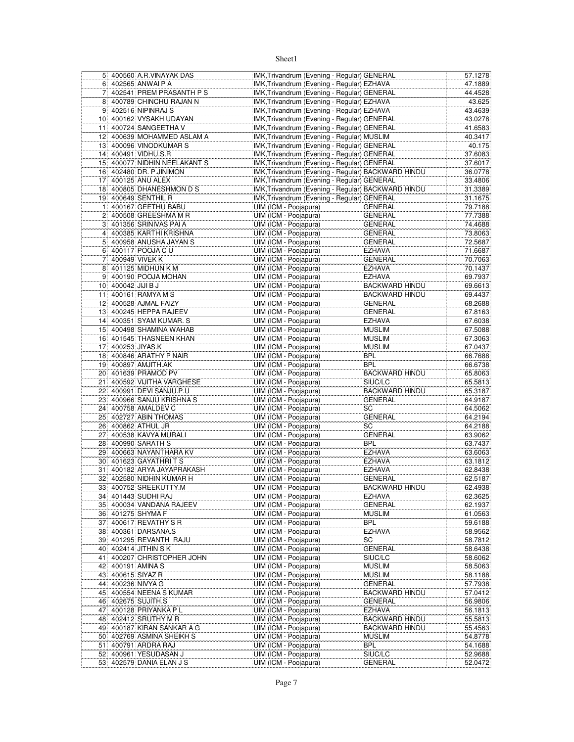|                 |                    | 5 400560 A.R. VINAYAK DAS  | IMK, Trivandrum (Evening - Regular) GENERAL        |                       | 57.1278            |
|-----------------|--------------------|----------------------------|----------------------------------------------------|-----------------------|--------------------|
|                 |                    | 6 402565 ANWAI P A         | IMK, Trivandrum (Evening - Regular) EZHAVA         |                       | 47.1889            |
| 7 <sup>1</sup>  |                    | 402541 PREM PRASANTH PS    | IMK, Trivandrum (Evening - Regular) GENERAL        |                       | 44.4528            |
| 8               |                    | 400789 CHINCHU RAJAN N     | IMK, Trivandrum (Evening - Regular) EZHAVA         |                       | 43.625             |
| 9               |                    | 402516 NIPINRAJ S          | IMK, Trivandrum (Evening - Regular) EZHAVA         |                       | 43.4639            |
|                 |                    | 10 400162 VYSAKH UDAYAN    | IMK, Trivandrum (Evening - Regular) GENERAL        |                       | 43.0278            |
| 11              |                    | 400724 SANGEETHA V         | IMK, Trivandrum (Evening - Regular) GENERAL        |                       | 41.6583            |
|                 |                    | 12 400639 MOHAMMED ASLAM A | IMK, Trivandrum (Evening - Regular) MUSLIM         |                       | 40.3417            |
|                 |                    |                            | IMK, Trivandrum (Evening - Regular) GENERAL        |                       | 40.175             |
| 13              |                    | 400096 VINODKUMAR S        |                                                    |                       |                    |
|                 |                    | 14 400491 VIDHU.S.R        | IMK, Trivandrum (Evening - Regular) GENERAL        |                       | 37.6083            |
| 15 <sup>1</sup> |                    | 400077 NIDHIN NEELAKANT S  | IMK, Trivandrum (Evening - Regular) GENERAL        |                       | 37.6017            |
| 16              |                    | 402480 DR. P.JINIMON       | IMK, Trivandrum (Evening - Regular) BACKWARD HINDU |                       | 36.0778            |
| 17              |                    | 400125 ANU ALEX            | IMK, Trivandrum (Evening - Regular) GENERAL        |                       | 33.4806            |
| 18              |                    | 400805 DHANESHMON D S      | IMK, Trivandrum (Evening - Regular) BACKWARD HINDU |                       | 31.3389            |
|                 |                    | 19 400649 SENTHIL R        | IMK, Trivandrum (Evening - Regular) GENERAL        |                       | 31.1675            |
| 11              |                    | 400167 GEETHU BABU         | UIM (ICM - Poojapura)                              | <b>GENERAL</b>        | 79.7188            |
|                 |                    | 2 400508 GREESHMA M R      | UIM (ICM - Poojapura)                              | GENERAL               | 77.7388            |
|                 |                    | 3 401356 SRINIVAS PAI A    | UIM (ICM - Poojapura)                              | GENERAL               | 74.4688            |
|                 |                    | 4 400385 KARTHI KRISHNA    | UIM (ICM - Poojapura)                              | GENERAL               | 73.8063            |
| 5               |                    | 400958 ANUSHA JAYAN S      | UIM (ICM - Poojapura)                              | <b>GENERAL</b>        | 72.5687            |
| 6               |                    | 400117 POOJA C U           | UIM (ICM - Poojapura)                              | <b>EZHAVA</b>         | 71.6687            |
| 7               |                    | 400949 VIVEK K             | UIM (ICM - Poojapura)                              | <b>GENERAL</b>        | 70.7063            |
| 8               |                    | 401125 MIDHUN K M          | UIM (ICM - Poojapura)                              | <b>EZHAVA</b>         |                    |
| 9 <sup>1</sup>  |                    | 400190 POOJA MOHAN         | UIM (ICM - Poojapura)                              | <b>EZHAVA</b>         | 70.1437<br>69.7937 |
|                 |                    |                            |                                                    |                       |                    |
|                 | 10 400042 JIJI B J |                            | UIM (ICM - Poojapura)                              | <b>BACKWARD HINDU</b> | 69.6613            |
| 11              |                    | 400161 RAMYA M S           | UIM (ICM - Poojapura)                              | <b>BACKWARD HINDU</b> | 69.4437            |
| 12              |                    | 400528 AJMAL FAIZY         | UIM (ICM - Poojapura)                              | <b>GENERAL</b>        | 68.2688            |
| 13              |                    | 400245 HEPPA RAJEEV        | UIM (ICM - Poojapura)                              | <b>GENERAL</b>        | 67.8163            |
| 14              |                    | 400351 SYAM KUMAR. S       | UIM (ICM - Poojapura)                              | <b>EZHAVA</b>         | 67.6038            |
|                 |                    | 15 400498 SHAMINA WAHAB    | UIM (ICM - Poojapura)                              | MUSLIM                | 67.5088            |
|                 |                    | 16 401545 THASNEEN KHAN    | UIM (ICM - Poojapura)                              | <b>MUSLIM</b>         | 67.3063            |
| 171             |                    | 400253 JIYAS.K             | UIM (ICM - Poojapura)                              | <b>MUSLIM</b>         | 67.0437            |
| 18              |                    | 400846 ARATHY P NAIR       | UIM (ICM - Poojapura)                              | <b>BPL</b>            | 66.7688            |
| 19              |                    | 400897 AMJITH.AK           | UIM (ICM - Poojapura)                              | BPL                   | 66.6738            |
|                 |                    | 20 401639 PRAMOD PV        | UIM (ICM - Poojapura)                              | BACKWARD HINDU        | 65.8063            |
| 21              |                    | 400592 VIJITHA VARGHESE    | UIM (ICM - Poojapura)                              | SIUC/LC               | 65.5813            |
| 22              |                    | 400991 DEVI SANJU.P.U      | UIM (ICM - Poojapura)                              | BACKWARD HINDU        | 65.3187            |
|                 |                    | 23 400966 SANJU KRISHNA S  | UIM (ICM - Poojapura)                              | GENERAL               | 64.9187            |
|                 |                    |                            |                                                    |                       |                    |
| 24              |                    | 400758 AMALDEV C           | UIM (ICM - Poojapura)                              | SC                    | 64.5062            |
| 25              |                    | 402727 ABIN THOMAS         | UIM (ICM - Poojapura)                              | <b>GENERAL</b>        | 64.2194            |
| 26              |                    | 400862 ATHUL JR            | UIM (ICM - Poojapura)                              | SC                    | 64.2188            |
| 27              |                    | 400538 KAVYA MURALI        | UIM (ICM - Poojapura)                              | GENERAL               | 63.9062            |
| 28              |                    | 400990 SARATH S            | UIM (ICM - Poojapura)                              | BPL                   | 63.7437            |
|                 |                    | 29 400663 NAYANTHARA KV    | UIM (ICM - Poojapura)                              | <b>EZHAVA</b>         | 63.6063            |
| 30 <sup>1</sup> |                    | 401623 GAYATHRITS          | UIM (ICM - Poojapura)                              | EZHAVA                | 63.1812            |
| 31              |                    | 400182 ARYA JAYAPRAKASH    | UIM (ICM - Poojapura)                              | <b>EZHAVA</b>         | 62.8438            |
| 32              |                    | 402580 NIDHIN KUMAR H      | UIM (ICM - Poojapura)                              | GENERAL               | 62.5187            |
|                 |                    | 33 400752 SREEKUTTY.M      | UIM (ICM - Poojapura)                              | <b>BACKWARD HINDU</b> | 62.4938            |
|                 |                    | 34 401443 SUDHI RAJ        | UIM (ICM - Poojapura)                              | <b>EZHAVA</b>         | 62.3625            |
|                 |                    | 35 400034 VANDANA RAJEEV   | UIM (ICM - Poojapura)                              | <b>GENERAL</b>        | 62.1937            |
|                 |                    | 36 401275 SHYMA F          | UIM (ICM - Poojapura)                              | MUSLIM                | 61.0563            |
|                 |                    | 37 400617 REVATHY S R      | UIM (ICM - Poojapura)                              | BPL                   | 59.6188            |
|                 |                    | 38 400361 DARSANA.S        | UIM (ICM - Poojapura)                              | <b>EZHAVA</b>         | 58.9562            |
|                 |                    | 39 401295 REVANTH RAJU     | UIM (ICM - Poojapura)                              | SC                    | 58.7812            |
|                 |                    |                            |                                                    |                       |                    |
|                 |                    | 40 402414 JITHIN S K       | UIM (ICM - Poojapura)                              | GENERAL               | 58.6438            |
| 41              |                    | 400207 CHRISTOPHER JOHN    | UIM (ICM - Poojapura)                              | SIUC/LC               | 58.6062            |
| 42              |                    | 400191 AMINA S             | UIM (ICM - Poojapura)                              | <b>MUSLIM</b>         | 58.5063            |
| 43              |                    | 400615 SIYAZ R             | UIM (ICM - Poojapura)                              | MUSLIM                | 58.1188            |
|                 |                    | 44 400236 NIVYA G          | UIM (ICM - Poojapura)                              | GENERAL               | 57.7938            |
|                 |                    | 45 400554 NEENA S KUMAR    | UIM (ICM - Poojapura)                              | <b>BACKWARD HINDU</b> | 57.0412            |
|                 |                    | 46 402675 SUJITH.S         | UIM (ICM - Poojapura)                              | GENERAL               | 56.9806            |
| 47              |                    | 400128 PRIYANKA PL         | UIM (ICM - Poojapura)                              | EZHAVA                | 56.1813            |
| 48              |                    | 402412 SRUTHY M R          | UIM (ICM - Poojapura)                              | <b>BACKWARD HINDU</b> | 55.5813            |
| 49              |                    | 400187 KIRAN SANKAR A G    | UIM (ICM - Poojapura)                              | <b>BACKWARD HINDU</b> | 55.4563            |
|                 |                    | 50 402769 ASMINA SHEIKH S  | UIM (ICM - Poojapura)                              | <b>MUSLIM</b>         | 54.8778            |
| 51              |                    | 400791 ARDRA RAJ           | UIM (ICM - Poojapura)                              | <b>BPL</b>            | 54.1688            |
|                 |                    | 52 400961 YESUDASAN J      | UIM (ICM - Poojapura)                              | SIUC/LC               | 52.9688            |
|                 |                    | 53 402579 DANIA ELAN J S   | UIM (ICM - Poojapura)                              | GENERAL               |                    |
|                 |                    |                            |                                                    |                       | 52.0472            |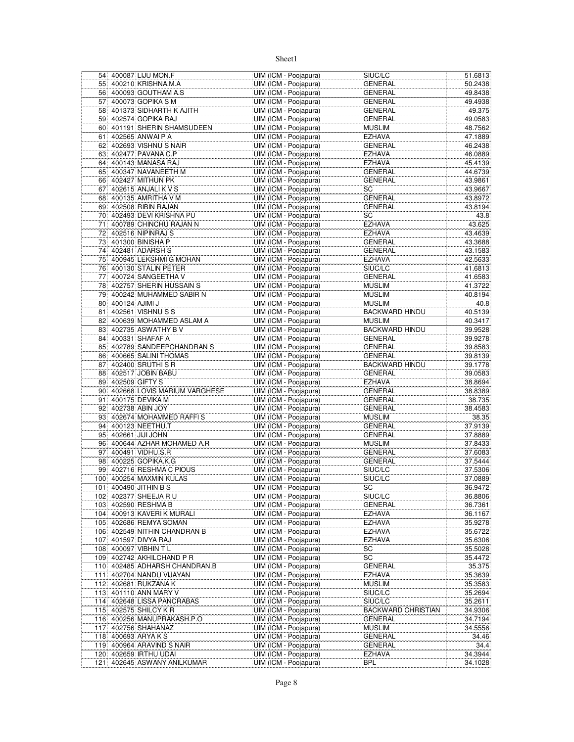| 55 400210 KRISHNA.M.A<br>UIM (ICM - Poojapura)<br>GENERAL<br>50.2438<br>56 400093 GOUTHAM A.S<br>UIM (ICM - Poojapura)<br>49.8438<br><b>GENERAL</b><br>400073 GOPIKA S M<br>UIM (ICM - Poojapura)<br>49.4938<br>57 <sup>1</sup><br><b>GENERAL</b><br>58 401373 SIDHARTH K AJITH<br>UIM (ICM - Poojapura)<br>GENERAL<br>402574 GOPIKA RAJ<br>UIM (ICM - Poojapura)<br>59<br><b>GENERAL</b><br>401191 SHERIN SHAMSUDEEN<br>UIM (ICM - Poojapura)<br><b>MUSLIM</b><br>60<br>402565 ANWAI P A<br>UIM (ICM - Poojapura)<br><b>EZHAVA</b><br>61 <br>402693 VISHNU S NAIR<br>UIM (ICM - Poojapura)<br>62 <br>GENERAL<br>402477 PAVANA C.P<br>UIM (ICM - Poojapura)<br>63<br>EZHAVA<br>400143 MANASA RAJ<br>UIM (ICM - Poojapura)<br><b>EZHAVA</b><br>64<br>400347 NAVANEETH M<br>UIM (ICM - Poojapura)<br>65<br>GENERAL<br>66 402427 MITHUN PK<br>UIM (ICM - Poojapura)<br><b>GENERAL</b><br>402615 ANJALI K V S<br>UIM (ICM - Poojapura)<br>SC<br>671<br>400135 AMRITHA V M<br>UIM (ICM - Poojapura)<br><b>GENERAL</b><br>68<br>69 402508 RIBIN RAJAN<br>UIM (ICM - Poojapura)<br>GENERAL<br>70 402493 DEVI KRISHNA PU<br>UIM (ICM - Poojapura)<br>SC<br>400789 CHINCHU RAJAN N<br>UIM (ICM - Poojapura)<br>711<br>EZHAVA<br>402516 NIPINRAJ S<br>UIM (ICM - Poojapura)<br><b>EZHAVA</b><br>72<br>401300 BINISHA P<br>UIM (ICM - Poojapura)<br><b>GENERAL</b><br>73<br>74 402481 ADARSH S<br>UIM (ICM - Poojapura)<br><b>GENERAL</b><br>75 400945 LEKSHMIG MOHAN<br>UIM (ICM - Poojapura)<br><b>EZHAVA</b><br>400130 STALIN PETER<br>UIM (ICM - Poojapura)<br>SIUC/LC<br>76<br>400724 SANGEETHA V<br>UIM (ICM - Poojapura)<br>GENERAL<br>77<br>402757 SHERIN HUSSAIN S<br>78<br>UIM (ICM - Poojapura)<br><b>MUSLIM</b><br>79 400242 MUHAMMED SABIR N<br>UIM (ICM - Poojapura)<br><b>MUSLIM</b><br>400124 AJIMI J<br>UIM (ICM - Poojapura)<br>80<br><b>MUSLIM</b><br>402561 VISHNU S S<br>UIM (ICM - Poojapura)<br><b>BACKWARD HINDU</b><br>81<br>400639 MOHAMMED ASLAM A<br>UIM (ICM - Poojapura)<br><b>MUSLIM</b><br>82<br>402735 ASWATHY B V<br>83<br>UIM (ICM - Poojapura)<br><b>BACKWARD HINDU</b><br>400331 SHAFAF A<br>UIM (ICM - Poojapura)<br>84<br><b>GENERAL</b><br>402789 SANDEEPCHANDRAN S<br>UIM (ICM - Poojapura)<br><b>GENERAL</b><br>85<br>400665 SALINI THOMAS<br>UIM (ICM - Poojapura)<br>86<br>GENERAL<br>402400 SRUTHI S R<br>UIM (ICM - Poojapura)<br><b>BACKWARD HINDU</b><br>87<br>88 402517 JOBIN BABU<br>UIM (ICM - Poojapura)<br>GENERAL<br>402509 GIFTY S<br>UIM (ICM - Poojapura)<br><b>EZHAVA</b><br>89<br>402668 LOVIS MARIUM VARGHESE<br>UIM (ICM - Poojapura)<br>90 <sub>1</sub><br>GENERAL<br>400175 DEVIKA M<br>UIM (ICM - Poojapura)<br><b>GENERAL</b><br>91<br>402738 ABIN JOY<br>92 <br>UIM (ICM - Poojapura)<br><b>GENERAL</b><br>402674 MOHAMMED RAFFIS<br>UIM (ICM - Poojapura)<br><b>MUSLIM</b><br>93<br>400123 NEETHU.T<br>94<br>UIM (ICM - Poojapura)<br>GENERAL<br>95 402661 JJJJ JOHN<br>UIM (ICM - Poojapura)<br><b>GENERAL</b><br>400644 AZHAR MOHAMED A.R<br>96<br>UIM (ICM - Poojapura)<br><b>MUSLIM</b><br>400491 VIDHU.S.R<br>UIM (ICM - Poojapura)<br>97<br>GENERAL<br>400225 GOPIKA.K.G<br>UIM (ICM - Poojapura)<br>98<br><b>GENERAL</b><br>99 402716 RESHMA C PIOUS<br>UIM (ICM - Poojapura)<br>SIUC/LC<br>100 400254 MAXMIN KULAS<br>UIM (ICM - Poojapura)<br>SIUC/LC<br>101 400490 JITHIN B S<br>UIM (ICM - Poojapura)<br>SC<br>102 402377 SHEEJA R U<br>UIM (ICM - Poojapura)<br>SIUC/LC<br>103 402590 RESHMA B<br>UIM (ICM - Poojapura)<br>GENERAL<br>104 400913 KAVERIK MURALI<br>UIM (ICM - Poojapura)<br>EZHAVA<br>105 402686 REMYA SOMAN<br>UIM (ICM - Poojapura)<br>EZHAVA<br>106 402549 NITHIN CHANDRAN B<br>UIM (ICM - Poojapura)<br>EZHAVA<br>401597 DIVYA RAJ<br>UIM (ICM - Poojapura)<br>107<br>EZHAVA<br>400097 VIBHIN T L<br>UIM (ICM - Poojapura)<br>108<br>SC<br>109<br>402742 AKHILCHAND P R<br>UIM (ICM - Poojapura)<br>SC<br><b>GENERAL</b><br>402485 ADHARSH CHANDRAN.B<br>UIM (ICM - Poojapura)<br>110<br><b>EZHAVA</b><br>402704 NANDU VIJAYAN<br>UIM (ICM - Poojapura)<br>111<br>112 402681 RUKZANA K<br><b>MUSLIM</b><br>UIM (ICM - Poojapura)<br>113 401110 ANN MARY V<br>UIM (ICM - Poojapura)<br>SIUC/LC<br>114 402648 LISSA PANCRABAS<br>UIM (ICM - Poojapura)<br>SIUC/LC<br>115 402575 SHILCY K R<br>UIM (ICM - Poojapura)<br><b>BACKWARD CHRISTIAN</b><br>116 400256 MANUPRAKASH.P.O<br>UIM (ICM - Poojapura)<br>GENERAL<br>402756 SHAHANAZ<br>UIM (ICM - Poojapura)<br>MUSLIM<br>117<br>118 400693 ARYA K S<br>UIM (ICM - Poojapura)<br>GENERAL<br>400964 ARAVIND S NAIR<br>UIM (ICM - Poojapura)<br>GENERAL<br>119<br>120 402659 IRTHU UDAI<br>UIM (ICM - Poojapura)<br><b>EZHAVA</b><br>UIM (ICM - Poojapura)<br>121 402645 ASWANY ANILKUMAR<br>BPL |  | 54 400087 LIJU MON.F | UIM (ICM - Poojapura) | SIUC/LC | 51.6813 |
|----------------------------------------------------------------------------------------------------------------------------------------------------------------------------------------------------------------------------------------------------------------------------------------------------------------------------------------------------------------------------------------------------------------------------------------------------------------------------------------------------------------------------------------------------------------------------------------------------------------------------------------------------------------------------------------------------------------------------------------------------------------------------------------------------------------------------------------------------------------------------------------------------------------------------------------------------------------------------------------------------------------------------------------------------------------------------------------------------------------------------------------------------------------------------------------------------------------------------------------------------------------------------------------------------------------------------------------------------------------------------------------------------------------------------------------------------------------------------------------------------------------------------------------------------------------------------------------------------------------------------------------------------------------------------------------------------------------------------------------------------------------------------------------------------------------------------------------------------------------------------------------------------------------------------------------------------------------------------------------------------------------------------------------------------------------------------------------------------------------------------------------------------------------------------------------------------------------------------------------------------------------------------------------------------------------------------------------------------------------------------------------------------------------------------------------------------------------------------------------------------------------------------------------------------------------------------------------------------------------------------------------------------------------------------------------------------------------------------------------------------------------------------------------------------------------------------------------------------------------------------------------------------------------------------------------------------------------------------------------------------------------------------------------------------------------------------------------------------------------------------------------------------------------------------------------------------------------------------------------------------------------------------------------------------------------------------------------------------------------------------------------------------------------------------------------------------------------------------------------------------------------------------------------------------------------------------------------------------------------------------------------------------------------------------------------------------------------------------------------------------------------------------------------------------------------------------------------------------------------------------------------------------------------------------------------------------------------------------------------------------------------------------------------------------------------------------------------------------------------------------------------------------------------------------------------------------------------------------------------------------------------------------------------------------------------------------------------------------------------------------------------------------------------------------------------------------------------------------------------------------------------------------------------------------------------------------------------------------------------------------------------------------------------------------------------------------------------------------------------|--|----------------------|-----------------------|---------|---------|
|                                                                                                                                                                                                                                                                                                                                                                                                                                                                                                                                                                                                                                                                                                                                                                                                                                                                                                                                                                                                                                                                                                                                                                                                                                                                                                                                                                                                                                                                                                                                                                                                                                                                                                                                                                                                                                                                                                                                                                                                                                                                                                                                                                                                                                                                                                                                                                                                                                                                                                                                                                                                                                                                                                                                                                                                                                                                                                                                                                                                                                                                                                                                                                                                                                                                                                                                                                                                                                                                                                                                                                                                                                                                                                                                                                                                                                                                                                                                                                                                                                                                                                                                                                                                                                                                                                                                                                                                                                                                                                                                                                                                                                                                                                                                        |  |                      |                       |         |         |
|                                                                                                                                                                                                                                                                                                                                                                                                                                                                                                                                                                                                                                                                                                                                                                                                                                                                                                                                                                                                                                                                                                                                                                                                                                                                                                                                                                                                                                                                                                                                                                                                                                                                                                                                                                                                                                                                                                                                                                                                                                                                                                                                                                                                                                                                                                                                                                                                                                                                                                                                                                                                                                                                                                                                                                                                                                                                                                                                                                                                                                                                                                                                                                                                                                                                                                                                                                                                                                                                                                                                                                                                                                                                                                                                                                                                                                                                                                                                                                                                                                                                                                                                                                                                                                                                                                                                                                                                                                                                                                                                                                                                                                                                                                                                        |  |                      |                       |         |         |
|                                                                                                                                                                                                                                                                                                                                                                                                                                                                                                                                                                                                                                                                                                                                                                                                                                                                                                                                                                                                                                                                                                                                                                                                                                                                                                                                                                                                                                                                                                                                                                                                                                                                                                                                                                                                                                                                                                                                                                                                                                                                                                                                                                                                                                                                                                                                                                                                                                                                                                                                                                                                                                                                                                                                                                                                                                                                                                                                                                                                                                                                                                                                                                                                                                                                                                                                                                                                                                                                                                                                                                                                                                                                                                                                                                                                                                                                                                                                                                                                                                                                                                                                                                                                                                                                                                                                                                                                                                                                                                                                                                                                                                                                                                                                        |  |                      |                       |         |         |
| 49.0583<br>48.7562<br>47.1889<br>46.2438<br>46.0889<br>45.4139<br>44.6739<br>43.9861<br>43.9667<br>43.8972<br>43.8194<br>43.8<br>43.625<br>43.4639<br>43.3688<br>43.1583<br>42.5633<br>41.6813<br>41.6583<br>41.3722<br>40.8194<br>40.8<br>40.5139<br>40.3417<br>38.8694<br>38.735<br>38.4583<br>37.0889<br>36.9472<br>36.7361<br>35.2611<br>34.3944                                                                                                                                                                                                                                                                                                                                                                                                                                                                                                                                                                                                                                                                                                                                                                                                                                                                                                                                                                                                                                                                                                                                                                                                                                                                                                                                                                                                                                                                                                                                                                                                                                                                                                                                                                                                                                                                                                                                                                                                                                                                                                                                                                                                                                                                                                                                                                                                                                                                                                                                                                                                                                                                                                                                                                                                                                                                                                                                                                                                                                                                                                                                                                                                                                                                                                                                                                                                                                                                                                                                                                                                                                                                                                                                                                                                                                                                                                                                                                                                                                                                                                                                                                                                                                                                                                                                                                                   |  |                      |                       |         | 49.375  |
|                                                                                                                                                                                                                                                                                                                                                                                                                                                                                                                                                                                                                                                                                                                                                                                                                                                                                                                                                                                                                                                                                                                                                                                                                                                                                                                                                                                                                                                                                                                                                                                                                                                                                                                                                                                                                                                                                                                                                                                                                                                                                                                                                                                                                                                                                                                                                                                                                                                                                                                                                                                                                                                                                                                                                                                                                                                                                                                                                                                                                                                                                                                                                                                                                                                                                                                                                                                                                                                                                                                                                                                                                                                                                                                                                                                                                                                                                                                                                                                                                                                                                                                                                                                                                                                                                                                                                                                                                                                                                                                                                                                                                                                                                                                                        |  |                      |                       |         |         |
|                                                                                                                                                                                                                                                                                                                                                                                                                                                                                                                                                                                                                                                                                                                                                                                                                                                                                                                                                                                                                                                                                                                                                                                                                                                                                                                                                                                                                                                                                                                                                                                                                                                                                                                                                                                                                                                                                                                                                                                                                                                                                                                                                                                                                                                                                                                                                                                                                                                                                                                                                                                                                                                                                                                                                                                                                                                                                                                                                                                                                                                                                                                                                                                                                                                                                                                                                                                                                                                                                                                                                                                                                                                                                                                                                                                                                                                                                                                                                                                                                                                                                                                                                                                                                                                                                                                                                                                                                                                                                                                                                                                                                                                                                                                                        |  |                      |                       |         |         |
|                                                                                                                                                                                                                                                                                                                                                                                                                                                                                                                                                                                                                                                                                                                                                                                                                                                                                                                                                                                                                                                                                                                                                                                                                                                                                                                                                                                                                                                                                                                                                                                                                                                                                                                                                                                                                                                                                                                                                                                                                                                                                                                                                                                                                                                                                                                                                                                                                                                                                                                                                                                                                                                                                                                                                                                                                                                                                                                                                                                                                                                                                                                                                                                                                                                                                                                                                                                                                                                                                                                                                                                                                                                                                                                                                                                                                                                                                                                                                                                                                                                                                                                                                                                                                                                                                                                                                                                                                                                                                                                                                                                                                                                                                                                                        |  |                      |                       |         |         |
|                                                                                                                                                                                                                                                                                                                                                                                                                                                                                                                                                                                                                                                                                                                                                                                                                                                                                                                                                                                                                                                                                                                                                                                                                                                                                                                                                                                                                                                                                                                                                                                                                                                                                                                                                                                                                                                                                                                                                                                                                                                                                                                                                                                                                                                                                                                                                                                                                                                                                                                                                                                                                                                                                                                                                                                                                                                                                                                                                                                                                                                                                                                                                                                                                                                                                                                                                                                                                                                                                                                                                                                                                                                                                                                                                                                                                                                                                                                                                                                                                                                                                                                                                                                                                                                                                                                                                                                                                                                                                                                                                                                                                                                                                                                                        |  |                      |                       |         |         |
|                                                                                                                                                                                                                                                                                                                                                                                                                                                                                                                                                                                                                                                                                                                                                                                                                                                                                                                                                                                                                                                                                                                                                                                                                                                                                                                                                                                                                                                                                                                                                                                                                                                                                                                                                                                                                                                                                                                                                                                                                                                                                                                                                                                                                                                                                                                                                                                                                                                                                                                                                                                                                                                                                                                                                                                                                                                                                                                                                                                                                                                                                                                                                                                                                                                                                                                                                                                                                                                                                                                                                                                                                                                                                                                                                                                                                                                                                                                                                                                                                                                                                                                                                                                                                                                                                                                                                                                                                                                                                                                                                                                                                                                                                                                                        |  |                      |                       |         |         |
|                                                                                                                                                                                                                                                                                                                                                                                                                                                                                                                                                                                                                                                                                                                                                                                                                                                                                                                                                                                                                                                                                                                                                                                                                                                                                                                                                                                                                                                                                                                                                                                                                                                                                                                                                                                                                                                                                                                                                                                                                                                                                                                                                                                                                                                                                                                                                                                                                                                                                                                                                                                                                                                                                                                                                                                                                                                                                                                                                                                                                                                                                                                                                                                                                                                                                                                                                                                                                                                                                                                                                                                                                                                                                                                                                                                                                                                                                                                                                                                                                                                                                                                                                                                                                                                                                                                                                                                                                                                                                                                                                                                                                                                                                                                                        |  |                      |                       |         |         |
|                                                                                                                                                                                                                                                                                                                                                                                                                                                                                                                                                                                                                                                                                                                                                                                                                                                                                                                                                                                                                                                                                                                                                                                                                                                                                                                                                                                                                                                                                                                                                                                                                                                                                                                                                                                                                                                                                                                                                                                                                                                                                                                                                                                                                                                                                                                                                                                                                                                                                                                                                                                                                                                                                                                                                                                                                                                                                                                                                                                                                                                                                                                                                                                                                                                                                                                                                                                                                                                                                                                                                                                                                                                                                                                                                                                                                                                                                                                                                                                                                                                                                                                                                                                                                                                                                                                                                                                                                                                                                                                                                                                                                                                                                                                                        |  |                      |                       |         |         |
|                                                                                                                                                                                                                                                                                                                                                                                                                                                                                                                                                                                                                                                                                                                                                                                                                                                                                                                                                                                                                                                                                                                                                                                                                                                                                                                                                                                                                                                                                                                                                                                                                                                                                                                                                                                                                                                                                                                                                                                                                                                                                                                                                                                                                                                                                                                                                                                                                                                                                                                                                                                                                                                                                                                                                                                                                                                                                                                                                                                                                                                                                                                                                                                                                                                                                                                                                                                                                                                                                                                                                                                                                                                                                                                                                                                                                                                                                                                                                                                                                                                                                                                                                                                                                                                                                                                                                                                                                                                                                                                                                                                                                                                                                                                                        |  |                      |                       |         |         |
|                                                                                                                                                                                                                                                                                                                                                                                                                                                                                                                                                                                                                                                                                                                                                                                                                                                                                                                                                                                                                                                                                                                                                                                                                                                                                                                                                                                                                                                                                                                                                                                                                                                                                                                                                                                                                                                                                                                                                                                                                                                                                                                                                                                                                                                                                                                                                                                                                                                                                                                                                                                                                                                                                                                                                                                                                                                                                                                                                                                                                                                                                                                                                                                                                                                                                                                                                                                                                                                                                                                                                                                                                                                                                                                                                                                                                                                                                                                                                                                                                                                                                                                                                                                                                                                                                                                                                                                                                                                                                                                                                                                                                                                                                                                                        |  |                      |                       |         |         |
|                                                                                                                                                                                                                                                                                                                                                                                                                                                                                                                                                                                                                                                                                                                                                                                                                                                                                                                                                                                                                                                                                                                                                                                                                                                                                                                                                                                                                                                                                                                                                                                                                                                                                                                                                                                                                                                                                                                                                                                                                                                                                                                                                                                                                                                                                                                                                                                                                                                                                                                                                                                                                                                                                                                                                                                                                                                                                                                                                                                                                                                                                                                                                                                                                                                                                                                                                                                                                                                                                                                                                                                                                                                                                                                                                                                                                                                                                                                                                                                                                                                                                                                                                                                                                                                                                                                                                                                                                                                                                                                                                                                                                                                                                                                                        |  |                      |                       |         |         |
|                                                                                                                                                                                                                                                                                                                                                                                                                                                                                                                                                                                                                                                                                                                                                                                                                                                                                                                                                                                                                                                                                                                                                                                                                                                                                                                                                                                                                                                                                                                                                                                                                                                                                                                                                                                                                                                                                                                                                                                                                                                                                                                                                                                                                                                                                                                                                                                                                                                                                                                                                                                                                                                                                                                                                                                                                                                                                                                                                                                                                                                                                                                                                                                                                                                                                                                                                                                                                                                                                                                                                                                                                                                                                                                                                                                                                                                                                                                                                                                                                                                                                                                                                                                                                                                                                                                                                                                                                                                                                                                                                                                                                                                                                                                                        |  |                      |                       |         |         |
|                                                                                                                                                                                                                                                                                                                                                                                                                                                                                                                                                                                                                                                                                                                                                                                                                                                                                                                                                                                                                                                                                                                                                                                                                                                                                                                                                                                                                                                                                                                                                                                                                                                                                                                                                                                                                                                                                                                                                                                                                                                                                                                                                                                                                                                                                                                                                                                                                                                                                                                                                                                                                                                                                                                                                                                                                                                                                                                                                                                                                                                                                                                                                                                                                                                                                                                                                                                                                                                                                                                                                                                                                                                                                                                                                                                                                                                                                                                                                                                                                                                                                                                                                                                                                                                                                                                                                                                                                                                                                                                                                                                                                                                                                                                                        |  |                      |                       |         |         |
|                                                                                                                                                                                                                                                                                                                                                                                                                                                                                                                                                                                                                                                                                                                                                                                                                                                                                                                                                                                                                                                                                                                                                                                                                                                                                                                                                                                                                                                                                                                                                                                                                                                                                                                                                                                                                                                                                                                                                                                                                                                                                                                                                                                                                                                                                                                                                                                                                                                                                                                                                                                                                                                                                                                                                                                                                                                                                                                                                                                                                                                                                                                                                                                                                                                                                                                                                                                                                                                                                                                                                                                                                                                                                                                                                                                                                                                                                                                                                                                                                                                                                                                                                                                                                                                                                                                                                                                                                                                                                                                                                                                                                                                                                                                                        |  |                      |                       |         |         |
|                                                                                                                                                                                                                                                                                                                                                                                                                                                                                                                                                                                                                                                                                                                                                                                                                                                                                                                                                                                                                                                                                                                                                                                                                                                                                                                                                                                                                                                                                                                                                                                                                                                                                                                                                                                                                                                                                                                                                                                                                                                                                                                                                                                                                                                                                                                                                                                                                                                                                                                                                                                                                                                                                                                                                                                                                                                                                                                                                                                                                                                                                                                                                                                                                                                                                                                                                                                                                                                                                                                                                                                                                                                                                                                                                                                                                                                                                                                                                                                                                                                                                                                                                                                                                                                                                                                                                                                                                                                                                                                                                                                                                                                                                                                                        |  |                      |                       |         |         |
|                                                                                                                                                                                                                                                                                                                                                                                                                                                                                                                                                                                                                                                                                                                                                                                                                                                                                                                                                                                                                                                                                                                                                                                                                                                                                                                                                                                                                                                                                                                                                                                                                                                                                                                                                                                                                                                                                                                                                                                                                                                                                                                                                                                                                                                                                                                                                                                                                                                                                                                                                                                                                                                                                                                                                                                                                                                                                                                                                                                                                                                                                                                                                                                                                                                                                                                                                                                                                                                                                                                                                                                                                                                                                                                                                                                                                                                                                                                                                                                                                                                                                                                                                                                                                                                                                                                                                                                                                                                                                                                                                                                                                                                                                                                                        |  |                      |                       |         |         |
|                                                                                                                                                                                                                                                                                                                                                                                                                                                                                                                                                                                                                                                                                                                                                                                                                                                                                                                                                                                                                                                                                                                                                                                                                                                                                                                                                                                                                                                                                                                                                                                                                                                                                                                                                                                                                                                                                                                                                                                                                                                                                                                                                                                                                                                                                                                                                                                                                                                                                                                                                                                                                                                                                                                                                                                                                                                                                                                                                                                                                                                                                                                                                                                                                                                                                                                                                                                                                                                                                                                                                                                                                                                                                                                                                                                                                                                                                                                                                                                                                                                                                                                                                                                                                                                                                                                                                                                                                                                                                                                                                                                                                                                                                                                                        |  |                      |                       |         |         |
|                                                                                                                                                                                                                                                                                                                                                                                                                                                                                                                                                                                                                                                                                                                                                                                                                                                                                                                                                                                                                                                                                                                                                                                                                                                                                                                                                                                                                                                                                                                                                                                                                                                                                                                                                                                                                                                                                                                                                                                                                                                                                                                                                                                                                                                                                                                                                                                                                                                                                                                                                                                                                                                                                                                                                                                                                                                                                                                                                                                                                                                                                                                                                                                                                                                                                                                                                                                                                                                                                                                                                                                                                                                                                                                                                                                                                                                                                                                                                                                                                                                                                                                                                                                                                                                                                                                                                                                                                                                                                                                                                                                                                                                                                                                                        |  |                      |                       |         |         |
|                                                                                                                                                                                                                                                                                                                                                                                                                                                                                                                                                                                                                                                                                                                                                                                                                                                                                                                                                                                                                                                                                                                                                                                                                                                                                                                                                                                                                                                                                                                                                                                                                                                                                                                                                                                                                                                                                                                                                                                                                                                                                                                                                                                                                                                                                                                                                                                                                                                                                                                                                                                                                                                                                                                                                                                                                                                                                                                                                                                                                                                                                                                                                                                                                                                                                                                                                                                                                                                                                                                                                                                                                                                                                                                                                                                                                                                                                                                                                                                                                                                                                                                                                                                                                                                                                                                                                                                                                                                                                                                                                                                                                                                                                                                                        |  |                      |                       |         |         |
|                                                                                                                                                                                                                                                                                                                                                                                                                                                                                                                                                                                                                                                                                                                                                                                                                                                                                                                                                                                                                                                                                                                                                                                                                                                                                                                                                                                                                                                                                                                                                                                                                                                                                                                                                                                                                                                                                                                                                                                                                                                                                                                                                                                                                                                                                                                                                                                                                                                                                                                                                                                                                                                                                                                                                                                                                                                                                                                                                                                                                                                                                                                                                                                                                                                                                                                                                                                                                                                                                                                                                                                                                                                                                                                                                                                                                                                                                                                                                                                                                                                                                                                                                                                                                                                                                                                                                                                                                                                                                                                                                                                                                                                                                                                                        |  |                      |                       |         |         |
|                                                                                                                                                                                                                                                                                                                                                                                                                                                                                                                                                                                                                                                                                                                                                                                                                                                                                                                                                                                                                                                                                                                                                                                                                                                                                                                                                                                                                                                                                                                                                                                                                                                                                                                                                                                                                                                                                                                                                                                                                                                                                                                                                                                                                                                                                                                                                                                                                                                                                                                                                                                                                                                                                                                                                                                                                                                                                                                                                                                                                                                                                                                                                                                                                                                                                                                                                                                                                                                                                                                                                                                                                                                                                                                                                                                                                                                                                                                                                                                                                                                                                                                                                                                                                                                                                                                                                                                                                                                                                                                                                                                                                                                                                                                                        |  |                      |                       |         |         |
|                                                                                                                                                                                                                                                                                                                                                                                                                                                                                                                                                                                                                                                                                                                                                                                                                                                                                                                                                                                                                                                                                                                                                                                                                                                                                                                                                                                                                                                                                                                                                                                                                                                                                                                                                                                                                                                                                                                                                                                                                                                                                                                                                                                                                                                                                                                                                                                                                                                                                                                                                                                                                                                                                                                                                                                                                                                                                                                                                                                                                                                                                                                                                                                                                                                                                                                                                                                                                                                                                                                                                                                                                                                                                                                                                                                                                                                                                                                                                                                                                                                                                                                                                                                                                                                                                                                                                                                                                                                                                                                                                                                                                                                                                                                                        |  |                      |                       |         |         |
|                                                                                                                                                                                                                                                                                                                                                                                                                                                                                                                                                                                                                                                                                                                                                                                                                                                                                                                                                                                                                                                                                                                                                                                                                                                                                                                                                                                                                                                                                                                                                                                                                                                                                                                                                                                                                                                                                                                                                                                                                                                                                                                                                                                                                                                                                                                                                                                                                                                                                                                                                                                                                                                                                                                                                                                                                                                                                                                                                                                                                                                                                                                                                                                                                                                                                                                                                                                                                                                                                                                                                                                                                                                                                                                                                                                                                                                                                                                                                                                                                                                                                                                                                                                                                                                                                                                                                                                                                                                                                                                                                                                                                                                                                                                                        |  |                      |                       |         |         |
|                                                                                                                                                                                                                                                                                                                                                                                                                                                                                                                                                                                                                                                                                                                                                                                                                                                                                                                                                                                                                                                                                                                                                                                                                                                                                                                                                                                                                                                                                                                                                                                                                                                                                                                                                                                                                                                                                                                                                                                                                                                                                                                                                                                                                                                                                                                                                                                                                                                                                                                                                                                                                                                                                                                                                                                                                                                                                                                                                                                                                                                                                                                                                                                                                                                                                                                                                                                                                                                                                                                                                                                                                                                                                                                                                                                                                                                                                                                                                                                                                                                                                                                                                                                                                                                                                                                                                                                                                                                                                                                                                                                                                                                                                                                                        |  |                      |                       |         |         |
| 39.9528<br>39.9278<br>39.8583<br>39.8139<br>39.1778<br>39.0583<br>38.8389<br>38.35<br>37.9139<br>37.8889<br>37.8433<br>37.6083<br>37.5444<br>37.5306<br>36.8806<br>36.1167<br>35.9278<br>35.6722<br>35.6306<br>35.5028<br>35.4472<br>35.375<br>35.3639<br>35.3583<br>35.2694<br>34.9306<br>34.7194<br>34.5556<br>34.46<br>34.4<br>34.1028                                                                                                                                                                                                                                                                                                                                                                                                                                                                                                                                                                                                                                                                                                                                                                                                                                                                                                                                                                                                                                                                                                                                                                                                                                                                                                                                                                                                                                                                                                                                                                                                                                                                                                                                                                                                                                                                                                                                                                                                                                                                                                                                                                                                                                                                                                                                                                                                                                                                                                                                                                                                                                                                                                                                                                                                                                                                                                                                                                                                                                                                                                                                                                                                                                                                                                                                                                                                                                                                                                                                                                                                                                                                                                                                                                                                                                                                                                                                                                                                                                                                                                                                                                                                                                                                                                                                                                                              |  |                      |                       |         |         |
|                                                                                                                                                                                                                                                                                                                                                                                                                                                                                                                                                                                                                                                                                                                                                                                                                                                                                                                                                                                                                                                                                                                                                                                                                                                                                                                                                                                                                                                                                                                                                                                                                                                                                                                                                                                                                                                                                                                                                                                                                                                                                                                                                                                                                                                                                                                                                                                                                                                                                                                                                                                                                                                                                                                                                                                                                                                                                                                                                                                                                                                                                                                                                                                                                                                                                                                                                                                                                                                                                                                                                                                                                                                                                                                                                                                                                                                                                                                                                                                                                                                                                                                                                                                                                                                                                                                                                                                                                                                                                                                                                                                                                                                                                                                                        |  |                      |                       |         |         |
|                                                                                                                                                                                                                                                                                                                                                                                                                                                                                                                                                                                                                                                                                                                                                                                                                                                                                                                                                                                                                                                                                                                                                                                                                                                                                                                                                                                                                                                                                                                                                                                                                                                                                                                                                                                                                                                                                                                                                                                                                                                                                                                                                                                                                                                                                                                                                                                                                                                                                                                                                                                                                                                                                                                                                                                                                                                                                                                                                                                                                                                                                                                                                                                                                                                                                                                                                                                                                                                                                                                                                                                                                                                                                                                                                                                                                                                                                                                                                                                                                                                                                                                                                                                                                                                                                                                                                                                                                                                                                                                                                                                                                                                                                                                                        |  |                      |                       |         |         |
|                                                                                                                                                                                                                                                                                                                                                                                                                                                                                                                                                                                                                                                                                                                                                                                                                                                                                                                                                                                                                                                                                                                                                                                                                                                                                                                                                                                                                                                                                                                                                                                                                                                                                                                                                                                                                                                                                                                                                                                                                                                                                                                                                                                                                                                                                                                                                                                                                                                                                                                                                                                                                                                                                                                                                                                                                                                                                                                                                                                                                                                                                                                                                                                                                                                                                                                                                                                                                                                                                                                                                                                                                                                                                                                                                                                                                                                                                                                                                                                                                                                                                                                                                                                                                                                                                                                                                                                                                                                                                                                                                                                                                                                                                                                                        |  |                      |                       |         |         |
|                                                                                                                                                                                                                                                                                                                                                                                                                                                                                                                                                                                                                                                                                                                                                                                                                                                                                                                                                                                                                                                                                                                                                                                                                                                                                                                                                                                                                                                                                                                                                                                                                                                                                                                                                                                                                                                                                                                                                                                                                                                                                                                                                                                                                                                                                                                                                                                                                                                                                                                                                                                                                                                                                                                                                                                                                                                                                                                                                                                                                                                                                                                                                                                                                                                                                                                                                                                                                                                                                                                                                                                                                                                                                                                                                                                                                                                                                                                                                                                                                                                                                                                                                                                                                                                                                                                                                                                                                                                                                                                                                                                                                                                                                                                                        |  |                      |                       |         |         |
|                                                                                                                                                                                                                                                                                                                                                                                                                                                                                                                                                                                                                                                                                                                                                                                                                                                                                                                                                                                                                                                                                                                                                                                                                                                                                                                                                                                                                                                                                                                                                                                                                                                                                                                                                                                                                                                                                                                                                                                                                                                                                                                                                                                                                                                                                                                                                                                                                                                                                                                                                                                                                                                                                                                                                                                                                                                                                                                                                                                                                                                                                                                                                                                                                                                                                                                                                                                                                                                                                                                                                                                                                                                                                                                                                                                                                                                                                                                                                                                                                                                                                                                                                                                                                                                                                                                                                                                                                                                                                                                                                                                                                                                                                                                                        |  |                      |                       |         |         |
|                                                                                                                                                                                                                                                                                                                                                                                                                                                                                                                                                                                                                                                                                                                                                                                                                                                                                                                                                                                                                                                                                                                                                                                                                                                                                                                                                                                                                                                                                                                                                                                                                                                                                                                                                                                                                                                                                                                                                                                                                                                                                                                                                                                                                                                                                                                                                                                                                                                                                                                                                                                                                                                                                                                                                                                                                                                                                                                                                                                                                                                                                                                                                                                                                                                                                                                                                                                                                                                                                                                                                                                                                                                                                                                                                                                                                                                                                                                                                                                                                                                                                                                                                                                                                                                                                                                                                                                                                                                                                                                                                                                                                                                                                                                                        |  |                      |                       |         |         |
|                                                                                                                                                                                                                                                                                                                                                                                                                                                                                                                                                                                                                                                                                                                                                                                                                                                                                                                                                                                                                                                                                                                                                                                                                                                                                                                                                                                                                                                                                                                                                                                                                                                                                                                                                                                                                                                                                                                                                                                                                                                                                                                                                                                                                                                                                                                                                                                                                                                                                                                                                                                                                                                                                                                                                                                                                                                                                                                                                                                                                                                                                                                                                                                                                                                                                                                                                                                                                                                                                                                                                                                                                                                                                                                                                                                                                                                                                                                                                                                                                                                                                                                                                                                                                                                                                                                                                                                                                                                                                                                                                                                                                                                                                                                                        |  |                      |                       |         |         |
|                                                                                                                                                                                                                                                                                                                                                                                                                                                                                                                                                                                                                                                                                                                                                                                                                                                                                                                                                                                                                                                                                                                                                                                                                                                                                                                                                                                                                                                                                                                                                                                                                                                                                                                                                                                                                                                                                                                                                                                                                                                                                                                                                                                                                                                                                                                                                                                                                                                                                                                                                                                                                                                                                                                                                                                                                                                                                                                                                                                                                                                                                                                                                                                                                                                                                                                                                                                                                                                                                                                                                                                                                                                                                                                                                                                                                                                                                                                                                                                                                                                                                                                                                                                                                                                                                                                                                                                                                                                                                                                                                                                                                                                                                                                                        |  |                      |                       |         |         |
|                                                                                                                                                                                                                                                                                                                                                                                                                                                                                                                                                                                                                                                                                                                                                                                                                                                                                                                                                                                                                                                                                                                                                                                                                                                                                                                                                                                                                                                                                                                                                                                                                                                                                                                                                                                                                                                                                                                                                                                                                                                                                                                                                                                                                                                                                                                                                                                                                                                                                                                                                                                                                                                                                                                                                                                                                                                                                                                                                                                                                                                                                                                                                                                                                                                                                                                                                                                                                                                                                                                                                                                                                                                                                                                                                                                                                                                                                                                                                                                                                                                                                                                                                                                                                                                                                                                                                                                                                                                                                                                                                                                                                                                                                                                                        |  |                      |                       |         |         |
|                                                                                                                                                                                                                                                                                                                                                                                                                                                                                                                                                                                                                                                                                                                                                                                                                                                                                                                                                                                                                                                                                                                                                                                                                                                                                                                                                                                                                                                                                                                                                                                                                                                                                                                                                                                                                                                                                                                                                                                                                                                                                                                                                                                                                                                                                                                                                                                                                                                                                                                                                                                                                                                                                                                                                                                                                                                                                                                                                                                                                                                                                                                                                                                                                                                                                                                                                                                                                                                                                                                                                                                                                                                                                                                                                                                                                                                                                                                                                                                                                                                                                                                                                                                                                                                                                                                                                                                                                                                                                                                                                                                                                                                                                                                                        |  |                      |                       |         |         |
|                                                                                                                                                                                                                                                                                                                                                                                                                                                                                                                                                                                                                                                                                                                                                                                                                                                                                                                                                                                                                                                                                                                                                                                                                                                                                                                                                                                                                                                                                                                                                                                                                                                                                                                                                                                                                                                                                                                                                                                                                                                                                                                                                                                                                                                                                                                                                                                                                                                                                                                                                                                                                                                                                                                                                                                                                                                                                                                                                                                                                                                                                                                                                                                                                                                                                                                                                                                                                                                                                                                                                                                                                                                                                                                                                                                                                                                                                                                                                                                                                                                                                                                                                                                                                                                                                                                                                                                                                                                                                                                                                                                                                                                                                                                                        |  |                      |                       |         |         |
|                                                                                                                                                                                                                                                                                                                                                                                                                                                                                                                                                                                                                                                                                                                                                                                                                                                                                                                                                                                                                                                                                                                                                                                                                                                                                                                                                                                                                                                                                                                                                                                                                                                                                                                                                                                                                                                                                                                                                                                                                                                                                                                                                                                                                                                                                                                                                                                                                                                                                                                                                                                                                                                                                                                                                                                                                                                                                                                                                                                                                                                                                                                                                                                                                                                                                                                                                                                                                                                                                                                                                                                                                                                                                                                                                                                                                                                                                                                                                                                                                                                                                                                                                                                                                                                                                                                                                                                                                                                                                                                                                                                                                                                                                                                                        |  |                      |                       |         |         |
|                                                                                                                                                                                                                                                                                                                                                                                                                                                                                                                                                                                                                                                                                                                                                                                                                                                                                                                                                                                                                                                                                                                                                                                                                                                                                                                                                                                                                                                                                                                                                                                                                                                                                                                                                                                                                                                                                                                                                                                                                                                                                                                                                                                                                                                                                                                                                                                                                                                                                                                                                                                                                                                                                                                                                                                                                                                                                                                                                                                                                                                                                                                                                                                                                                                                                                                                                                                                                                                                                                                                                                                                                                                                                                                                                                                                                                                                                                                                                                                                                                                                                                                                                                                                                                                                                                                                                                                                                                                                                                                                                                                                                                                                                                                                        |  |                      |                       |         |         |
|                                                                                                                                                                                                                                                                                                                                                                                                                                                                                                                                                                                                                                                                                                                                                                                                                                                                                                                                                                                                                                                                                                                                                                                                                                                                                                                                                                                                                                                                                                                                                                                                                                                                                                                                                                                                                                                                                                                                                                                                                                                                                                                                                                                                                                                                                                                                                                                                                                                                                                                                                                                                                                                                                                                                                                                                                                                                                                                                                                                                                                                                                                                                                                                                                                                                                                                                                                                                                                                                                                                                                                                                                                                                                                                                                                                                                                                                                                                                                                                                                                                                                                                                                                                                                                                                                                                                                                                                                                                                                                                                                                                                                                                                                                                                        |  |                      |                       |         |         |
|                                                                                                                                                                                                                                                                                                                                                                                                                                                                                                                                                                                                                                                                                                                                                                                                                                                                                                                                                                                                                                                                                                                                                                                                                                                                                                                                                                                                                                                                                                                                                                                                                                                                                                                                                                                                                                                                                                                                                                                                                                                                                                                                                                                                                                                                                                                                                                                                                                                                                                                                                                                                                                                                                                                                                                                                                                                                                                                                                                                                                                                                                                                                                                                                                                                                                                                                                                                                                                                                                                                                                                                                                                                                                                                                                                                                                                                                                                                                                                                                                                                                                                                                                                                                                                                                                                                                                                                                                                                                                                                                                                                                                                                                                                                                        |  |                      |                       |         |         |
|                                                                                                                                                                                                                                                                                                                                                                                                                                                                                                                                                                                                                                                                                                                                                                                                                                                                                                                                                                                                                                                                                                                                                                                                                                                                                                                                                                                                                                                                                                                                                                                                                                                                                                                                                                                                                                                                                                                                                                                                                                                                                                                                                                                                                                                                                                                                                                                                                                                                                                                                                                                                                                                                                                                                                                                                                                                                                                                                                                                                                                                                                                                                                                                                                                                                                                                                                                                                                                                                                                                                                                                                                                                                                                                                                                                                                                                                                                                                                                                                                                                                                                                                                                                                                                                                                                                                                                                                                                                                                                                                                                                                                                                                                                                                        |  |                      |                       |         |         |
|                                                                                                                                                                                                                                                                                                                                                                                                                                                                                                                                                                                                                                                                                                                                                                                                                                                                                                                                                                                                                                                                                                                                                                                                                                                                                                                                                                                                                                                                                                                                                                                                                                                                                                                                                                                                                                                                                                                                                                                                                                                                                                                                                                                                                                                                                                                                                                                                                                                                                                                                                                                                                                                                                                                                                                                                                                                                                                                                                                                                                                                                                                                                                                                                                                                                                                                                                                                                                                                                                                                                                                                                                                                                                                                                                                                                                                                                                                                                                                                                                                                                                                                                                                                                                                                                                                                                                                                                                                                                                                                                                                                                                                                                                                                                        |  |                      |                       |         |         |
|                                                                                                                                                                                                                                                                                                                                                                                                                                                                                                                                                                                                                                                                                                                                                                                                                                                                                                                                                                                                                                                                                                                                                                                                                                                                                                                                                                                                                                                                                                                                                                                                                                                                                                                                                                                                                                                                                                                                                                                                                                                                                                                                                                                                                                                                                                                                                                                                                                                                                                                                                                                                                                                                                                                                                                                                                                                                                                                                                                                                                                                                                                                                                                                                                                                                                                                                                                                                                                                                                                                                                                                                                                                                                                                                                                                                                                                                                                                                                                                                                                                                                                                                                                                                                                                                                                                                                                                                                                                                                                                                                                                                                                                                                                                                        |  |                      |                       |         |         |
|                                                                                                                                                                                                                                                                                                                                                                                                                                                                                                                                                                                                                                                                                                                                                                                                                                                                                                                                                                                                                                                                                                                                                                                                                                                                                                                                                                                                                                                                                                                                                                                                                                                                                                                                                                                                                                                                                                                                                                                                                                                                                                                                                                                                                                                                                                                                                                                                                                                                                                                                                                                                                                                                                                                                                                                                                                                                                                                                                                                                                                                                                                                                                                                                                                                                                                                                                                                                                                                                                                                                                                                                                                                                                                                                                                                                                                                                                                                                                                                                                                                                                                                                                                                                                                                                                                                                                                                                                                                                                                                                                                                                                                                                                                                                        |  |                      |                       |         |         |
|                                                                                                                                                                                                                                                                                                                                                                                                                                                                                                                                                                                                                                                                                                                                                                                                                                                                                                                                                                                                                                                                                                                                                                                                                                                                                                                                                                                                                                                                                                                                                                                                                                                                                                                                                                                                                                                                                                                                                                                                                                                                                                                                                                                                                                                                                                                                                                                                                                                                                                                                                                                                                                                                                                                                                                                                                                                                                                                                                                                                                                                                                                                                                                                                                                                                                                                                                                                                                                                                                                                                                                                                                                                                                                                                                                                                                                                                                                                                                                                                                                                                                                                                                                                                                                                                                                                                                                                                                                                                                                                                                                                                                                                                                                                                        |  |                      |                       |         |         |
|                                                                                                                                                                                                                                                                                                                                                                                                                                                                                                                                                                                                                                                                                                                                                                                                                                                                                                                                                                                                                                                                                                                                                                                                                                                                                                                                                                                                                                                                                                                                                                                                                                                                                                                                                                                                                                                                                                                                                                                                                                                                                                                                                                                                                                                                                                                                                                                                                                                                                                                                                                                                                                                                                                                                                                                                                                                                                                                                                                                                                                                                                                                                                                                                                                                                                                                                                                                                                                                                                                                                                                                                                                                                                                                                                                                                                                                                                                                                                                                                                                                                                                                                                                                                                                                                                                                                                                                                                                                                                                                                                                                                                                                                                                                                        |  |                      |                       |         |         |
|                                                                                                                                                                                                                                                                                                                                                                                                                                                                                                                                                                                                                                                                                                                                                                                                                                                                                                                                                                                                                                                                                                                                                                                                                                                                                                                                                                                                                                                                                                                                                                                                                                                                                                                                                                                                                                                                                                                                                                                                                                                                                                                                                                                                                                                                                                                                                                                                                                                                                                                                                                                                                                                                                                                                                                                                                                                                                                                                                                                                                                                                                                                                                                                                                                                                                                                                                                                                                                                                                                                                                                                                                                                                                                                                                                                                                                                                                                                                                                                                                                                                                                                                                                                                                                                                                                                                                                                                                                                                                                                                                                                                                                                                                                                                        |  |                      |                       |         |         |
|                                                                                                                                                                                                                                                                                                                                                                                                                                                                                                                                                                                                                                                                                                                                                                                                                                                                                                                                                                                                                                                                                                                                                                                                                                                                                                                                                                                                                                                                                                                                                                                                                                                                                                                                                                                                                                                                                                                                                                                                                                                                                                                                                                                                                                                                                                                                                                                                                                                                                                                                                                                                                                                                                                                                                                                                                                                                                                                                                                                                                                                                                                                                                                                                                                                                                                                                                                                                                                                                                                                                                                                                                                                                                                                                                                                                                                                                                                                                                                                                                                                                                                                                                                                                                                                                                                                                                                                                                                                                                                                                                                                                                                                                                                                                        |  |                      |                       |         |         |
|                                                                                                                                                                                                                                                                                                                                                                                                                                                                                                                                                                                                                                                                                                                                                                                                                                                                                                                                                                                                                                                                                                                                                                                                                                                                                                                                                                                                                                                                                                                                                                                                                                                                                                                                                                                                                                                                                                                                                                                                                                                                                                                                                                                                                                                                                                                                                                                                                                                                                                                                                                                                                                                                                                                                                                                                                                                                                                                                                                                                                                                                                                                                                                                                                                                                                                                                                                                                                                                                                                                                                                                                                                                                                                                                                                                                                                                                                                                                                                                                                                                                                                                                                                                                                                                                                                                                                                                                                                                                                                                                                                                                                                                                                                                                        |  |                      |                       |         |         |
|                                                                                                                                                                                                                                                                                                                                                                                                                                                                                                                                                                                                                                                                                                                                                                                                                                                                                                                                                                                                                                                                                                                                                                                                                                                                                                                                                                                                                                                                                                                                                                                                                                                                                                                                                                                                                                                                                                                                                                                                                                                                                                                                                                                                                                                                                                                                                                                                                                                                                                                                                                                                                                                                                                                                                                                                                                                                                                                                                                                                                                                                                                                                                                                                                                                                                                                                                                                                                                                                                                                                                                                                                                                                                                                                                                                                                                                                                                                                                                                                                                                                                                                                                                                                                                                                                                                                                                                                                                                                                                                                                                                                                                                                                                                                        |  |                      |                       |         |         |
|                                                                                                                                                                                                                                                                                                                                                                                                                                                                                                                                                                                                                                                                                                                                                                                                                                                                                                                                                                                                                                                                                                                                                                                                                                                                                                                                                                                                                                                                                                                                                                                                                                                                                                                                                                                                                                                                                                                                                                                                                                                                                                                                                                                                                                                                                                                                                                                                                                                                                                                                                                                                                                                                                                                                                                                                                                                                                                                                                                                                                                                                                                                                                                                                                                                                                                                                                                                                                                                                                                                                                                                                                                                                                                                                                                                                                                                                                                                                                                                                                                                                                                                                                                                                                                                                                                                                                                                                                                                                                                                                                                                                                                                                                                                                        |  |                      |                       |         |         |
|                                                                                                                                                                                                                                                                                                                                                                                                                                                                                                                                                                                                                                                                                                                                                                                                                                                                                                                                                                                                                                                                                                                                                                                                                                                                                                                                                                                                                                                                                                                                                                                                                                                                                                                                                                                                                                                                                                                                                                                                                                                                                                                                                                                                                                                                                                                                                                                                                                                                                                                                                                                                                                                                                                                                                                                                                                                                                                                                                                                                                                                                                                                                                                                                                                                                                                                                                                                                                                                                                                                                                                                                                                                                                                                                                                                                                                                                                                                                                                                                                                                                                                                                                                                                                                                                                                                                                                                                                                                                                                                                                                                                                                                                                                                                        |  |                      |                       |         |         |
|                                                                                                                                                                                                                                                                                                                                                                                                                                                                                                                                                                                                                                                                                                                                                                                                                                                                                                                                                                                                                                                                                                                                                                                                                                                                                                                                                                                                                                                                                                                                                                                                                                                                                                                                                                                                                                                                                                                                                                                                                                                                                                                                                                                                                                                                                                                                                                                                                                                                                                                                                                                                                                                                                                                                                                                                                                                                                                                                                                                                                                                                                                                                                                                                                                                                                                                                                                                                                                                                                                                                                                                                                                                                                                                                                                                                                                                                                                                                                                                                                                                                                                                                                                                                                                                                                                                                                                                                                                                                                                                                                                                                                                                                                                                                        |  |                      |                       |         |         |
|                                                                                                                                                                                                                                                                                                                                                                                                                                                                                                                                                                                                                                                                                                                                                                                                                                                                                                                                                                                                                                                                                                                                                                                                                                                                                                                                                                                                                                                                                                                                                                                                                                                                                                                                                                                                                                                                                                                                                                                                                                                                                                                                                                                                                                                                                                                                                                                                                                                                                                                                                                                                                                                                                                                                                                                                                                                                                                                                                                                                                                                                                                                                                                                                                                                                                                                                                                                                                                                                                                                                                                                                                                                                                                                                                                                                                                                                                                                                                                                                                                                                                                                                                                                                                                                                                                                                                                                                                                                                                                                                                                                                                                                                                                                                        |  |                      |                       |         |         |
|                                                                                                                                                                                                                                                                                                                                                                                                                                                                                                                                                                                                                                                                                                                                                                                                                                                                                                                                                                                                                                                                                                                                                                                                                                                                                                                                                                                                                                                                                                                                                                                                                                                                                                                                                                                                                                                                                                                                                                                                                                                                                                                                                                                                                                                                                                                                                                                                                                                                                                                                                                                                                                                                                                                                                                                                                                                                                                                                                                                                                                                                                                                                                                                                                                                                                                                                                                                                                                                                                                                                                                                                                                                                                                                                                                                                                                                                                                                                                                                                                                                                                                                                                                                                                                                                                                                                                                                                                                                                                                                                                                                                                                                                                                                                        |  |                      |                       |         |         |
|                                                                                                                                                                                                                                                                                                                                                                                                                                                                                                                                                                                                                                                                                                                                                                                                                                                                                                                                                                                                                                                                                                                                                                                                                                                                                                                                                                                                                                                                                                                                                                                                                                                                                                                                                                                                                                                                                                                                                                                                                                                                                                                                                                                                                                                                                                                                                                                                                                                                                                                                                                                                                                                                                                                                                                                                                                                                                                                                                                                                                                                                                                                                                                                                                                                                                                                                                                                                                                                                                                                                                                                                                                                                                                                                                                                                                                                                                                                                                                                                                                                                                                                                                                                                                                                                                                                                                                                                                                                                                                                                                                                                                                                                                                                                        |  |                      |                       |         |         |
|                                                                                                                                                                                                                                                                                                                                                                                                                                                                                                                                                                                                                                                                                                                                                                                                                                                                                                                                                                                                                                                                                                                                                                                                                                                                                                                                                                                                                                                                                                                                                                                                                                                                                                                                                                                                                                                                                                                                                                                                                                                                                                                                                                                                                                                                                                                                                                                                                                                                                                                                                                                                                                                                                                                                                                                                                                                                                                                                                                                                                                                                                                                                                                                                                                                                                                                                                                                                                                                                                                                                                                                                                                                                                                                                                                                                                                                                                                                                                                                                                                                                                                                                                                                                                                                                                                                                                                                                                                                                                                                                                                                                                                                                                                                                        |  |                      |                       |         |         |
|                                                                                                                                                                                                                                                                                                                                                                                                                                                                                                                                                                                                                                                                                                                                                                                                                                                                                                                                                                                                                                                                                                                                                                                                                                                                                                                                                                                                                                                                                                                                                                                                                                                                                                                                                                                                                                                                                                                                                                                                                                                                                                                                                                                                                                                                                                                                                                                                                                                                                                                                                                                                                                                                                                                                                                                                                                                                                                                                                                                                                                                                                                                                                                                                                                                                                                                                                                                                                                                                                                                                                                                                                                                                                                                                                                                                                                                                                                                                                                                                                                                                                                                                                                                                                                                                                                                                                                                                                                                                                                                                                                                                                                                                                                                                        |  |                      |                       |         |         |
|                                                                                                                                                                                                                                                                                                                                                                                                                                                                                                                                                                                                                                                                                                                                                                                                                                                                                                                                                                                                                                                                                                                                                                                                                                                                                                                                                                                                                                                                                                                                                                                                                                                                                                                                                                                                                                                                                                                                                                                                                                                                                                                                                                                                                                                                                                                                                                                                                                                                                                                                                                                                                                                                                                                                                                                                                                                                                                                                                                                                                                                                                                                                                                                                                                                                                                                                                                                                                                                                                                                                                                                                                                                                                                                                                                                                                                                                                                                                                                                                                                                                                                                                                                                                                                                                                                                                                                                                                                                                                                                                                                                                                                                                                                                                        |  |                      |                       |         |         |
|                                                                                                                                                                                                                                                                                                                                                                                                                                                                                                                                                                                                                                                                                                                                                                                                                                                                                                                                                                                                                                                                                                                                                                                                                                                                                                                                                                                                                                                                                                                                                                                                                                                                                                                                                                                                                                                                                                                                                                                                                                                                                                                                                                                                                                                                                                                                                                                                                                                                                                                                                                                                                                                                                                                                                                                                                                                                                                                                                                                                                                                                                                                                                                                                                                                                                                                                                                                                                                                                                                                                                                                                                                                                                                                                                                                                                                                                                                                                                                                                                                                                                                                                                                                                                                                                                                                                                                                                                                                                                                                                                                                                                                                                                                                                        |  |                      |                       |         |         |
|                                                                                                                                                                                                                                                                                                                                                                                                                                                                                                                                                                                                                                                                                                                                                                                                                                                                                                                                                                                                                                                                                                                                                                                                                                                                                                                                                                                                                                                                                                                                                                                                                                                                                                                                                                                                                                                                                                                                                                                                                                                                                                                                                                                                                                                                                                                                                                                                                                                                                                                                                                                                                                                                                                                                                                                                                                                                                                                                                                                                                                                                                                                                                                                                                                                                                                                                                                                                                                                                                                                                                                                                                                                                                                                                                                                                                                                                                                                                                                                                                                                                                                                                                                                                                                                                                                                                                                                                                                                                                                                                                                                                                                                                                                                                        |  |                      |                       |         |         |
|                                                                                                                                                                                                                                                                                                                                                                                                                                                                                                                                                                                                                                                                                                                                                                                                                                                                                                                                                                                                                                                                                                                                                                                                                                                                                                                                                                                                                                                                                                                                                                                                                                                                                                                                                                                                                                                                                                                                                                                                                                                                                                                                                                                                                                                                                                                                                                                                                                                                                                                                                                                                                                                                                                                                                                                                                                                                                                                                                                                                                                                                                                                                                                                                                                                                                                                                                                                                                                                                                                                                                                                                                                                                                                                                                                                                                                                                                                                                                                                                                                                                                                                                                                                                                                                                                                                                                                                                                                                                                                                                                                                                                                                                                                                                        |  |                      |                       |         |         |
|                                                                                                                                                                                                                                                                                                                                                                                                                                                                                                                                                                                                                                                                                                                                                                                                                                                                                                                                                                                                                                                                                                                                                                                                                                                                                                                                                                                                                                                                                                                                                                                                                                                                                                                                                                                                                                                                                                                                                                                                                                                                                                                                                                                                                                                                                                                                                                                                                                                                                                                                                                                                                                                                                                                                                                                                                                                                                                                                                                                                                                                                                                                                                                                                                                                                                                                                                                                                                                                                                                                                                                                                                                                                                                                                                                                                                                                                                                                                                                                                                                                                                                                                                                                                                                                                                                                                                                                                                                                                                                                                                                                                                                                                                                                                        |  |                      |                       |         |         |
|                                                                                                                                                                                                                                                                                                                                                                                                                                                                                                                                                                                                                                                                                                                                                                                                                                                                                                                                                                                                                                                                                                                                                                                                                                                                                                                                                                                                                                                                                                                                                                                                                                                                                                                                                                                                                                                                                                                                                                                                                                                                                                                                                                                                                                                                                                                                                                                                                                                                                                                                                                                                                                                                                                                                                                                                                                                                                                                                                                                                                                                                                                                                                                                                                                                                                                                                                                                                                                                                                                                                                                                                                                                                                                                                                                                                                                                                                                                                                                                                                                                                                                                                                                                                                                                                                                                                                                                                                                                                                                                                                                                                                                                                                                                                        |  |                      |                       |         |         |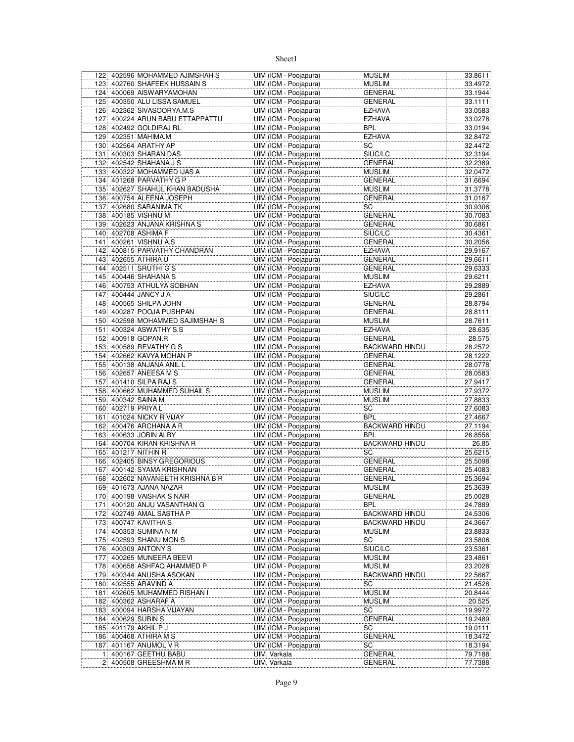|                | 122 402596 MOHAMMED AJIMSHAH S   | UIM (ICM - Poojapura)                          | <b>MUSLIM</b>         | 33.8611 |
|----------------|----------------------------------|------------------------------------------------|-----------------------|---------|
|                | 123 402760 SHAFEEK HUSSAIN S     | UIM (ICM - Poojapura)                          | <b>MUSLIM</b>         | 33.4972 |
|                | 124 400069 AISWARYAMOHAN         | UIM (ICM - Poojapura)                          | <b>GENERAL</b>        | 33.1944 |
|                | 125 400350 ALU LISSA SAMUEL      | UIM (ICM - Poojapura)                          | GENERAL               | 33.1111 |
|                | 126 402362 SIVASOORYA.M.S        | UIM (ICM - Poojapura)                          | EZHAVA                | 33.0583 |
|                | 127 400224 ARUN BABU ETTAPPATTU  | UIM (ICM - Poojapura)                          | EZHAVA                | 33.0278 |
|                | 128 402492 GOLDIRAJ RL           | UIM (ICM - Poojapura)                          | BPL                   | 33.0194 |
|                | 129 402351 MAHIMA.M              | UIM (ICM - Poojapura)                          | <b>EZHAVA</b>         | 32.8472 |
|                | 130 402564 ARATHY AP             | UIM (ICM - Poojapura)                          | SC                    | 32.4472 |
| 131            | 400303 SHARAN DAS                | UIM (ICM - Poojapura)                          | SIUC/LC               | 32.3194 |
|                | 132 402542 SHAHANA J S           | UIM (ICM - Poojapura)                          | GENERAL               | 32.2389 |
|                | 133 400322 MOHAMMED IJAS A       | UIM (ICM - Poojapura)                          | <b>MUSLIM</b>         | 32.0472 |
|                | 134 401268 PARVATHY G P          | UIM (ICM - Poojapura)                          | <b>GENERAL</b>        | 31.6694 |
|                | 135 402627 SHAHUL KHAN BADUSHA   | UIM (ICM - Poojapura)                          | <b>MUSLIM</b>         | 31.3778 |
|                | 136 400754 ALEENA JOSEPH         |                                                | <b>GENERAL</b>        |         |
|                | 137 402680 SARANIMA TK           | UIM (ICM - Poojapura)                          |                       | 31.0167 |
|                |                                  | UIM (ICM - Poojapura)<br>UIM (ICM - Poojapura) | SC                    | 30.9306 |
|                | 138 400185 VISHNU M              |                                                | GENERAL               | 30.7083 |
|                | 139 402623 ANJANA KRISHNA S      | UIM (ICM - Poojapura)                          | GENERAL               | 30.6861 |
|                | 140 402708 ASHIMA F              | UIM (ICM - Poojapura)                          | SIUC/LC               | 30.4361 |
|                | 141 400261 VISHNU A.S            | UIM (ICM - Poojapura)                          | GENERAL               | 30.2056 |
|                | 142 400815 PARVATHY CHANDRAN     | UIM (ICM - Poojapura)                          | EZHAVA                | 29.9167 |
|                | 143 402655 ATHIRA U              | UIM (ICM - Poojapura)                          | <b>GENERAL</b>        | 29.6611 |
|                | 144 402511 SRUTHI G S            | UIM (ICM - Poojapura)                          | <b>GENERAL</b>        | 29.6333 |
|                | 145 400446 SHAHANA S             | UIM (ICM - Poojapura)                          | <b>MUSLIM</b>         | 29.6211 |
|                | 146 400753 ATHULYA SOBHAN        | UIM (ICM - Poojapura)                          | EZHAVA                | 29.2889 |
|                | 147 400444 JANCY J A             | UIM (ICM - Poojapura)                          | SIUC/LC               | 29.2861 |
|                | 148 400565 SHILPA JOHN           | UIM (ICM - Poojapura)                          | <b>GENERAL</b>        | 28.8794 |
|                | 149 400287 POOJA PUSHPAN         | UIM (ICM - Poojapura)                          | GENERAL               | 28.8111 |
|                | 150 402598 MOHAMMED SAJIMSHAH S  | UIM (ICM - Poojapura)                          | <b>MUSLIM</b>         | 28.7611 |
|                | 151 400324 ASWATHY S.S           | UIM (ICM - Poojapura)                          | EZHAVA                | 28.635  |
|                | 152 400918 GOPAN.R               | UIM (ICM - Poojapura)                          | GENERAL               | 28.575  |
|                | 153 400589 REVATHY G S           | UIM (ICM - Poojapura)                          | <b>BACKWARD HINDU</b> | 28.2572 |
|                | 154 402662 KAVYA MOHAN P         | UIM (ICM - Poojapura)                          | <b>GENERAL</b>        | 28.1222 |
| 155            | 400138 ANJANA ANIL L             | UIM (ICM - Poojapura)                          | <b>GENERAL</b>        | 28.0778 |
|                | 156 402657 ANEESA M S            | UIM (ICM - Poojapura)                          | GENERAL               | 28.0583 |
|                | 157 401410 SILPA RAJ S           | UIM (ICM - Poojapura)                          | GENERAL               | 27.9417 |
|                | 158 400662 MUHAMMED SUHAIL S     | UIM (ICM - Poojapura)                          | <b>MUSLIM</b>         | 27.9372 |
|                | 159 400342 SAINA M               | UIM (ICM - Poojapura)                          | <b>MUSLIM</b>         | 27.8833 |
|                | 160 402719 PRIYA L               | UIM (ICM - Poojapura)                          | SC                    | 27.6083 |
|                | 161 401024 NICKY R VIJAY         | UIM (ICM - Poojapura)                          | <b>BPL</b>            | 27.4667 |
|                | 162 400476 ARCHANA A R           | UIM (ICM - Poojapura)                          | <b>BACKWARD HINDU</b> | 27.1194 |
|                | 163 400633 JOBIN ALBY            | UIM (ICM - Poojapura)                          | BPL                   | 26.8556 |
| 164            | 400704 KIRAN KRISHNA R           | UIM (ICM - Poojapura)                          | <b>BACKWARD HINDU</b> | 26.85   |
|                | 165 401217 NITHIN R              | UIM (ICM - Poojapura)                          | SC                    | 25.6215 |
|                | 166 402405 BINSY GREGORIOUS      | UIM (ICM - Poojapura)                          | GENERAL               | 25.5098 |
|                | 167 400142 SYAMA KRISHNAN        | UIM (ICM - Poojapura)                          | GENERAL               | 25.4083 |
|                | 168 402602 NAVANEETH KRISHNA B R | UIM (ICM - Poojapura)                          | <b>GENERAL</b>        | 25.3694 |
|                |                                  | UIM (ICM - Poojapura)                          |                       |         |
|                | 169 401673 AJANA NAZAR           |                                                | <b>MUSLIM</b>         | 25.3639 |
|                | 170 400198 VAISHAK S NAIR        | UIM (ICM - Poojapura)                          | GENERAL               | 25.0028 |
| 171            | 400120 ANJU VASANTHAN G          | UIM (ICM - Poojapura)                          | BPL                   | 24.7889 |
| 172            | 402749 AMAL SASTHA P             | UIM (ICM - Poojapura)                          | BACKWARD HINDU        | 24.5306 |
|                | 173 400747 KAVITHA S             | UIM (ICM - Poojapura)                          | <b>BACKWARD HINDU</b> | 24.3667 |
|                | 174 400353 SUMINA N M            | UIM (ICM - Poojapura)                          | <b>MUSLIM</b>         | 23.8833 |
|                | 175 402593 SHANU MON S           | UIM (ICM - Poojapura)                          | SC                    | 23.5806 |
|                | 176 400309 ANTONY S              | UIM (ICM - Poojapura)                          | SIUC/LC               | 23.5361 |
| 177            | 400265 MUNEERA BEEVI             | UIM (ICM - Poojapura)                          | MUSLIM                | 23.4861 |
|                | 178 400658 ASHFAQ AHAMMED P      | UIM (ICM - Poojapura)                          | <b>MUSLIM</b>         | 23.2028 |
|                | 179 400344 ANUSHA ASOKAN         | UIM (ICM - Poojapura)                          | BACKWARD HINDU        | 22.5667 |
| 180            | 402555 ARAVIND A                 | UIM (ICM - Poojapura)                          | SC                    | 21.4528 |
| 181            | 402605 MUHAMMED RISHAN I         | UIM (ICM - Poojapura)                          | <b>MUSLIM</b>         | 20.8444 |
| 182            | 400362 ASHARAF A                 | UIM (ICM - Poojapura)                          | <b>MUSLIM</b>         | 20.525  |
|                | 183 400094 HARSHA VIJAYAN        | UIM (ICM - Poojapura)                          | SC                    | 19.9972 |
| 184            | 400629 SUBIN S                   | UIM (ICM - Poojapura)                          | GENERAL               | 19.2489 |
|                | 185 401179 AKHIL P J             | UIM (ICM - Poojapura)                          | SC                    | 19.0111 |
|                | 186 400468 ATHIRA M S            | UIM (ICM - Poojapura)                          | <b>GENERAL</b>        | 18.3472 |
| 187            | 401167 ANUMOL V R                | UIM (ICM - Poojapura)                          | SC                    | 18.3194 |
| 1 <sup>1</sup> | 400167 GEETHU BABU               | UIM, Varkala                                   | <b>GENERAL</b>        | 79.7188 |
|                | 2 400508 GREESHMA M R            | UIM, Varkala                                   | GENERAL               | 77.7388 |
|                |                                  |                                                |                       |         |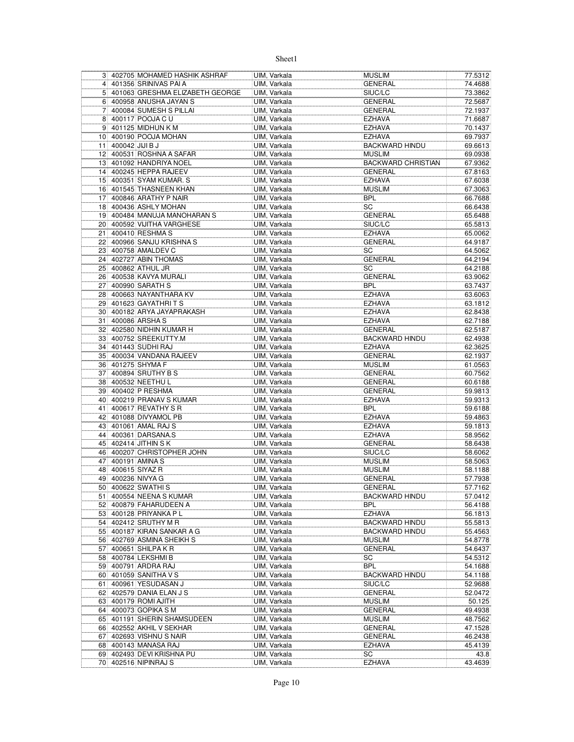|     |                 | 3 402705 MOHAMED HASHIK ASHRAF                | UIM, Varkala                 | <b>MUSLIM</b>                  | 77.5312            |
|-----|-----------------|-----------------------------------------------|------------------------------|--------------------------------|--------------------|
|     |                 | 4 401356 SRINIVAS PAI A                       | UIM, Varkala                 | <b>GENERAL</b>                 | 74.4688            |
|     |                 | 5 401063 GRESHMA ELIZABETH GEORGE             | UIM, Varkala                 | SIUC/LC                        | 73.3862            |
|     |                 | 6 400958 ANUSHA JAYAN S                       | UIM, Varkala                 | <b>GENERAL</b>                 | 72.5687            |
| 71  |                 | 400084 SUMESH S PILLAI                        | UIM, Varkala                 | <b>GENERAL</b>                 | 72.1937            |
|     |                 | 8 400117 POOJA C U                            | UIM, Varkala                 | <b>EZHAVA</b>                  | 71.6687            |
|     |                 | 9 401125 MIDHUN K M                           | UIM. Varkala                 | <b>EZHAVA</b>                  | 70.1437            |
|     |                 | 10 400190 POOJA MOHAN                         | UIM, Varkala                 | <b>EZHAVA</b>                  | 69.7937            |
| 11  | 400042 JIJI B J |                                               | UIM, Varkala                 | <b>BACKWARD HINDU</b>          | 69.6613            |
|     |                 | 12 400531 ROSHNA A SAFAR                      | UIM, Varkala                 | <b>MUSLIM</b>                  | 69.0938            |
|     |                 | 13 401092 HANDRIYA NOEL                       | UIM, Varkala                 | <b>BACKWARD CHRISTIAN</b>      | 67.9362            |
|     |                 | 14 400245 HEPPA RAJEEV                        | UIM, Varkala                 | <b>GENERAL</b>                 | 67.8163            |
|     |                 | 15 400351 SYAM KUMAR, S                       | UIM, Varkala                 | <b>EZHAVA</b>                  | 67.6038            |
|     |                 | 16 401545 THASNEEN KHAN                       | UIM, Varkala                 | <b>MUSLIM</b>                  | 67.3063            |
|     |                 | 17 400846 ARATHY P NAIR                       | UIM, Varkala                 | <b>BPL</b>                     | 66.7688            |
|     |                 | 18 400436 ASHLY MOHAN                         | UIM, Varkala                 | SC                             | 66.6438            |
|     |                 | 19 400484 MANUJA MANOHARAN S                  | UIM, Varkala                 | <b>GENERAL</b>                 | 65.6488            |
|     |                 | 20 400592 VIJITHA VARGHESE                    | UIM, Varkala                 | SIUC/LC                        | 65.5813            |
|     |                 | 21 400410 RESHMA S                            | UIM, Varkala                 | <b>EZHAVA</b>                  | 65.0062            |
|     |                 | 22 400966 SANJU KRISHNA S                     | UIM, Varkala                 | <b>GENERAL</b>                 | 64.9187            |
|     |                 | 23 400758 AMALDEV C                           | UIM, Varkala                 | SC                             | 64.5062            |
|     |                 | 24 402727 ABIN THOMAS                         | UIM, Varkala                 | GENERAL                        | 64.2194            |
|     |                 | 25 400862 ATHUL JR                            | UIM, Varkala                 | SC                             | 64.2188            |
|     |                 | 26 400538 KAVYA MURALI                        | UIM, Varkala                 | <b>GENERAL</b>                 | 63.9062            |
|     |                 | 27 400990 SARATH S<br>28 400663 NAYANTHARA KV | UIM, Varkala                 | <b>BPL</b>                     | 63.7437            |
|     |                 | 29 401623 GAYATHRITS                          | UIM, Varkala                 | <b>EZHAVA</b><br><b>EZHAVA</b> | 63.6063<br>63.1812 |
|     |                 | 30 400182 ARYA JAYAPRAKASH                    | UIM, Varkala                 | <b>EZHAVA</b>                  | 62.8438            |
|     |                 | 31 400086 ARSHA S                             | UIM, Varkala                 | <b>EZHAVA</b>                  | 62.7188            |
|     |                 | 32 402580 NIDHIN KUMAR H                      | UIM, Varkala                 | <b>GENERAL</b>                 | 62.5187            |
|     |                 | 33 400752 SREEKUTTY.M                         | UIM, Varkala<br>UIM, Varkala | <b>BACKWARD HINDU</b>          | 62.4938            |
|     |                 | 34 401443 SUDHI RAJ                           | UIM, Varkala                 | <b>EZHAVA</b>                  | 62.3625            |
|     |                 | 35 400034 VANDANA RAJEEV                      | UIM, Varkala                 | <b>GENERAL</b>                 | 62.1937            |
|     |                 | 36 401275 SHYMA F                             | UIM, Varkala                 | <b>MUSLIM</b>                  | 61.0563            |
|     |                 | 37 400894 SRUTHY B S                          | UIM, Varkala                 | <b>GENERAL</b>                 | 60.7562            |
|     |                 | 38 400532 NEETHU L                            | UIM, Varkala                 | <b>GENERAL</b>                 | 60.6188            |
|     |                 | 39 400402 P RESHMA                            | UIM, Varkala                 | <b>GENERAL</b>                 | 59.9813            |
|     |                 | 40 400219 PRANAV S KUMAR                      | UIM, Varkala                 | <b>EZHAVA</b>                  | 59.9313            |
|     |                 | 41 400617 REVATHY S R                         | UIM, Varkala                 | <b>BPL</b>                     | 59.6188            |
|     |                 | 42 401088 DIVYAMOL PB                         | UIM, Varkala                 | <b>EZHAVA</b>                  | 59.4863            |
| 43  |                 | 401061 AMAL RAJ S                             | UIM, Varkala                 | <b>EZHAVA</b>                  | 59.1813            |
|     |                 | 44 400361 DARSANA.S                           | UIM, Varkala                 | <b>EZHAVA</b>                  | 58.9562            |
|     |                 | 45 402414 JITHIN SK                           | UIM, Varkala                 | <b>GENERAL</b>                 | 58.6438            |
|     |                 | 46 400207 CHRISTOPHER JOHN                    | UIM, Varkala                 | SIUC/LC                        | 58.6062            |
|     |                 | 47 400191 AMINA S                             | UIM, Varkala                 | <b>MUSLIM</b>                  | 58.5063            |
|     |                 | 48 400615 SIYAZ R                             | UIM, Varkala                 | <b>MUSLIM</b>                  | 58.1188            |
|     |                 | 49 400236 NIVYA G                             | UIM, Varkala                 | <b>GENERAL</b>                 | 57.7938            |
|     |                 | 50 400622 SWATHIS                             | UIM, Varkala                 | <b>GENERAL</b>                 | 57.7162            |
|     |                 | 51 400554 NEENA S KUMAR                       | UIM, Varkala                 | BACKWARD HINDU                 | 57.0412            |
| 52  |                 | 400879 FAHARUDEEN A                           | UIM, Varkala                 | BPL                            | 56.4188            |
|     |                 | 53 400128 PRIYANKA PL                         | UIM, Varkala                 | <b>EZHAVA</b>                  | 56.1813            |
|     |                 | 54 402412 SRUTHY M R                          | UIM, Varkala                 | <b>BACKWARD HINDU</b>          | 55.5813            |
|     |                 | 55 400187 KIRAN SANKAR A G                    | UIM, Varkala                 | <b>BACKWARD HINDU</b>          | 55.4563            |
|     |                 | 56 402769 ASMINA SHEIKH S                     | UIM, Varkala                 | <b>MUSLIM</b>                  | 54.8778            |
|     |                 | 57 400651 SHILPA K R                          | UIM, Varkala                 | GENERAL                        | 54.6437            |
|     |                 | 58 400784 LEKSHMI B                           | UIM, Varkala                 | SC                             | 54.5312            |
|     |                 | 59 400791 ARDRA RAJ                           | UIM, Varkala                 | <b>BPL</b>                     | 54.1688            |
|     |                 | 60 401059 SANITHA V S                         | UIM, Varkala                 | <b>BACKWARD HINDU</b>          | 54.1188            |
| 61  |                 | 400961 YESUDASAN J                            | UIM, Varkala                 | SIUC/LC                        | 52.9688            |
|     |                 | 62 402579 DANIA ELAN J S                      | UIM, Varkala                 | GENERAL                        | 52.0472            |
|     |                 | 63 400179 ROMI AJITH                          | UIM, Varkala                 | <b>MUSLIM</b>                  | 50.125             |
|     |                 | 64 400073 GOPIKA S M                          | UIM, Varkala                 | GENERAL                        | 49.4938            |
|     |                 | 65 401191 SHERIN SHAMSUDEEN                   | UIM, Varkala                 | <b>MUSLIM</b>                  | 48.7562            |
|     |                 | 66 402552 AKHIL V SEKHAR                      | UIM, Varkala                 | GENERAL                        | 47.1528            |
|     |                 | 67 402693 VISHNU S NAIR                       | UIM, Varkala                 | GENERAL                        | 46.2438            |
| 681 |                 | 400143 MANASA RAJ                             | UIM, Varkala                 | <b>EZHAVA</b>                  | 45.4139            |
|     |                 | 69 402493 DEVI KRISHNA PU                     | UIM, Varkala                 | SC                             | 43.8               |
|     |                 | 70 402516 NIPINRAJ S                          | UIM, Varkala                 | <b>EZHAVA</b>                  | 43.4639            |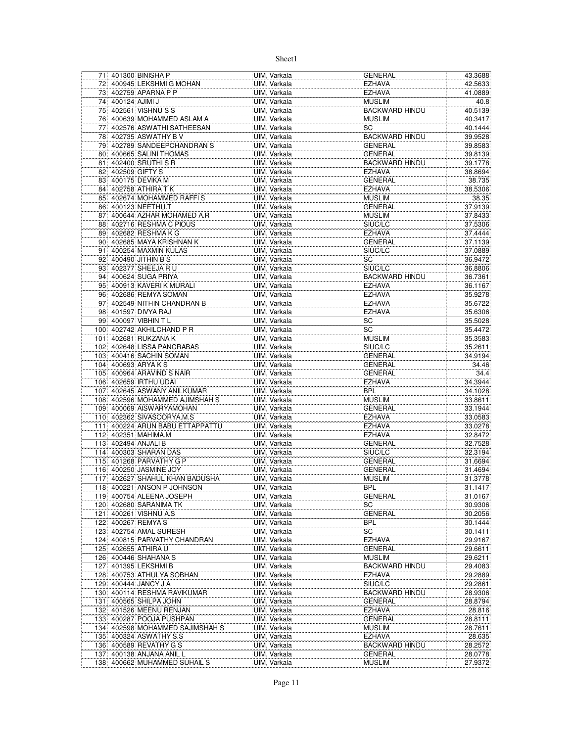|                 |                   | 71 401300 BINISHA P                                  | UIM, Varkala                 | <b>GENERAL</b>                  | 43.3688            |
|-----------------|-------------------|------------------------------------------------------|------------------------------|---------------------------------|--------------------|
|                 |                   | 72 400945 LEKSHMIG MOHAN                             | UIM, Varkala                 | <b>EZHAVA</b>                   | 42.5633            |
|                 |                   | 73 402759 APARNA P P                                 | UIM, Varkala                 | <b>EZHAVA</b>                   | 41.0889            |
|                 | 74 400124 AJIMI J |                                                      | UIM, Varkala                 | <b>MUSLIM</b>                   | 40.8               |
|                 |                   | 75 402561 VISHNU S S                                 | UIM, Varkala                 | <b>BACKWARD HINDU</b>           | 40.5139            |
|                 |                   | 76 400639 MOHAMMED ASLAM A                           | UIM, Varkala                 | <b>MUSLIM</b>                   | 40.3417            |
| 77              |                   | 402576 ASWATHI SATHEESAN                             | UIM. Varkala                 | SC                              | 40.1444            |
|                 |                   | 78 402735 ASWATHY B V                                | UIM, Varkala                 | <b>BACKWARD HINDU</b>           | 39.9528            |
| 79              |                   | 402789 SANDEEPCHANDRAN S                             | UIM, Varkala                 | <b>GENERAL</b>                  | 39.8583            |
|                 |                   | 80 400665 SALINI THOMAS                              | UIM, Varkala                 | <b>GENERAL</b>                  | 39.8139            |
| 81              |                   | 402400 SRUTHI S R                                    | UIM, Varkala                 | <b>BACKWARD HINDU</b>           | 39.1778            |
| 82              |                   | 402509 GIFTY S                                       | UIM, Varkala                 | <b>EZHAVA</b>                   | 38.8694            |
|                 |                   | 83 400175 DEVIKA M                                   | UIM, Varkala                 | <b>GENERAL</b>                  | 38.735             |
| 84              |                   | 402758 ATHIRA T K                                    | UIM, Varkala                 | <b>EZHAVA</b>                   | 38.5306            |
|                 |                   | 85 402674 MOHAMMED RAFFIS                            | UIM, Varkala                 | <b>MUSLIM</b>                   | 38.35              |
| 86              |                   | 400123 NEETHU.T                                      | UIM, Varkala                 | <b>GENERAL</b>                  | 37.9139            |
| 87              |                   | 400644 AZHAR MOHAMED A.R                             | UIM, Varkala                 | <b>MUSLIM</b>                   | 37.8433            |
|                 |                   | 88 402716 RESHMA C PIOUS                             | UIM, Varkala                 | SIUC/LC                         | 37.5306            |
|                 |                   | 89 402682 RESHMA K G                                 | UIM, Varkala                 | <b>EZHAVA</b>                   | 37.4444            |
| 90 <sup>1</sup> |                   | 402685 MAYA KRISHNAN K                               | UIM, Varkala                 | <b>GENERAL</b>                  | 37.1139            |
| 91              |                   | 400254 MAXMIN KULAS                                  | UIM, Varkala                 | SIUC/LC                         | 37.0889            |
| 92              |                   | 400490 JITHIN B S                                    | UIM. Varkala                 | SC                              | 36.9472            |
| 93              |                   | 402377 SHEEJA R U                                    | UIM, Varkala                 | SIUC/LC                         | 36.8806            |
| 94              |                   | 400624 SUGA PRIYA                                    | UIM, Varkala                 | <b>BACKWARD HINDU</b>           | 36.7361            |
| 95              |                   | 400913 KAVERIK MURALI                                | UIM, Varkala                 | <b>EZHAVA</b>                   | 36.1167            |
|                 |                   | 96 402686 REMYA SOMAN                                | UIM, Varkala                 | <b>EZHAVA</b>                   | 35.9278            |
| 97              |                   | 402549 NITHIN CHANDRAN B                             | UIM, Varkala                 | <b>EZHAVA</b>                   | 35.6722            |
|                 |                   | 98 401597 DIVYA RAJ                                  | UIM, Varkala                 | <b>EZHAVA</b>                   | 35.6306            |
|                 |                   | 99 400097 VIBHIN TL                                  | UIM, Varkala                 | SC                              | 35.5028            |
|                 |                   | 100 402742 AKHILCHAND P R                            | UIM, Varkala                 | SC                              | 35.4472            |
|                 |                   | 101 402681 RUKZANA K                                 | UIM. Varkala                 | <b>MUSLIM</b>                   | 35.3583            |
| 102             |                   | 402648 LISSA PANCRABAS                               | UIM, Varkala                 | SIUC/LC                         | 35.2611            |
|                 |                   | 103 400416 SACHIN SOMAN                              | UIM, Varkala                 | <b>GENERAL</b>                  | 34.9194            |
|                 |                   | 104 400693 ARYA K S                                  | UIM, Varkala                 | <b>GENERAL</b>                  | 34.46              |
|                 |                   | 105 400964 ARAVIND S NAIR                            | UIM, Varkala                 | <b>GENERAL</b>                  | 34.4               |
|                 |                   | 106 402659 IRTHU UDAI                                | UIM, Varkala                 | <b>EZHAVA</b>                   | 34.3944            |
| 107             |                   | 402645 ASWANY ANILKUMAR                              | UIM, Varkala                 | <b>BPL</b>                      | 34.1028            |
|                 |                   | 108 402596 MOHAMMED AJIMSHAH S                       | UIM, Varkala                 | <b>MUSLIM</b>                   | 33.8611            |
| 109             |                   | 400069 AISWARYAMOHAN                                 | UIM, Varkala                 | <b>GENERAL</b>                  | 33.1944            |
|                 |                   | 110 402362 SIVASOORYA.M.S                            | UIM, Varkala                 | <b>EZHAVA</b>                   | 33.0583            |
| 111             |                   | 400224 ARUN BABU ETTAPPATTU                          | UIM, Varkala                 |                                 |                    |
|                 |                   |                                                      |                              | <b>EZHAVA</b>                   | 33.0278            |
|                 |                   | 112 402351 MAHIMA.M                                  | UIM, Varkala                 | <b>EZHAVA</b>                   | 32.8472            |
|                 |                   | 113 402494 ANJALI B                                  | UIM, Varkala                 | <b>GENERAL</b>                  | 32.7528            |
|                 |                   | 114 400303 SHARAN DAS                                | UIM, Varkala                 | SIUC/LC                         | 32.3194            |
|                 |                   | 115 401268 PARVATHY G P                              | UIM, Varkala                 | <b>GENERAL</b>                  | 31.6694            |
|                 |                   | 116 400250 JASMINE JOY                               | UIM, Varkala                 | <b>GENERAL</b>                  | 31.4694            |
|                 |                   | 117 402627 SHAHUL KHAN BADUSHA                       | UIM, Varkala                 | <b>MUSLIM</b>                   | 31.3778            |
|                 |                   | 118 400221 ANSON P JOHNSON                           | UIM, Varkala                 | <b>BPL</b>                      | 31.1417            |
|                 |                   | 119 400754 ALEENA JOSEPH                             | UIM, Varkala                 | <b>GENERAL</b>                  | 31.0167            |
|                 |                   | 120 402680 SARANIMA TK                               | UIM, Varkala                 | SC                              | 30.9306            |
|                 |                   | 121 400261 VISHNU A.S                                | UIM, Varkala                 | <b>GENERAL</b>                  | 30.2056            |
|                 |                   | 122 400267 REMYA S                                   | UIM, Varkala                 | <b>BPL</b>                      | 30.1444            |
|                 |                   | 123 402754 AMAL SURESH                               | UIM, Varkala                 | SC                              | 30.1411            |
| 124             |                   | 400815 PARVATHY CHANDRAN                             | UIM, Varkala                 | <b>EZHAVA</b>                   | 29.9167            |
| 125             |                   | 402655 ATHIRA U                                      | UIM, Varkala                 | GENERAL                         | 29.6611            |
|                 |                   | 126 400446 SHAHANA S                                 | UIM, Varkala                 | <b>MUSLIM</b>                   | 29.6211            |
| 127             |                   | 401395 LEKSHMI B                                     | UIM, Varkala                 | <b>BACKWARD HINDU</b>           | 29.4083            |
|                 |                   | 128 400753 ATHULYA SOBHAN                            | UIM, Varkala                 | <b>EZHAVA</b>                   | 29.2889            |
|                 |                   | 129 400444 JANCY J A                                 | UIM, Varkala                 | SIUC/LC                         | 29.2861            |
|                 |                   | 130 400114 RESHMA RAVIKUMAR                          | UIM, Varkala                 | <b>BACKWARD HINDU</b>           | 28.9306            |
| 131             |                   | 400565 SHILPA JOHN                                   | UIM, Varkala                 | <b>GENERAL</b>                  | 28.8794            |
|                 |                   | 132 401526 MEENU RENJAN                              | UIM, Varkala                 | <b>EZHAVA</b>                   | 28.816             |
|                 |                   | 133 400287 POOJA PUSHPAN                             | UIM, Varkala                 | <b>GENERAL</b>                  | 28.8111            |
| 134             |                   | 402598 MOHAMMED SAJIMSHAH S                          | UIM, Varkala                 | <b>MUSLIM</b>                   | 28.7611            |
|                 |                   | 135 400324 ASWATHY S.S                               | UIM, Varkala                 | <b>EZHAVA</b>                   | 28.635             |
| 136             |                   | 400589 REVATHY G S                                   | UIM, Varkala                 | <b>BACKWARD HINDU</b>           | 28.2572            |
| 137             |                   | 400138 ANJANA ANIL L<br>138 400662 MUHAMMED SUHAIL S | UIM, Varkala<br>UIM, Varkala | <b>GENERAL</b><br><b>MUSLIM</b> | 28.0778<br>27.9372 |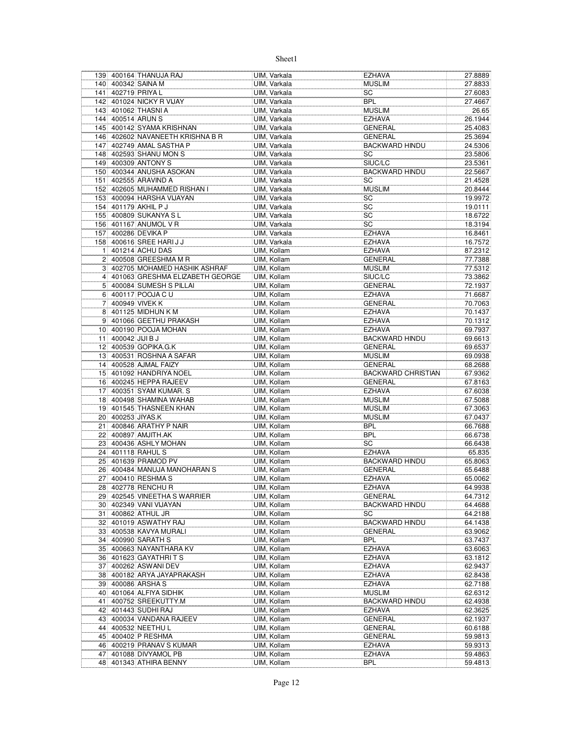|                |                    | 139 400164 THANUJA RAJ           | UIM, Varkala | <b>EZHAVA</b>             | 27.8889 |
|----------------|--------------------|----------------------------------|--------------|---------------------------|---------|
|                |                    | 140 400342 SAINA M               | UIM, Varkala | <b>MUSLIM</b>             | 27.8833 |
|                |                    | 141 402719 PRIYA L               | UIM, Varkala | SC                        | 27.6083 |
|                |                    | 142 401024 NICKY R VIJAY         | UIM, Varkala | <b>BPL</b>                | 27.4667 |
|                |                    | 143 401062 THASNI A              | UIM, Varkala | <b>MUSLIM</b>             | 26.65   |
|                |                    | 144 400514 ARUN S                | UIM. Varkala | <b>EZHAVA</b>             | 26.1944 |
|                |                    | 145 400142 SYAMA KRISHNAN        | UIM, Varkala | <b>GENERAL</b>            | 25.4083 |
|                |                    | 146 402602 NAVANEETH KRISHNA B R | UIM, Varkala | <b>GENERAL</b>            | 25.3694 |
|                |                    | 147 402749 AMAL SASTHA P         | UIM, Varkala | <b>BACKWARD HINDU</b>     | 24.5306 |
|                |                    | 148 402593 SHANU MON S           | UIM, Varkala | SC                        | 23.5806 |
|                |                    | 149 400309 ANTONY S              | UIM, Varkala | SIUC/LC                   | 23.5361 |
|                |                    | 150 400344 ANUSHA ASOKAN         | UIM, Varkala | <b>BACKWARD HINDU</b>     | 22.5667 |
|                |                    | 151 402555 ARAVIND A             |              | SC                        | 21.4528 |
|                |                    |                                  | UIM, Varkala |                           |         |
|                |                    | 152 402605 MUHAMMED RISHAN I     | UIM, Varkala | <b>MUSLIM</b>             | 20.8444 |
|                |                    | 153 400094 HARSHA VIJAYAN        | UIM, Varkala | SC                        | 19.9972 |
|                |                    | 154 401179 AKHIL P J             | UIM, Varkala | SC                        | 19.0111 |
|                |                    | 155 400809 SUKANYA SL            | UIM, Varkala | SC                        | 18.6722 |
|                |                    | 156 401167 ANUMOL V R            | UIM, Varkala | SC                        | 18.3194 |
|                |                    | 157 400286 DEVIKA P              | UIM, Varkala | <b>EZHAVA</b>             | 16.8461 |
|                |                    | 158 400616 SREE HARIJJ           | UIM, Varkala | <b>EZHAVA</b>             | 16.7572 |
| 11             |                    | 401214 ACHU DAS                  | UIM, Kollam  | <b>EZHAVA</b>             | 87.2312 |
|                |                    | 2 400508 GREESHMA M R            | UIM, Kollam  | <b>GENERAL</b>            | 77.7388 |
|                |                    | 3 402705 MOHAMED HASHIK ASHRAF   | UIM, Kollam  | <b>MUSLIM</b>             | 77.5312 |
| 4 <sup>1</sup> |                    | 401063 GRESHMA ELIZABETH GEORGE  | UIM, Kollam  | SIUC/LC                   | 73.3862 |
|                |                    | 5 400084 SUMESH S PILLAI         | UIM, Kollam  | <b>GENERAL</b>            | 72.1937 |
|                |                    | 6 400117 POOJA C U               | UIM, Kollam  | <b>EZHAVA</b>             | 71.6687 |
| $\overline{7}$ |                    | 400949 VIVEK K                   | UIM, Kollam  | <b>GENERAL</b>            | 70.7063 |
|                |                    | 8 401125 MIDHUN K M              | UIM, Kollam  | <b>EZHAVA</b>             | 70.1437 |
|                |                    | 9 401066 GEETHU PRAKASH          | UIM, Kollam  | <b>EZHAVA</b>             | 70.1312 |
|                |                    | 10 400190 POOJA MOHAN            | UIM, Kollam  | <b>EZHAVA</b>             | 69.7937 |
|                | 11 400042 JJJJ B J |                                  | UIM, Kollam  | <b>BACKWARD HINDU</b>     | 69.6613 |
|                |                    | 12 400539 GOPIKA.G.K             | UIM, Kollam  | <b>GENERAL</b>            | 69.6537 |
|                |                    | 13 400531 ROSHNA A SAFAR         | UIM, Kollam  | <b>MUSLIM</b>             | 69.0938 |
|                |                    | 14 400528 AJMAL FAIZY            | UIM, Kollam  | <b>GENERAL</b>            | 68.2688 |
|                |                    | 15 401092 HANDRIYA NOEL          | UIM, Kollam  | <b>BACKWARD CHRISTIAN</b> | 67.9362 |
|                |                    | 16 400245 HEPPA RAJEEV           | UIM, Kollam  | <b>GENERAL</b>            | 67.8163 |
|                |                    | 17 400351 SYAM KUMAR. S          | UIM, Kollam  | <b>EZHAVA</b>             | 67.6038 |
|                |                    | 18 400498 SHAMINA WAHAB          | UIM, Kollam  | <b>MUSLIM</b>             | 67.5088 |
|                |                    | 19 401545 THASNEEN KHAN          | UIM, Kollam  | <b>MUSLIM</b>             | 67.3063 |
|                | 20 400253 JIYAS.K  |                                  | UIM, Kollam  | <b>MUSLIM</b>             | 67.0437 |
|                |                    |                                  |              |                           |         |
| 21             |                    | 400846 ARATHY P NAIR             | UIM, Kollam  | <b>BPL</b>                | 66.7688 |
|                |                    | 22 400897 AMJITH.AK              | UIM, Kollam  | <b>BPL</b>                | 66.6738 |
|                |                    | 23 400436 ASHLY MOHAN            | UIM, Kollam  | <b>SC</b>                 | 66.6438 |
|                |                    | 24 401118 RAHUL S                | UIM, Kollam  | <b>EZHAVA</b>             | 65.835  |
|                |                    | 25 401639 PRAMOD PV              | UIM, Kollam  | <b>BACKWARD HINDU</b>     | 65.8063 |
|                |                    | 26 400484 MANUJA MANOHARAN S     | UIM. Kollam  | <b>GENERAL</b>            | 65.6488 |
|                |                    | 27 400410 RESHMA S               | UIM, Kollam  | <b>EZHAVA</b>             | 65.0062 |
|                |                    | 28 402778 RENCHU R               | UIM, Kollam  | <b>EZHAVA</b>             | 64.9938 |
|                |                    | 29 402545 VINEETHA S WARRIER     | UIM, Kollam  | <b>GENERAL</b>            | 64.7312 |
|                |                    | 30 402349 VANI VIJAYAN           | UIM, Kollam  | <b>BACKWARD HINDU</b>     | 64.4688 |
|                |                    | 31 400862 ATHUL JR               | UIM, Kollam  | SC                        | 64.2188 |
|                |                    | 32 401019 ASWATHY RAJ            | UIM, Kollam  | <b>BACKWARD HINDU</b>     | 64.1438 |
|                |                    | 33 400538 KAVYA MURALI           | UIM, Kollam  | <b>GENERAL</b>            | 63.9062 |
|                |                    | 34 400990 SARATH S               | UIM, Kollam  | <b>BPL</b>                | 63.7437 |
|                |                    | 35 400663 NAYANTHARA KV          | UIM, Kollam  | <b>EZHAVA</b>             | 63.6063 |
|                |                    | 36 401623 GAYATHRITS             | UIM, Kollam  | <b>EZHAVA</b>             | 63.1812 |
|                |                    | 37 400262 ASWANI DEV             | UIM. Kollam  | <b>EZHAVA</b>             | 62.9437 |
|                |                    | 38 400182 ARYA JAYAPRAKASH       | UIM, Kollam  | <b>EZHAVA</b>             | 62.8438 |
|                |                    | 39 400086 ARSHAS                 | UIM, Kollam  | <b>EZHAVA</b>             | 62.7188 |
|                |                    | 40 401064 ALFIYA SIDHIK          | UIM, Kollam  | <b>MUSLIM</b>             | 62.6312 |
| 41             |                    | 400752 SREEKUTTY.M               | UIM, Kollam  | <b>BACKWARD HINDU</b>     | 62.4938 |
|                |                    | 42 401443 SUDHI RAJ              | UIM, Kollam  | <b>EZHAVA</b>             | 62.3625 |
|                |                    | 43 400034 VANDANA RAJEEV         | UIM, Kollam  | GENERAL                   | 62.1937 |
|                |                    | 44 400532 NEETHU L               | UIM, Kollam  | <b>GENERAL</b>            | 60.6188 |
|                |                    | 45 400402 P RESHMA               | UIM, Kollam  | GENERAL                   | 59.9813 |
|                |                    | 46 400219 PRANAV S KUMAR         | UIM, Kollam  | <b>EZHAVA</b>             | 59.9313 |
|                |                    | 47 401088 DIVYAMOL PB            | UIM, Kollam  | <b>EZHAVA</b>             | 59.4863 |
|                |                    | 48 401343 ATHIRA BENNY           | UIM, Kollam  | BPL                       | 59.4813 |
|                |                    |                                  |              |                           |         |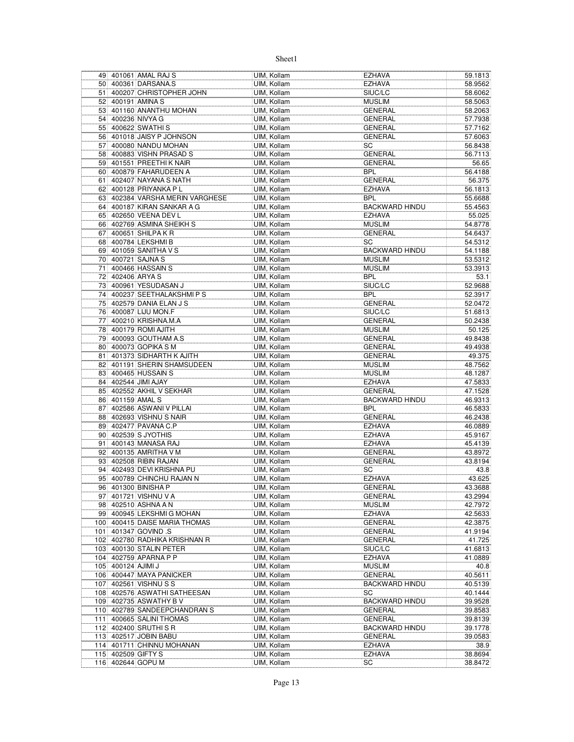|                 |                    | 49 401061 AMAL RAJ S          | UIM, Kollam | <b>EZHAVA</b>         | 59.1813 |
|-----------------|--------------------|-------------------------------|-------------|-----------------------|---------|
| 50              |                    | 400361 DARSANA.S              | UIM, Kollam | <b>EZHAVA</b>         | 58.9562 |
| 51              |                    | 400207 CHRISTOPHER JOHN       | UIM, Kollam | SIUC/LC               | 58.6062 |
| 52 <sup>1</sup> |                    | 400191 AMINA S                | UIM, Kollam | <b>MUSLIM</b>         | 58.5063 |
| 53              |                    | 401160 ANANTHU MOHAN          | UIM, Kollam | <b>GENERAL</b>        | 58.2063 |
| 54              |                    | 400236 NIVYA G                | UIM, Kollam | <b>GENERAL</b>        | 57.7938 |
|                 |                    | 55 400622 SWATHIS             | UIM, Kollam | GENERAL               | 57.7162 |
|                 |                    | 56 401018 JAISY P JOHNSON     | UIM, Kollam | <b>GENERAL</b>        | 57.6063 |
| 57 <sup>1</sup> |                    | 400080 NANDU MOHAN            | UIM, Kollam | SC                    | 56.8438 |
| 58              |                    | 400883 VISHN PRASAD S         | UIM, Kollam | <b>GENERAL</b>        | 56.7113 |
|                 |                    | 59 401551 PREETHI K NAIR      | UIM, Kollam | <b>GENERAL</b>        | 56.65   |
|                 |                    | 60 400879 FAHARUDEEN A        | UIM, Kollam | <b>BPL</b>            | 56.4188 |
| 61              |                    | 402407 NAYANA S NATH          |             | <b>GENERAL</b>        | 56.375  |
|                 |                    | 400128 PRIYANKA PL            | UIM, Kollam |                       |         |
| 62              |                    |                               | UIM, Kollam | <b>EZHAVA</b>         | 56.1813 |
| 63              |                    | 402384 VARSHA MERIN VARGHESE  | UIM, Kollam | <b>BPL</b>            | 55.6688 |
| 64              |                    | 400187 KIRAN SANKAR A G       | UIM, Kollam | <b>BACKWARD HINDU</b> | 55.4563 |
|                 |                    | 65 402650 VEENA DEV L         | UIM, Kollam | <b>EZHAVA</b>         | 55.025  |
| 66              |                    | 402769 ASMINA SHEIKH S        | UIM, Kollam | <b>MUSLIM</b>         | 54.8778 |
| 67              |                    | 400651 SHILPA K R             | UIM, Kollam | <b>GENERAL</b>        | 54.6437 |
| 68              |                    | 400784 LEKSHMI B              | UIM, Kollam | SC                    | 54.5312 |
|                 |                    | 69 401059 SANITHA V S         | UIM, Kollam | <b>BACKWARD HINDU</b> | 54.1188 |
| 70              |                    | 400721 SAJNA S                | UIM, Kollam | <b>MUSLIM</b>         | 53.5312 |
| 71              |                    | 400466 HASSAIN S              | UIM, Kollam | <b>MUSLIM</b>         | 53.3913 |
| 72              |                    | 402406 ARYA S                 | UIM, Kollam | <b>BPL</b>            | 53.1    |
| 73              |                    | 400961 YESUDASAN J            | UIM, Kollam | SIUC/LC               | 52.9688 |
| 74              |                    | 400237 SEETHALAKSHMIPS        | UIM. Kollam | <b>BPL</b>            | 52.3917 |
| 75              |                    | 402579 DANIA ELAN J S         | UIM, Kollam | <b>GENERAL</b>        | 52.0472 |
|                 |                    | 76 400087 LIJU MON.F          | UIM, Kollam | SIUC/LC               | 51.6813 |
| 77              |                    | 400210 KRISHNA.M.A            | UIM, Kollam | <b>GENERAL</b>        | 50.2438 |
| 78              |                    | 400179 ROMI AJITH             | UIM. Kollam | <b>MUSLIM</b>         | 50.125  |
| 79              |                    | 400093 GOUTHAM A.S            | UIM, Kollam | <b>GENERAL</b>        | 49.8438 |
|                 |                    | 80 400073 GOPIKA S M          | UIM, Kollam | GENERAL               | 49.4938 |
| 81              |                    | 401373 SIDHARTH K AJITH       | UIM, Kollam | <b>GENERAL</b>        | 49.375  |
| 82              |                    | 401191 SHERIN SHAMSUDEEN      | UIM, Kollam | <b>MUSLIM</b>         | 48.7562 |
| 83              |                    | 400465 HUSSAIN S              | UIM, Kollam | <b>MUSLIM</b>         | 48.1287 |
| 84              |                    | 402544 JIMI AJAY              | UIM, Kollam | <b>EZHAVA</b>         | 47.5833 |
|                 |                    | 85 402552 AKHIL V SEKHAR      | UIM, Kollam | <b>GENERAL</b>        | 47.1528 |
| 86              |                    | 401159 AMAL S                 | UIM, Kollam | <b>BACKWARD HINDU</b> | 46.9313 |
| 87              |                    | 402586 ASWANI V PILLAI        | UIM, Kollam | <b>BPL</b>            | 46.5833 |
|                 |                    | 88 402693 VISHNU S NAIR       | UIM, Kollam | <b>GENERAL</b>        | 46.2438 |
| 89              |                    | 402477 PAVANA C.P             | UIM, Kollam | <b>EZHAVA</b>         | 46.0889 |
|                 |                    | 90 402539 S JYOTHIS           | UIM, Kollam | <b>EZHAVA</b>         | 45.9167 |
|                 |                    |                               |             |                       |         |
| 911             |                    | 400143 MANASA RAJ             | UIM, Kollam | <b>EZHAVA</b>         | 45.4139 |
|                 |                    | 92 400135 AMRITHA V M         | UIM, Kollam | <b>GENERAL</b>        | 43.8972 |
|                 |                    | 93 402508 RIBIN RAJAN         | UIM, Kollam | <b>GENERAL</b>        | 43.8194 |
|                 |                    | 94 402493 DEVI KRISHNA PU     | UIM, Kollam | SC                    | 43.8    |
| 95              |                    | 400789 CHINCHU RAJAN N        | UIM, Kollam | <b>EZHAVA</b>         | 43.625  |
|                 |                    | 96 401300 BINISHA P           | UIM, Kollam | <b>GENERAL</b>        | 43.3688 |
|                 |                    | 97 401721 VISHNU V A          | UIM, Kollam | <b>GENERAL</b>        | 43.2994 |
|                 |                    | 98 402510 ASHNA A N           | UIM, Kollam | <b>MUSLIM</b>         | 42.7972 |
|                 |                    | 99 400945 LEKSHMI G MOHAN     | UIM. Kollam | <b>EZHAVA</b>         | 42.5633 |
|                 |                    | 100 400415 DAISE MARIA THOMAS | UIM, Kollam | <b>GENERAL</b>        | 42.3875 |
|                 |                    | 101 401347 GOVIND .S          | UIM, Kollam | <b>GENERAL</b>        | 41.9194 |
|                 |                    | 102 402780 RADHIKA KRISHNAN R | UIM, Kollam | GENERAL               | 41.725  |
|                 |                    | 103 400130 STALIN PETER       | UIM, Kollam | SIUC/LC               | 41.6813 |
| 104             |                    | 402759 APARNA P P             | UIM, Kollam | <b>EZHAVA</b>         | 41.0889 |
|                 | 105 400124 AJIMI J |                               | UIM. Kollam | <b>MUSLIM</b>         | 40.8    |
|                 |                    | 106 400447 MAYA PANICKER      | UIM, Kollam | <b>GENERAL</b>        | 40.5611 |
| 107             |                    | 402561 VISHNU S S             | UIM, Kollam | <b>BACKWARD HINDU</b> | 40.5139 |
|                 |                    | 108 402576 ASWATHI SATHEESAN  | UIM, Kollam | SC                    | 40.1444 |
|                 |                    | 109 402735 ASWATHY B V        | UIM, Kollam | <b>BACKWARD HINDU</b> | 39.9528 |
|                 |                    | 110 402789 SANDEEPCHANDRAN S  | UIM, Kollam | <b>GENERAL</b>        | 39.8583 |
| 111             |                    | 400665 SALINI THOMAS          | UIM, Kollam | <b>GENERAL</b>        | 39.8139 |
|                 |                    | 112 402400 SRUTHI SR          | UIM, Kollam | <b>BACKWARD HINDU</b> | 39.1778 |
|                 |                    | 113 402517 JOBIN BABU         | UIM, Kollam | <b>GENERAL</b>        | 39.0583 |
| 114             |                    | 401711 CHINNU MOHANAN         | UIM, Kollam | <b>EZHAVA</b>         | 38.9    |
| 115             |                    | 402509 GIFTY S                | UIM, Kollam | <b>EZHAVA</b>         | 38.8694 |
|                 |                    | 116 402644 GOPU M             | UIM, Kollam | SC                    | 38.8472 |
|                 |                    |                               |             |                       |         |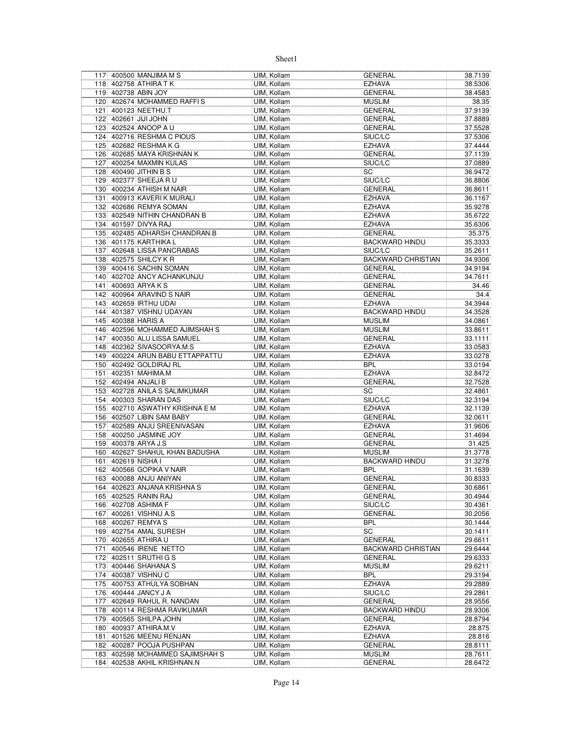|     | 117 400500 MANJIMA M S                     | UIM, Kollam | <b>GENERAL</b>            | 38.7139 |
|-----|--------------------------------------------|-------------|---------------------------|---------|
|     | 118 402758 ATHIRA T K                      | UIM, Kollam | EZHAVA                    | 38.5306 |
|     | 119 402738 ABIN JOY                        | UIM, Kollam | <b>GENERAL</b>            | 38.4583 |
|     | 120 402674 MOHAMMED RAFFIS                 | UIM, Kollam | <b>MUSLIM</b>             | 38.35   |
|     | 121 400123 NEETHU.T                        | UIM, Kollam | <b>GENERAL</b>            | 37.9139 |
|     | 122 402661 JJJJ JOHN                       | UIM, Kollam | <b>GENERAL</b>            | 37.8889 |
|     | 123 402524 ANOOP A U                       | UIM, Kollam | <b>GENERAL</b>            | 37.5528 |
|     | 124 402716 RESHMA C PIOUS                  | UIM, Kollam | SIUC/LC                   | 37.5306 |
|     | 125 402682 RESHMA K G                      | UIM, Kollam | <b>EZHAVA</b>             | 37.4444 |
|     | 126 402685 MAYA KRISHNAN K                 | UIM, Kollam | <b>GENERAL</b>            | 37.1139 |
|     | 127 400254 MAXMIN KULAS                    | UIM, Kollam | SIUC/LC                   | 37.0889 |
|     | 128 400490 JITHIN B S                      | UIM, Kollam | SC                        | 36.9472 |
|     | 129 402377 SHEEJA R U                      | UIM, Kollam | SIUC/LC                   |         |
|     |                                            | UIM. Kollam |                           | 36.8806 |
|     | 130 400234 ATHISH M NAIR                   |             | <b>GENERAL</b>            | 36.8611 |
|     | 131 400913 KAVERIK MURALI                  | UIM, Kollam | <b>EZHAVA</b>             | 36.1167 |
|     | 132 402686 REMYA SOMAN                     | UIM, Kollam | <b>EZHAVA</b>             | 35.9278 |
|     | 133 402549 NITHIN CHANDRAN B               | UIM, Kollam | <b>EZHAVA</b>             | 35.6722 |
|     | 134 401597 DIVYA RAJ                       | UIM, Kollam | <b>EZHAVA</b>             | 35.6306 |
|     | 135 402485 ADHARSH CHANDRAN.B              | UIM, Kollam | <b>GENERAL</b>            | 35.375  |
|     | 136 401175 KARTHIKA L                      | UIM, Kollam | <b>BACKWARD HINDU</b>     | 35.3333 |
|     | 137 402648 LISSA PANCRABAS                 | UIM, Kollam | SIUC/LC                   | 35.2611 |
|     | 138 402575 SHILCY K R                      | UIM, Kollam | <b>BACKWARD CHRISTIAN</b> | 34.9306 |
|     | 139 400416 SACHIN SOMAN                    | UIM, Kollam | <b>GENERAL</b>            | 34.9194 |
|     | 140 402702 ANCY ACHANKUNJU                 | UIM, Kollam | <b>GENERAL</b>            | 34.7611 |
| 141 | 400693 ARYAKS                              | UIM, Kollam | <b>GENERAL</b>            | 34.46   |
|     | 142 400964 ARAVIND S NAIR                  | UIM, Kollam | <b>GENERAL</b>            | 34.4    |
|     | 143 402659 IRTHU UDAI                      | UIM, Kollam | EZHAVA                    | 34.3944 |
|     | 144 401387 VISHNU UDAYAN                   | UIM, Kollam | <b>BACKWARD HINDU</b>     | 34.3528 |
|     | 145 400388 HARIS A                         | UIM, Kollam | <b>MUSLIM</b>             | 34.0861 |
|     | 146 402596 MOHAMMED AJIMSHAH S             | UIM, Kollam | <b>MUSLIM</b>             | 33.8611 |
|     | 147 400350 ALU LISSA SAMUEL                | UIM, Kollam | <b>GENERAL</b>            | 33.1111 |
|     | 148 402362 SIVASOORYA.M.S                  | UIM, Kollam | <b>EZHAVA</b>             | 33.0583 |
|     | 149 400224 ARUN BABU ETTAPPATTU            | UIM, Kollam | <b>EZHAVA</b>             | 33.0278 |
|     | 150 402492 GOLDIRAJ RL                     | UIM, Kollam | <b>BPL</b>                | 33.0194 |
|     | 151 402351 MAHIMA.M                        | UIM, Kollam | <b>EZHAVA</b>             | 32.8472 |
|     | 152 402494 ANJALI B                        | UIM, Kollam | <b>GENERAL</b>            | 32.7528 |
|     | 153 402728 ANILA S SALIMKUMAR              | UIM, Kollam | SC                        | 32.4861 |
|     | 154 400303 SHARAN DAS                      | UIM, Kollam | SIUC/LC                   | 32.3194 |
|     | 155 402710 ASWATHY KRISHNA E M             | UIM, Kollam | EZHAVA                    | 32.1139 |
|     | 156 402507 LIBIN SAM BABY                  | UIM, Kollam | <b>GENERAL</b>            | 32.0611 |
| 157 | 402589 ANJU SREENIVASAN                    | UIM, Kollam | <b>EZHAVA</b>             | 31.9606 |
|     | 158 400250 JASMINE JOY                     | UIM, Kollam | <b>GENERAL</b>            | 31.4694 |
|     | 159 400378 ARYA J.S                        | UIM, Kollam | <b>GENERAL</b>            | 31.425  |
|     | 160 402627 SHAHUL KHAN BADUSHA             |             | <b>MUSLIM</b>             | 31.3778 |
|     |                                            | UIM, Kollam |                           |         |
| 161 | 402619 NISHA I<br>162 400566 GOPIKA V NAIR | UIM, Kollam | <b>BACKWARD HINDU</b>     | 31.3278 |
|     |                                            | UIM, Kollam | BPL                       | 31.1639 |
|     | 163 400088 ANJU ANIYAN                     | UIM, Kollam | <b>GENERAL</b>            | 30.8333 |
|     | 164 402623 ANJANA KRISHNA S                | UIM, Kollam | <b>GENERAL</b>            | 30.6861 |
|     | 165 402525 RANIN RAJ                       | UIM, Kollam | GENERAL                   | 30.4944 |
|     | 166 402708 ASHIMA F                        | UIM, Kollam | SIUC/LC                   | 30.4361 |
|     | 167 400261 VISHNU A.S                      | UIM, Kollam | <b>GENERAL</b>            | 30.2056 |
|     | 168 400267 REMYA S                         | UIM, Kollam | BPL                       | 30.1444 |
|     | 169 402754 AMAL SURESH                     | UIM, Kollam | SC                        | 30.1411 |
|     | 170 402655 ATHIRA U                        | UIM. Kollam | <b>GENERAL</b>            | 29.6611 |
|     | 171 400546 IRENE NETTO                     | UIM, Kollam | <b>BACKWARD CHRISTIAN</b> | 29.6444 |
|     | 172 402511 SRUTHI G S                      | UIM, Kollam | <b>GENERAL</b>            | 29.6333 |
| 173 | 400446 SHAHANA S                           | UIM, Kollam | <b>MUSLIM</b>             | 29.6211 |
|     | 174 400387 VISHNU C                        | UIM, Kollam | <b>BPL</b>                | 29.3194 |
|     | 175 400753 ATHULYA SOBHAN                  | UIM, Kollam | <b>EZHAVA</b>             | 29.2889 |
|     | 176 400444 JANCY J A                       | UIM, Kollam | SIUC/LC                   | 29.2861 |
| 177 | 402649 RAHUL R. NANDAN                     | UIM, Kollam | <b>GENERAL</b>            | 28.9556 |
|     | 178 400114 RESHMA RAVIKUMAR                | UIM, Kollam | <b>BACKWARD HINDU</b>     | 28.9306 |
|     | 179 400565 SHILPA JOHN                     | UIM, Kollam | <b>GENERAL</b>            | 28.8794 |
|     | 180 400937 ATHIRA M.V                      | UIM, Kollam | <b>EZHAVA</b>             | 28.875  |
| 181 | 401526 MEENU RENJAN                        | UIM, Kollam | <b>EZHAVA</b>             | 28.816  |
| 182 | 400287 POOJA PUSHPAN                       | UIM, Kollam | GENERAL                   | 28.8111 |
|     | 183 402598 MOHAMMED SAJIMSHAH S            | UIM, Kollam | <b>MUSLIM</b>             | 28.7611 |
|     | 184 402538 AKHIL KRISHNAN.N                | UIM, Kollam | GENERAL                   | 28.6472 |
|     |                                            |             |                           |         |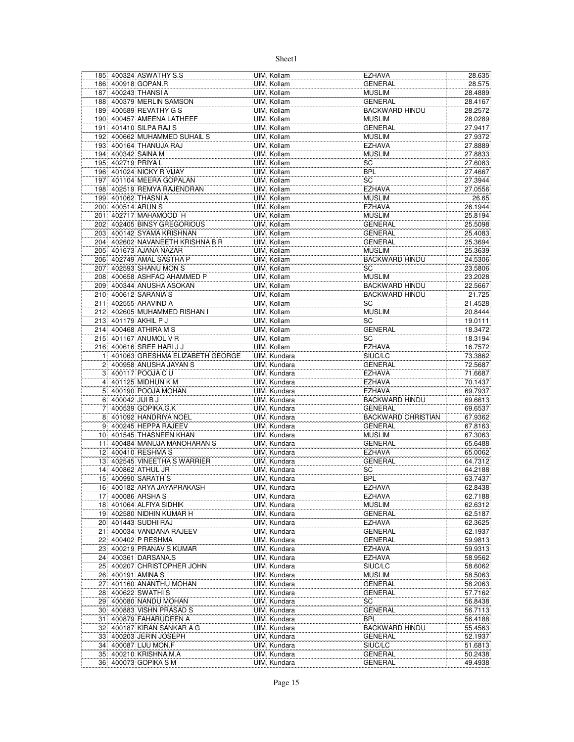|                |                   | 185 400324 ASWATHY S.S                             | UIM, Kollam                  | <b>EZHAVA</b>             | 28.635             |
|----------------|-------------------|----------------------------------------------------|------------------------------|---------------------------|--------------------|
|                |                   | 186 400918 GOPAN.R                                 | UIM, Kollam                  | <b>GENERAL</b>            | 28.575             |
|                |                   | 187 400243 THANSI A                                | UIM, Kollam                  | <b>MUSLIM</b>             | 28.4889            |
|                |                   | 188 400379 MERLIN SAMSON                           | UIM, Kollam                  | <b>GENERAL</b>            | 28.4167            |
|                |                   | 189 400589 REVATHY G S                             | UIM, Kollam                  | <b>BACKWARD HINDU</b>     | 28.2572            |
|                |                   | 190 400457 AMEENA LATHEEF                          | UIM. Kollam                  | <b>MUSLIM</b>             | 28.0289            |
|                |                   | 191 401410 SILPA RAJ S                             | UIM, Kollam                  | <b>GENERAL</b>            | 27.9417            |
|                |                   | 192 400662 MUHAMMED SUHAIL S                       | UIM. Kollam                  | <b>MUSLIM</b>             | 27.9372            |
|                |                   | 193 400164 THANUJA RAJ                             | UIM, Kollam                  | <b>EZHAVA</b>             | 27.8889            |
|                |                   | 194 400342 SAINA M                                 | UIM, Kollam                  | <b>MUSLIM</b>             | 27.8833            |
|                |                   | 195 402719 PRIYA L                                 | UIM, Kollam                  | SC                        | 27.6083            |
|                |                   | 196 401024 NICKY R VIJAY                           | UIM, Kollam                  | <b>BPL</b>                | 27.4667            |
|                |                   | 197 401104 MEERA GOPALAN                           | UIM, Kollam                  | SC                        | 27.3944            |
|                |                   | 198 402519 REMYA RAJENDRAN                         | UIM, Kollam                  | <b>EZHAVA</b>             | 27.0556            |
|                |                   | 199 401062 THASNI A                                | UIM, Kollam                  | <b>MUSLIM</b>             | 26.65              |
|                |                   | 200 400514 ARUN S                                  | UIM, Kollam                  | <b>EZHAVA</b>             | 26.1944            |
| 201            |                   | 402717 MAHAMOOD H                                  | UIM, Kollam                  | <b>MUSLIM</b>             | 25.8194            |
|                |                   | 202 402405 BINSY GREGORIOUS                        | UIM, Kollam                  | <b>GENERAL</b>            | 25.5098            |
|                |                   | 203 400142 SYAMA KRISHNAN                          | UIM, Kollam                  | <b>GENERAL</b>            | 25.4083            |
|                |                   | 204 402602 NAVANEETH KRISHNA B R                   | UIM, Kollam                  | <b>GENERAL</b>            | 25.3694            |
|                |                   | 205 401673 AJANA NAZAR                             | UIM, Kollam                  | <b>MUSLIM</b>             | 25.3639            |
|                |                   | 206 402749 AMAL SASTHA P                           | UIM, Kollam                  | <b>BACKWARD HINDU</b>     | 24.5306            |
|                |                   | 207 402593 SHANU MON S                             | UIM. Kollam                  | SC                        | 23.5806            |
|                |                   | 208 400658 ASHFAQ AHAMMED P                        | UIM, Kollam                  | <b>MUSLIM</b>             | 23.2028            |
| 209            |                   | 400344 ANUSHA ASOKAN                               | UIM, Kollam                  | <b>BACKWARD HINDU</b>     | 22.5667            |
|                |                   | 210 400612 SARANIA S                               | UIM, Kollam                  | <b>BACKWARD HINDU</b>     | 21.725             |
|                |                   | 211 402555 ARAVIND A                               | UIM, Kollam                  | SC                        | 21.4528            |
|                |                   | 212 402605 MUHAMMED RISHAN I                       | UIM, Kollam                  | <b>MUSLIM</b>             | 20.8444            |
|                |                   | 213 401179 AKHIL P J                               | UIM, Kollam                  | SC                        | 19.0111            |
|                |                   | 214 400468 ATHIRA M S                              | UIM, Kollam                  | <b>GENERAL</b>            | 18.3472            |
|                |                   | 215 401167 ANUMOL V R                              | UIM, Kollam                  | SC                        | 18.3194            |
|                |                   | 216 400616 SREE HARIJJ                             | UIM, Kollam                  | <b>EZHAVA</b>             | 16.7572            |
| 11             |                   | 401063 GRESHMA ELIZABETH GEORGE                    | UIM, Kundara                 | SIUC/LC                   | 73.3862            |
| 2 <sup>1</sup> |                   | 400958 ANUSHA JAYAN S                              | UIM, Kundara                 | <b>GENERAL</b>            | 72.5687            |
|                |                   | 3 400117 POOJA C U                                 | UIM, Kundara                 | EZHAVA                    | 71.6687            |
|                |                   | 4 401125 MIDHUN K M                                | UIM, Kundara                 | EZHAVA                    | 70.1437            |
|                |                   | 5 400190 POOJA MOHAN                               | UIM, Kundara                 | EZHAVA                    | 69.7937            |
|                | 6 400042 JJJJ B J |                                                    | UIM, Kundara                 | BACKWARD HINDU            | 69.6613            |
| 7              |                   | 400539 GOPIKA.G.K                                  | UIM, Kundara                 | <b>GENERAL</b>            | 69.6537            |
|                |                   | 8 401092 HANDRIYA NOEL                             | UIM, Kundara                 | <b>BACKWARD CHRISTIAN</b> | 67.9362            |
|                |                   | 9 400245 HEPPA RAJEEV<br>10 401545 THASNEEN KHAN   | UIM, Kundara                 | <b>GENERAL</b>            | 67.8163            |
|                |                   |                                                    | UIM, Kundara                 | <b>MUSLIM</b>             | 67.3063            |
|                |                   | 11 400484 MANUJA MANOHARAN S<br>12 400410 RESHMA S | UIM, Kundara                 | GENERAL                   | 65.6488            |
|                |                   |                                                    | UIM, Kundara                 | <b>EZHAVA</b>             | 65.0062            |
|                |                   | 13 402545 VINEETHA S WARRIER<br>14 400862 ATHUL JR | UIM, Kundara                 | <b>GENERAL</b>            | 64.7312            |
|                |                   |                                                    | UIM, Kundara                 | SC                        | 64.2188            |
|                |                   | 15 400990 SARATH S                                 | UIM, Kundara                 | <b>BPL</b>                | 63.7437            |
|                |                   | 16 400182 ARYA JAYAPRAKASH                         | UIM, Kundara<br>UIM, Kundara | <b>EZHAVA</b>             | 62.8438            |
|                |                   | 17 400086 ARSHA S                                  |                              | <b>EZHAVA</b><br>MUSLIM   | 62.7188            |
| 18             |                   | 401064 ALFIYA SIDHIK<br>19 402580 NIDHIN KUMAR H   | UIM, Kundara<br>UIM, Kundara | <b>GENERAL</b>            | 62.6312<br>62.5187 |
|                |                   | 20 401443 SUDHI RAJ                                | UIM, Kundara                 | EZHAVA                    | 62.3625            |
|                |                   | 21 400034 VANDANA RAJEEV                           | UIM, Kundara                 | GENERAL                   | 62.1937            |
|                |                   | 22 400402 P RESHMA                                 | UIM, Kundara                 | <b>GENERAL</b>            | 59.9813            |
|                |                   | 23 400219 PRANAV S KUMAR                           | UIM, Kundara                 | <b>EZHAVA</b>             | 59.9313            |
|                |                   | 24 400361 DARSANA.S                                | UIM, Kundara                 | EZHAVA                    | 58.9562            |
|                |                   | 25 400207 CHRISTOPHER JOHN                         | UIM, Kundara                 | SIUC/LC                   | 58.6062            |
|                |                   | 26 400191 AMINA S                                  | UIM, Kundara                 | <b>MUSLIM</b>             | 58.5063            |
| 27             |                   | 401160 ANANTHU MOHAN                               | UIM, Kundara                 | GENERAL                   | 58.2063            |
|                |                   | 28 400622 SWATHIS                                  | UIM, Kundara                 | GENERAL                   | 57.7162            |
|                |                   | 29 400080 NANDU MOHAN                              | UIM, Kundara                 | SC                        | 56.8438            |
|                |                   | 30 400883 VISHN PRASAD S                           | UIM, Kundara                 | <b>GENERAL</b>            | 56.7113            |
| 31             |                   | 400879 FAHARUDEEN A                                | UIM, Kundara                 | <b>BPL</b>                | 56.4188            |
|                |                   | 32 400187 KIRAN SANKAR A G                         | UIM, Kundara                 | BACKWARD HINDU            | 55.4563            |
|                |                   | 33 400203 JERIN JOSEPH                             | UIM, Kundara                 | GENERAL                   | 52.1937            |
| 34             |                   | 400087 LIJU MON.F                                  | UIM, Kundara                 | SIUC/LC                   | 51.6813            |
|                |                   | 35 400210 KRISHNA.M.A                              | UIM, Kundara                 | <b>GENERAL</b>            | 50.2438            |
|                |                   | 36 400073 GOPIKA S M                               | UIM, Kundara                 | GENERAL                   | 49.4938            |
|                |                   |                                                    |                              |                           |                    |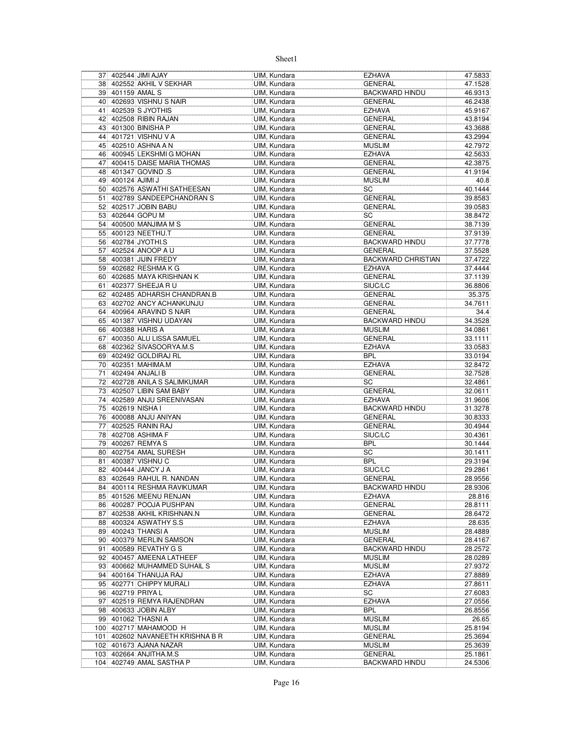|    |                   | 37 402544 JIMI AJAY                         | UIM, Kundara                 | <b>EZHAVA</b>                              | 47.5833            |
|----|-------------------|---------------------------------------------|------------------------------|--------------------------------------------|--------------------|
|    |                   | 38 402552 AKHIL V SEKHAR                    | UIM, Kundara                 | <b>GENERAL</b>                             | 47.1528            |
|    | 39 401159 AMAL S  |                                             | UIM, Kundara                 | <b>BACKWARD HINDU</b>                      | 46.9313            |
|    |                   | 40 402693 VISHNU S NAIR                     | UIM, Kundara                 | <b>GENERAL</b>                             | 46.2438            |
| 41 |                   | 402539 S JYOTHIS                            | UIM, Kundara                 | <b>EZHAVA</b>                              | 45.9167            |
| 42 |                   | 402508 RIBIN RAJAN                          | UIM, Kundara                 | <b>GENERAL</b>                             | 43.8194            |
| 43 |                   | 401300 BINISHA P                            | UIM, Kundara                 | <b>GENERAL</b>                             | 43.3688            |
|    |                   | 44 401721 VISHNU V A                        | UIM, Kundara                 | <b>GENERAL</b>                             | 43.2994            |
|    |                   | 45 402510 ASHNA A N                         | UIM, Kundara                 | <b>MUSLIM</b>                              | 42.7972            |
|    |                   | 46 400945 LEKSHMIG MOHAN                    | UIM, Kundara                 | <b>EZHAVA</b>                              | 42.5633            |
| 47 |                   | 400415 DAISE MARIA THOMAS                   | UIM, Kundara                 | <b>GENERAL</b>                             | 42.3875            |
| 48 |                   | 401347 GOVIND S                             | UIM, Kundara                 | <b>GENERAL</b>                             | 41.9194            |
|    | 49 400124 AJIMI J |                                             | UIM. Kundara                 | <b>MUSLIM</b>                              | 40.8               |
|    |                   | 50 402576 ASWATHI SATHEESAN                 | UIM, Kundara                 | SC                                         | 40.1444            |
| 51 |                   | 402789 SANDEEPCHANDRAN S                    | UIM, Kundara                 | <b>GENERAL</b>                             | 39.8583            |
| 52 |                   | 402517 JOBIN BABU                           | UIM, Kundara                 | <b>GENERAL</b>                             | 39.0583            |
|    |                   | 53 402644 GOPU M                            | UIM, Kundara                 | SC                                         | 38.8472            |
|    |                   | 54 400500 MANJIMA M S                       | UIM, Kundara                 | <b>GENERAL</b>                             | 38.7139            |
|    |                   | 55 400123 NEETHU.T                          | UIM, Kundara                 | <b>GENERAL</b>                             | 37.9139            |
|    |                   | 56 402784 JYOTHI.S                          | UIM, Kundara                 | <b>BACKWARD HINDU</b>                      | 37.7778            |
| 57 |                   | 402524 ANOOP A U                            | UIM, Kundara<br>UIM. Kundara | <b>GENERAL</b>                             | 37.5528            |
|    |                   | 58 400381 JIJIN FREDY<br>59 402682 RESHMAKG | UIM. Kundara                 | <b>BACKWARD CHRISTIAN</b><br><b>EZHAVA</b> | 37.4722<br>37.4444 |
|    |                   | 60 402685 MAYA KRISHNAN K                   | UIM, Kundara                 | <b>GENERAL</b>                             | 37.1139            |
| 61 |                   | 402377 SHEEJA R U                           | UIM, Kundara                 | SIUC/LC                                    | 36.8806            |
|    |                   | 62 402485 ADHARSH CHANDRAN.B                | UIM, Kundara                 | <b>GENERAL</b>                             | 35.375             |
|    |                   | 63 402702 ANCY ACHANKUNJU                   | UIM, Kundara                 | <b>GENERAL</b>                             | 34.7611            |
|    |                   | 64 400964 ARAVIND S NAIR                    | UIM, Kundara                 | <b>GENERAL</b>                             | 34.4               |
|    |                   | 65 401387 VISHNU UDAYAN                     | UIM, Kundara                 | <b>BACKWARD HINDU</b>                      | 34.3528            |
|    |                   | 66 400388 HARIS A                           | UIM. Kundara                 | <b>MUSLIM</b>                              | 34.0861            |
| 67 |                   | 400350 ALU LISSA SAMUEL                     | UIM, Kundara                 | <b>GENERAL</b>                             | 33.1111            |
|    |                   | 68 402362 SIVASOORYA.M.S                    | UIM, Kundara                 | <b>EZHAVA</b>                              | 33.0583            |
|    |                   | 69 402492 GOLDIRAJ RL                       | UIM, Kundara                 | <b>BPL</b>                                 | 33.0194            |
|    |                   | 70 402351 MAHIMA.M                          | UIM, Kundara                 | <b>EZHAVA</b>                              | 32.8472            |
|    |                   | 71 402494 ANJALI B                          | UIM, Kundara                 | <b>GENERAL</b>                             | 32.7528            |
|    |                   | 72 402728 ANILA S SALIMKUMAR                | UIM, Kundara                 | SC                                         | 32.4861            |
|    |                   | 73 402507 LIBIN SAM BABY                    | UIM, Kundara                 | <b>GENERAL</b>                             | 32.0611            |
|    |                   | 74 402589 ANJU SREENIVASAN                  | UIM, Kundara                 | <b>EZHAVA</b>                              | 31.9606            |
| 75 |                   | 402619 NISHA I                              | UIM, Kundara                 | <b>BACKWARD HINDU</b>                      | 31.3278            |
|    |                   | 76 400088 ANJU ANIYAN                       | UIM, Kundara                 | <b>GENERAL</b>                             | 30.8333            |
| 77 |                   | 402525 RANIN RAJ                            | UIM, Kundara                 | <b>GENERAL</b>                             | 30.4944            |
|    |                   | 78 402708 ASHIMA F                          | UIM, Kundara                 | SIUC/LC                                    | 30.4361            |
|    |                   | 79 400267 REMYA S                           | UIM, Kundara                 | BPL                                        | 30.1444            |
|    |                   | 80 402754 AMAL SURESH                       | UIM, Kundara                 | SC                                         | 30.1411            |
|    |                   | 81 400387 VISHNU C<br>400444 JANCY J A      | UIM, Kundara<br>UIM, Kundara | <b>BPL</b><br>SIUC/LC                      | 29.3194<br>29.2861 |
| 82 |                   | 83 402649 RAHUL R. NANDAN                   | UIM, Kundara                 | <b>GENERAL</b>                             | 28.9556            |
|    |                   | 84 400114 RESHMA RAVIKUMAR                  | UIM, Kundara                 | <b>BACKWARD HINDU</b>                      | 28.9306            |
|    |                   | 85 401526 MEENU RENJAN                      | UIM, Kundara                 | <b>EZHAVA</b>                              | 28.816             |
|    |                   | 86 400287 POOJA PUSHPAN                     | UIM, Kundara                 | GENERAL                                    | 28.8111            |
|    |                   | 87 402538 AKHIL KRISHNAN.N                  | UIM, Kundara                 | GENERAL                                    | 28.6472            |
|    |                   | 88 400324 ASWATHY S.S                       | UIM, Kundara                 | <b>EZHAVA</b>                              | 28.635             |
|    |                   | 89 400243 THANSI A                          | UIM, Kundara                 | <b>MUSLIM</b>                              | 28.4889            |
|    |                   | 90 400379 MERLIN SAMSON                     | UIM, Kundara                 | <b>GENERAL</b>                             | 28.4167            |
| 91 |                   | 400589 REVATHY G S                          | UIM, Kundara                 | <b>BACKWARD HINDU</b>                      | 28.2572            |
|    |                   | 92 400457 AMEENA LATHEEF                    | UIM, Kundara                 | <b>MUSLIM</b>                              | 28.0289            |
|    |                   | 93 400662 MUHAMMED SUHAIL S                 | UIM, Kundara                 | <b>MUSLIM</b>                              | 27.9372            |
|    |                   | 94 400164 THANUJA RAJ                       | UIM, Kundara                 | <b>EZHAVA</b>                              | 27.8889            |
|    |                   | 95 402771 CHIPPY MURALI                     | UIM, Kundara                 | <b>EZHAVA</b>                              | 27.8611            |
|    | 96 402719 PRIYA L |                                             | UIM, Kundara                 | SC                                         | 27.6083            |
|    |                   | 97 402519 REMYA RAJENDRAN                   | UIM, Kundara                 | <b>EZHAVA</b>                              | 27.0556            |
|    |                   | 98 400633 JOBIN ALBY                        | UIM, Kundara                 | <b>BPL</b>                                 | 26.8556            |
|    |                   | 99 401062 THASNI A                          | UIM, Kundara                 | <b>MUSLIM</b>                              | 26.65              |
|    |                   | 100 402717 MAHAMOOD H                       | UIM, Kundara                 | <b>MUSLIM</b>                              | 25.8194            |
|    |                   | 101 402602 NAVANEETH KRISHNA B R            | UIM, Kundara                 | GENERAL                                    | 25.3694            |
|    |                   | 102 401673 AJANA NAZAR                      | UIM, Kundara                 | <b>MUSLIM</b>                              | 25.3639            |
|    |                   | 103 402664 ANJITHA.M.S                      | UIM, Kundara                 | <b>GENERAL</b>                             | 25.1861            |
|    |                   | 104 402749 AMAL SASTHA P                    | UIM, Kundara                 | <b>BACKWARD HINDU</b>                      | 24.5306            |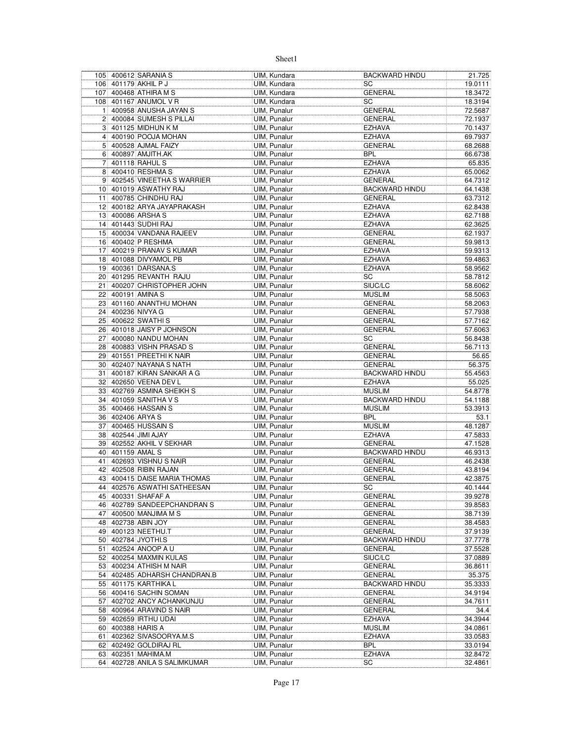|                                  |                  | 105 400612 SARANIA S                               | UIM, Kundara                 | <b>BACKWARD HINDU</b>           | 21.725             |
|----------------------------------|------------------|----------------------------------------------------|------------------------------|---------------------------------|--------------------|
|                                  |                  | 106 401179 AKHIL P J                               | UIM, Kundara                 | <b>SC</b>                       | 19.0111            |
|                                  |                  | 107 400468 ATHIRA M S                              | UIM, Kundara                 | <b>GENERAL</b>                  | 18.3472            |
|                                  |                  | 108 401167 ANUMOL V R                              | UIM, Kundara                 | SC                              | 18.3194            |
| 11                               |                  | 400958 ANUSHA JAYAN S                              | UIM, Punalur                 | <b>GENERAL</b>                  | 72.5687            |
| 2                                |                  | 400084 SUMESH S PILLAI                             | UIM, Punalur                 | <b>GENERAL</b>                  | 72.1937            |
|                                  |                  | 3 401125 MIDHUN K M                                | UIM, Punalur                 | <b>EZHAVA</b>                   | 70.1437            |
|                                  |                  | 4 400190 POOJA MOHAN                               | UIM, Punalur                 | <b>EZHAVA</b>                   | 69.7937            |
|                                  |                  | 5 400528 AJMAL FAIZY                               | UIM, Punalur                 | <b>GENERAL</b>                  | 68.2688            |
|                                  |                  | 6 400897 AMJITH.AK                                 | UIM, Punalur                 | <b>BPL</b>                      | 66.6738            |
| 7 <sup>1</sup><br>8 <sup>1</sup> |                  | 401118 RAHUL S<br>400410 RESHMA S                  | UIM, Punalur                 | <b>EZHAVA</b>                   | 65.835<br>65.0062  |
|                                  |                  | 9 402545 VINEETHA S WARRIER                        | UIM, Punalur<br>UIM, Punalur | <b>EZHAVA</b><br><b>GENERAL</b> | 64.7312            |
|                                  |                  | 10 401019 ASWATHY RAJ                              | UIM, Punalur                 | <b>BACKWARD HINDU</b>           | 64.1438            |
| 11                               |                  | 400785 CHINDHU RAJ                                 | UIM, Punalur                 | <b>GENERAL</b>                  | 63.7312            |
|                                  |                  | 12 400182 ARYA JAYAPRAKASH                         | UIM, Punalur                 | <b>EZHAVA</b>                   | 62.8438            |
|                                  |                  | 13 400086 ARSHAS                                   | UIM, Punalur                 | <b>EZHAVA</b>                   | 62.7188            |
|                                  |                  | 14 401443 SUDHI RAJ                                | UIM, Punalur                 | <b>EZHAVA</b>                   | 62.3625            |
|                                  |                  | 15 400034 VANDANA RAJEEV                           | UIM, Punalur                 | GENERAL                         | 62.1937            |
|                                  |                  | 16 400402 P RESHMA                                 | UIM, Punalur                 | <b>GENERAL</b>                  | 59.9813            |
|                                  |                  | 17 400219 PRANAV S KUMAR                           | UIM, Punalur                 | <b>EZHAVA</b>                   | 59.9313            |
|                                  |                  | 18 401088 DIVYAMOL PB                              | UIM, Punalur                 | <b>EZHAVA</b>                   | 59.4863            |
| 19                               |                  | 400361 DARSANA.S                                   | UIM, Punalur                 | <b>EZHAVA</b>                   | 58.9562            |
|                                  |                  | 20 401295 REVANTH RAJU                             | UIM, Punalur                 | SC                              | 58.7812            |
| 21                               |                  | 400207 CHRISTOPHER JOHN                            | UIM, Punalur                 | SIUC/LC                         | 58.6062            |
|                                  |                  | 22 400191 AMINA S                                  | UIM, Punalur                 | <b>MUSLIM</b>                   | 58.5063            |
|                                  |                  | 23 401160 ANANTHU MOHAN                            | UIM, Punalur                 | <b>GENERAL</b>                  | 58.2063            |
| 24                               |                  | 400236 NIVYA G                                     | UIM, Punalur                 | <b>GENERAL</b>                  | 57.7938            |
|                                  |                  | 25 400622 SWATHIS                                  | UIM, Punalur                 | <b>GENERAL</b>                  | 57.7162            |
|                                  |                  | 26 401018 JAISY P JOHNSON<br>27 400080 NANDU MOHAN | UIM, Punalur<br>UIM, Punalur | <b>GENERAL</b><br>SC            | 57.6063<br>56.8438 |
| 28                               |                  | 400883 VISHN PRASAD S                              |                              | <b>GENERAL</b>                  | 56.7113            |
|                                  |                  | 29 401551 PREETHI K NAIR                           | UIM, Punalur<br>UIM, Punalur | <b>GENERAL</b>                  | 56.65              |
|                                  |                  | 30 402407 NAYANA S NATH                            | UIM, Punalur                 | <b>GENERAL</b>                  | 56.375             |
|                                  |                  | 31 400187 KIRAN SANKAR A G                         | UIM, Punalur                 | <b>BACKWARD HINDU</b>           | 55.4563            |
|                                  |                  | 32 402650 VEENA DEV L                              | UIM, Punalur                 | <b>EZHAVA</b>                   | 55.025             |
|                                  |                  | 33 402769 ASMINA SHEIKH S                          | UIM, Punalur                 | <b>MUSLIM</b>                   | 54.8778            |
|                                  |                  | 34 401059 SANITHA V S                              | UIM, Punalur                 | <b>BACKWARD HINDU</b>           | 54.1188            |
| 35 <sup>2</sup>                  |                  | 400466 HASSAIN S                                   | UIM, Punalur                 | <b>MUSLIM</b>                   | 53.3913            |
|                                  | 36 402406 ARYA S |                                                    | UIM, Punalur                 | <b>BPL</b>                      | 53.1               |
| 37                               |                  | 400465 HUSSAIN S                                   | UIM, Punalur                 | <b>MUSLIM</b>                   | 48.1287            |
|                                  |                  | 38 402544 JIMI AJAY                                | UIM, Punalur                 | <b>EZHAVA</b>                   | 47.5833            |
|                                  |                  | 39 402552 AKHIL V SEKHAR                           | UIM, Punalur                 | <b>GENERAL</b>                  | 47.1528            |
|                                  | 40 401159 AMAL S |                                                    | UIM, Punalur                 | <b>BACKWARD HINDU</b>           | 46.9313            |
|                                  |                  | 41 402693 VISHNU S NAIR                            | UIM, Punalur                 | <b>GENERAL</b>                  | 46.2438            |
|                                  |                  | 42 402508 RIBIN RAJAN                              | UIM, Punalur                 | <b>GENERAL</b>                  | 43.8194            |
|                                  |                  | 43 400415 DAISE MARIA THOMAS                       | <b>UIM. Punalur</b>          | <b>GENERAL</b>                  | 42.3875            |
|                                  |                  | 44 402576 ASWATHI SATHEESAN                        | UIM, Punalur                 | SC                              | 40.1444            |
|                                  |                  | 45 400331 SHAFAF A<br>46 402789 SANDEEPCHANDRAN S  | UIM, Punalur<br>UIM, Punalur | GENERAL<br>GENERAL              | 39.9278<br>39.8583 |
|                                  |                  | 47 400500 MANJIMA M S                              | UIM, Punalur                 | GENERAL                         | 38.7139            |
|                                  |                  | 48 402738 ABIN JOY                                 | UIM, Punalur                 | GENERAL                         | 38.4583            |
|                                  |                  | 49 400123 NEETHU.T                                 | UIM, Punalur                 | <b>GENERAL</b>                  | 37.9139            |
|                                  |                  | 50 402784 JYOTHI.S                                 | UIM, Punalur                 | <b>BACKWARD HINDU</b>           | 37.7778            |
| 51                               |                  | 402524 ANOOP A U                                   | <b>UIM. Punalur</b>          | <b>GENERAL</b>                  | 37.5528            |
|                                  |                  | 52 400254 MAXMIN KULAS                             | UIM, Punalur                 | SIUC/LC                         | 37.0889            |
|                                  |                  | 53 400234 ATHISH M NAIR                            | UIM, Punalur                 | GENERAL                         | 36.8611            |
|                                  |                  | 54 402485 ADHARSH CHANDRAN.B                       | UIM, Punalur                 | <b>GENERAL</b>                  | 35.375             |
|                                  |                  | 55 401175 KARTHIKA L                               | UIM, Punalur                 | <b>BACKWARD HINDU</b>           | 35.3333            |
|                                  |                  | 56 400416 SACHIN SOMAN                             | UIM, Punalur                 | <b>GENERAL</b>                  | 34.9194            |
|                                  |                  | 57 402702 ANCY ACHANKUNJU                          | UIM, Punalur                 | GENERAL                         | 34.7611            |
|                                  |                  | 58 400964 ARAVIND S NAIR                           | UIM, Punalur                 | GENERAL                         | 34.4               |
|                                  |                  | 59 402659 IRTHU UDAI                               | UIM, Punalur                 | <b>EZHAVA</b>                   | 34.3944            |
|                                  |                  | 60 400388 HARIS A                                  | UIM, Punalur                 | <b>MUSLIM</b>                   | 34.0861            |
|                                  |                  | 61 402362 SIVASOORYA.M.S<br>62 402492 GOLDIRAJ RL  | UIM, Punalur<br>UIM, Punalur | <b>EZHAVA</b><br><b>BPL</b>     | 33.0583<br>33.0194 |
|                                  |                  | 63 402351 MAHIMA.M                                 | UIM, Punalur                 | <b>EZHAVA</b>                   | 32.8472            |
|                                  |                  | 64 402728 ANILA S SALIMKUMAR                       | <b>UIM, Punalur</b>          | SC                              | 32.4861            |
|                                  |                  |                                                    |                              |                                 |                    |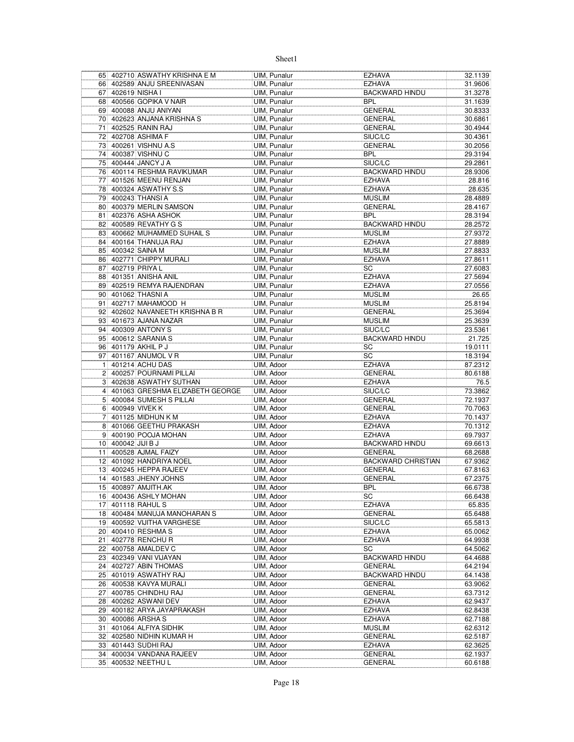|                 |                    | 65 402710 ASWATHY KRISHNA E M                  | UIM, Punalur             | <b>EZHAVA</b>                    | 32.1139            |
|-----------------|--------------------|------------------------------------------------|--------------------------|----------------------------------|--------------------|
|                 |                    | 66 402589 ANJU SREENIVASAN                     | UIM, Punalur             | <b>EZHAVA</b>                    | 31.9606            |
| 67              |                    | 402619 NISHA I                                 | UIM, Punalur             | <b>BACKWARD HINDU</b>            | 31.3278            |
| 68              |                    | 400566 GOPIKA V NAIR                           | UIM, Punalur             | <b>BPL</b>                       | 31.1639            |
|                 |                    | 69 400088 ANJU ANIYAN                          | UIM, Punalur             | <b>GENERAL</b>                   | 30.8333            |
|                 |                    | 70 402623 ANJANA KRISHNA S                     | UIM, Punalur             | <b>GENERAL</b>                   | 30.6861            |
| 71              |                    | 402525 RANIN RAJ                               | <b>UIM. Punalur</b>      | <b>GENERAL</b>                   | 30.4944            |
| 72              |                    | 402708 ASHIMA F                                | UIM, Punalur             | SIUC/LC                          | 30.4361            |
| 73              |                    | 400261 VISHNU A.S                              | UIM, Punalur             | <b>GENERAL</b>                   | 30.2056            |
|                 |                    | 74 400387 VISHNU C                             | UIM, Punalur             | <b>BPL</b>                       | 29.3194            |
| 75              |                    | 400444 JANCY J A                               | UIM, Punalur             | SIUC/LC                          | 29.2861            |
| 76              |                    | 400114 RESHMA RAVIKUMAR                        | UIM, Punalur             | <b>BACKWARD HINDU</b>            | 28.9306            |
| 77              |                    | 401526 MEENU RENJAN                            | UIM, Punalur             | <b>EZHAVA</b>                    | 28.816             |
| 78              |                    | 400324 ASWATHY S.S                             | UIM, Punalur             | <b>EZHAVA</b>                    | 28.635             |
|                 |                    | 79 400243 THANSI A                             | UIM, Punalur             | <b>MUSLIM</b>                    | 28.4889            |
| 80              |                    | 400379 MERLIN SAMSON                           | UIM, Punalur             | <b>GENERAL</b>                   | 28.4167            |
| 81              |                    | 402376 ASHA ASHOK                              | UIM, Punalur             | <b>BPL</b>                       | 28.3194            |
| 82              |                    | 400589 REVATHY G S                             | UIM, Punalur             | <b>BACKWARD HINDU</b>            | 28.2572            |
|                 |                    | 83 400662 MUHAMMED SUHAIL S                    | UIM, Punalur             | <b>MUSLIM</b>                    | 27.9372            |
| 84              |                    | 400164 THANUJA RAJ                             | UIM, Punalur             | <b>EZHAVA</b>                    | 27.8889            |
|                 |                    | 85 400342 SAINA M                              | UIM, Punalur             | <b>MUSLIM</b>                    | 27.8833            |
|                 |                    | 86 402771 CHIPPY MURALI                        | <b>UIM. Punalur</b>      | <b>EZHAVA</b>                    | 27.8611            |
| 871             |                    | 402719 PRIYA L                                 | UIM, Punalur             | SC                               | 27.6083            |
| 88              |                    | 401351 ANISHA ANIL                             | UIM, Punalur             | <b>EZHAVA</b>                    | 27.5694            |
| 89              |                    | 402519 REMYA RAJENDRAN                         | UIM, Punalur             | <b>EZHAVA</b>                    | 27.0556            |
|                 |                    | 90 401062 THASNI A                             | UIM, Punalur             | <b>MUSLIM</b>                    | 26.65              |
| 91              |                    | 402717 MAHAMOOD H                              | UIM, Punalur             | <b>MUSLIM</b>                    | 25.8194            |
| 92              |                    | 402602 NAVANEETH KRISHNA B R                   | UIM, Punalur             | <b>GENERAL</b>                   | 25.3694            |
| 93              |                    | 401673 AJANA NAZAR                             | UIM, Punalur             | <b>MUSLIM</b>                    | 25.3639            |
| 94              |                    | 400309 ANTONY S                                | UIM, Punalur             | SIUC/LC                          | 23.5361            |
|                 |                    | 95 400612 SARANIA S                            | UIM, Punalur             | <b>BACKWARD HINDU</b>            | 21.725             |
| 96              |                    | 401179 AKHIL P J                               | UIM, Punalur             | SC                               | 19.0111            |
| 97              |                    | 401167 ANUMOL V R                              | UIM, Punalur             | SC                               | 18.3194            |
| 11              |                    | 401214 ACHU DAS                                | UIM, Adoor               | <b>EZHAVA</b>                    | 87.2312            |
| 2               |                    | 400257 POURNAMI PILLAI                         | UIM, Adoor               | <b>GENERAL</b>                   | 80.6188            |
|                 |                    | 3 402638 ASWATHY SUTHAN                        | UIM, Adoor               | <b>EZHAVA</b>                    | 76.5               |
| $\frac{4}{ }$   |                    | 401063 GRESHMA ELIZABETH GEORGE                | UIM, Adoor               | SIUC/LC                          | 73.3862            |
| 5 <sup>1</sup>  |                    | 400084 SUMESH S PILLAI                         | UIM, Adoor               | <b>GENERAL</b>                   | 72.1937            |
| 6               |                    | 400949 VIVEK K                                 | UIM, Adoor               | <b>GENERAL</b>                   | 70.7063            |
| $\overline{7}$  |                    | 401125 MIDHUN K M                              | UIM, Adoor               | <b>EZHAVA</b>                    | 70.1437            |
| 8               |                    | 401066 GEETHU PRAKASH                          | UIM, Adoor               | <b>EZHAVA</b>                    | 70.1312            |
|                 |                    | 9 400190 POOJA MOHAN                           | UIM, Adoor               | <b>EZHAVA</b>                    | 69.7937            |
|                 | 10 400042 JJJJ B J |                                                | UIM, Adoor               | <b>BACKWARD HINDU</b>            | 69.6613            |
|                 |                    | 11 400528 AJMAL FAIZY                          | UIM, Adoor               | <b>GENERAL</b>                   | 68.2688            |
|                 |                    | 12 401092 HANDRIYA NOEL                        | UIM, Adoor               | <b>BACKWARD CHRISTIAN</b>        | 67.9362            |
| 13              |                    | 400245 HEPPA RAJEEV                            | UIM, Adoor               | <b>GENERAL</b>                   | 67.8163            |
|                 |                    | 14 401583 JHENY JOHNS                          | UIM, Adoor               | <b>GENERAL</b>                   | 67.2375            |
|                 |                    |                                                |                          |                                  |                    |
|                 |                    | 15 400897 AMJITH.AK                            | UIM, Adoor               | <b>BPL</b>                       | 66.6738            |
|                 |                    | 16 400436 ASHLY MOHAN                          | UIM, Adoor               | SC                               | 66.6438            |
| 17 <sup>1</sup> |                    | 401118 RAHUL S                                 | UIM, Adoor               | <b>EZHAVA</b>                    | 65.835             |
|                 |                    | 18 400484 MANUJA MANOHARAN S                   | UIM, Adoor               | <b>GENERAL</b>                   | 65.6488            |
|                 |                    | 19 400592 VIJITHA VARGHESE                     | UIM, Adoor               | SIUC/LC                          | 65.5813            |
|                 |                    | 20 400410 RESHMA S                             | UIM, Adoor               | <b>EZHAVA</b>                    | 65.0062            |
| 21              |                    | 402778 RENCHU R                                | UIM, Adoor               | <b>EZHAVA</b>                    | 64.9938            |
|                 |                    | 22 400758 AMALDEV C                            | UIM, Adoor               | SC                               | 64.5062            |
|                 |                    | 23 402349 VANI VIJAYAN                         | UIM, Adoor               | <b>BACKWARD HINDU</b>            | 64.4688            |
| 24              |                    | 402727 ABIN THOMAS                             | UIM. Adoor               | <b>GENERAL</b>                   | 64.2194            |
|                 |                    | 25 401019 ASWATHY RAJ                          | UIM, Adoor               | <b>BACKWARD HINDU</b>            | 64.1438            |
|                 |                    | 26 400538 KAVYA MURALI                         | UIM, Adoor               | GENERAL                          | 63.9062            |
|                 |                    | 27 400785 CHINDHU RAJ                          | UIM, Adoor               | <b>GENERAL</b>                   | 63.7312            |
|                 |                    | 28 400262 ASWANI DEV                           | UIM, Adoor               | <b>EZHAVA</b>                    | 62.9437            |
|                 |                    | 29 400182 ARYA JAYAPRAKASH                     | UIM, Adoor               | <b>EZHAVA</b>                    | 62.8438            |
|                 |                    | 30 400086 ARSHA S                              | UIM, Adoor               | <b>EZHAVA</b>                    | 62.7188            |
| 31              |                    | 401064 ALFIYA SIDHIK                           | UIM, Adoor               | <b>MUSLIM</b>                    | 62.6312            |
|                 |                    | 32 402580 NIDHIN KUMAR H                       | UIM, Adoor               | <b>GENERAL</b>                   | 62.5187            |
| 33              |                    | 401443 SUDHI RAJ                               | UIM, Adoor               | <b>EZHAVA</b>                    | 62.3625            |
|                 |                    | 34 400034 VANDANA RAJEEV<br>35 400532 NEETHU L | UIM, Adoor<br>UIM, Adoor | <b>GENERAL</b><br><b>GENERAL</b> | 62.1937<br>60.6188 |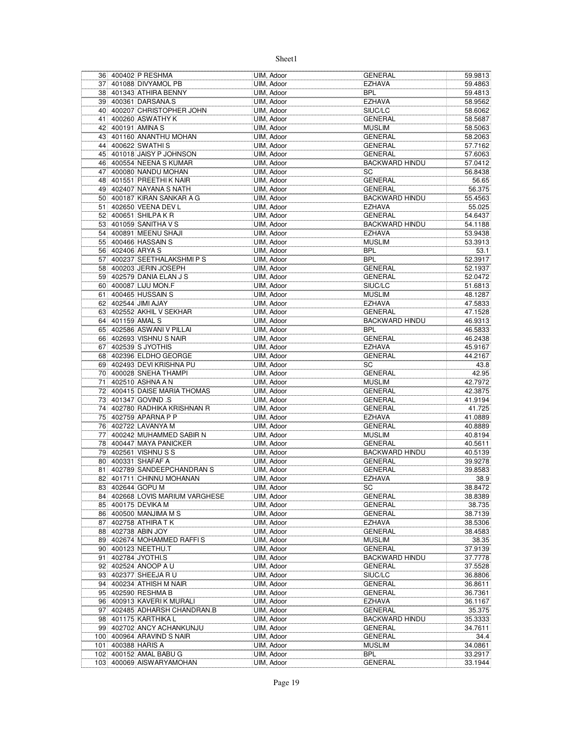|     |                  | 36 400402 P RESHMA              | UIM, Adoor               | GENERAL               | 59.9813 |
|-----|------------------|---------------------------------|--------------------------|-----------------------|---------|
|     |                  | 37 401088 DIVYAMOL PB           | UIM, Adoor               | <b>EZHAVA</b>         | 59.4863 |
|     |                  | 38 401343 ATHIRA BENNY          | UIM, Adoor               | <b>BPL</b>            | 59.4813 |
|     |                  | 39 400361 DARSANA.S             | UIM, Adoor               | <b>EZHAVA</b>         | 58.9562 |
|     |                  | 40 400207 CHRISTOPHER JOHN      | UIM, Adoor               | SIUC/LC               | 58.6062 |
| 41  |                  | 400260 ASWATHY K                | UIM, Adoor               | <b>GENERAL</b>        | 58.5687 |
| 42  |                  | 400191 AMINA S                  | UIM, Adoor               | <b>MUSLIM</b>         | 58.5063 |
|     |                  | 43 401160 ANANTHU MOHAN         | UIM, Adoor               | GENERAL               | 58.2063 |
|     |                  | 44 400622 SWATHIS               | UIM, Adoor               | <b>GENERAL</b>        | 57.7162 |
|     |                  | 45 401018 JAISY P JOHNSON       | UIM, Adoor               | GENERAL               | 57.6063 |
|     |                  | 46 400554 NEENA S KUMAR         | UIM, Adoor               | BACKWARD HINDU        | 57.0412 |
| 47  |                  | 400080 NANDU MOHAN              | UIM, Adoor               | SC                    | 56.8438 |
|     |                  | 48 401551 PREETHI K NAIR        | UIM, Adoor               | <b>GENERAL</b>        | 56.65   |
|     |                  | 49 402407 NAYANA S NATH         |                          |                       |         |
|     |                  |                                 | UIM, Adoor               | <b>GENERAL</b>        | 56.375  |
|     |                  | 50 400187 KIRAN SANKAR A G      | UIM, Adoor               | <b>BACKWARD HINDU</b> | 55.4563 |
| 51  |                  | 402650 VEENA DEV L              | UIM, Adoor               | <b>EZHAVA</b>         | 55.025  |
|     |                  | 52 400651 SHILPA K R            | UIM, Adoor               | <b>GENERAL</b>        | 54.6437 |
|     |                  | 53 401059 SANITHA V S           | UIM, Adoor               | BACKWARD HINDU        | 54.1188 |
|     |                  | 54 400891 MEENU SHAJI           | UIM, Adoor               | EZHAVA                | 53.9438 |
|     |                  | 55 400466 HASSAIN S             | UIM, Adoor               | <b>MUSLIM</b>         | 53.3913 |
|     | 56 402406 ARYA S |                                 | UIM, Adoor               | <b>BPL</b>            | 53.1    |
|     |                  | 57 400237 SEETHALAKSHMIPS       | UIM, Adoor               | <b>BPL</b>            | 52.3917 |
|     |                  | 58 400203 JERIN JOSEPH          | UIM, Adoor               | <b>GENERAL</b>        | 52.1937 |
|     |                  | 59 402579 DANIA ELAN J S        | UIM, Adoor               | <b>GENERAL</b>        | 52.0472 |
|     |                  | 60 400087 LIJU MON.F            | UIM, Adoor               | SIUC/LC               | 51.6813 |
|     |                  | 61 400465 HUSSAIN S             | UIM, Adoor               | <b>MUSLIM</b>         | 48.1287 |
|     |                  | 62 402544 JIMI AJAY             | UIM, Adoor               | EZHAVA                | 47.5833 |
|     |                  | 63 402552 AKHIL V SEKHAR        | UIM, Adoor               | <b>GENERAL</b>        | 47.1528 |
| 64  | 401159 AMAL S    |                                 | UIM, Adoor               | BACKWARD HINDU        | 46.9313 |
|     |                  | 65 402586 ASWANI V PILLAI       | UIM, Adoor               | BPL                   | 46.5833 |
|     |                  | 66 402693 VISHNU S NAIR         | UIM, Adoor               | <b>GENERAL</b>        | 46.2438 |
| 67  |                  | 402539 S JYOTHIS                | UIM, Adoor               | <b>EZHAVA</b>         | 45.9167 |
|     |                  | 68 402396 ELDHO GEORGE          | UIM, Adoor               | <b>GENERAL</b>        | 44.2167 |
|     |                  | 69 402493 DEVI KRISHNA PU       | UIM, Adoor               | SC                    | 43.8    |
|     |                  | 70 400028 SNEHA THAMPI          | UIM, Adoor               | GENERAL               | 42.95   |
| 71  |                  | 402510 ASHNA A N                | UIM, Adoor               | <b>MUSLIM</b>         | 42.7972 |
|     |                  | 72 400415 DAISE MARIA THOMAS    | UIM, Adoor               | GENERAL               | 42.3875 |
|     |                  | 73 401347 GOVIND .S             | UIM, Adoor               | GENERAL               | 41.9194 |
|     |                  | 74 402780 RADHIKA KRISHNAN R    | UIM, Adoor               | <b>GENERAL</b>        | 41.725  |
|     |                  | 75 402759 APARNA P P            | UIM, Adoor               | <b>EZHAVA</b>         | 41.0889 |
| 76  |                  | 402722 LAVANYA M                |                          | <b>GENERAL</b>        |         |
|     |                  | 400242 MUHAMMED SABIR N         | UIM, Adoor<br>UIM, Adoor | <b>MUSLIM</b>         | 40.8889 |
| 77  |                  |                                 |                          |                       | 40.8194 |
|     |                  | 78 400447 MAYA PANICKER         | UIM, Adoor               | <b>GENERAL</b>        | 40.5611 |
|     |                  | 79 402561 VISHNU S S            | UIM, Adoor               | <b>BACKWARD HINDU</b> | 40.5139 |
|     |                  | 80 400331 SHAFAF A              | UIM, Adoor               | <b>GENERAL</b>        | 39.9278 |
| 81  |                  | 402789 SANDEEPCHANDRAN S        | UIM, Adoor               | GENERAL               | 39.8583 |
|     |                  | 82 401711 CHINNU MOHANAN        | UIM, Adoor               | <b>EZHAVA</b>         | 38.9    |
|     |                  | 83 402644 GOPU M                | UIM, Adoor               | SC                    | 38.8472 |
|     |                  | 84 402668 LOVIS MARIUM VARGHESE | UIM, Adoor               | GENERAL               | 38.8389 |
|     |                  | 85 400175 DEVIKA M              | UIM, Adoor               | GENERAL               | 38.735  |
|     |                  | 86 400500 MANJIMA M S           | UIM, Adoor               | GENERAL               | 38.7139 |
|     |                  | 87 402758 ATHIRA TK             | UIM, Adoor               | EZHAVA                | 38.5306 |
|     |                  | 88 402738 ABIN JOY              | UIM, Adoor               | <b>GENERAL</b>        | 38.4583 |
|     |                  | 89 402674 MOHAMMED RAFFIS       | UIM, Adoor               | <b>MUSLIM</b>         | 38.35   |
|     |                  | 90 400123 NEETHU.T              | UIM, Adoor               | GENERAL               | 37.9139 |
|     |                  | 91 402784 JYOTHI.S              | UIM, Adoor               | <b>BACKWARD HINDU</b> | 37.7778 |
| 92  |                  | 402524 ANOOP A U                | UIM, Adoor               | GENERAL               | 37.5528 |
|     |                  | 93 402377 SHEEJA R U            | UIM, Adoor               | SIUC/LC               | 36.8806 |
|     |                  | 94 400234 ATHISH M NAIR         | UIM, Adoor               | <b>GENERAL</b>        | 36.8611 |
|     |                  | 95 402590 RESHMA B              | UIM, Adoor               | GENERAL               | 36.7361 |
|     |                  | 96 400913 KAVERIK MURALI        | UIM, Adoor               | EZHAVA                | 36.1167 |
|     |                  | 97 402485 ADHARSH CHANDRAN.B    | UIM, Adoor               | GENERAL               | 35.375  |
|     |                  | 98 401175 KARTHIKA L            | UIM, Adoor               | <b>BACKWARD HINDU</b> | 35.3333 |
|     |                  | 99 402702 ANCY ACHANKUNJU       | UIM, Adoor               | GENERAL               | 34.7611 |
|     |                  | 100 400964 ARAVIND S NAIR       | UIM, Adoor               | GENERAL               | 34.4    |
| 101 |                  | 400388 HARIS A                  | UIM, Adoor               | <b>MUSLIM</b>         | 34.0861 |
|     |                  | 102 400152 AMAL BABU G          | UIM, Adoor               | BPL                   | 33.2917 |
|     |                  | 103 400069 AISWARYAMOHAN        | UIM, Adoor               | GENERAL               | 33.1944 |
|     |                  |                                 |                          |                       |         |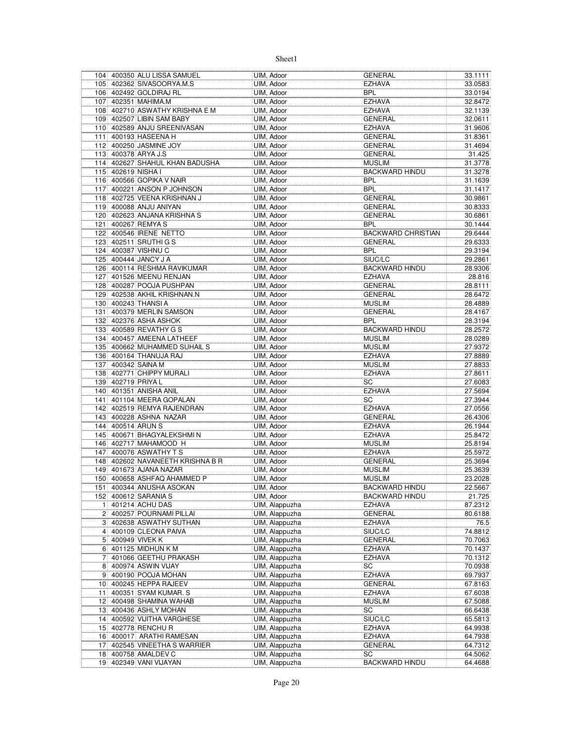|                |                    | 104 400350 ALU LISSA SAMUEL      | UIM, Adoor     | GENERAL               | 33.1111 |
|----------------|--------------------|----------------------------------|----------------|-----------------------|---------|
|                |                    | 105 402362 SIVASOORYA.M.S        | UIM, Adoor     | EZHAVA                | 33.0583 |
|                |                    | 106 402492 GOLDIRAJ RL           | UIM, Adoor     | <b>BPL</b>            | 33.0194 |
|                |                    | 107 402351 MAHIMA.M              | UIM, Adoor     | EZHAVA                | 32.8472 |
|                |                    | 108 402710 ASWATHY KRISHNA E M   | UIM, Adoor     | EZHAVA                | 32.1139 |
|                |                    | 109 402507 LIBIN SAM BABY        | UIM, Adoor     | <b>GENERAL</b>        | 32.0611 |
|                |                    | 110 402589 ANJU SREENIVASAN      | UIM, Adoor     | <b>EZHAVA</b>         | 31.9606 |
|                |                    | 111 400193 HASEENA H             | UIM, Adoor     | <b>GENERAL</b>        | 31.8361 |
|                |                    | 112 400250 JASMINE JOY           | UIM, Adoor     | <b>GENERAL</b>        | 31.4694 |
|                |                    | 113 400378 ARYA J.S              | UIM, Adoor     | <b>GENERAL</b>        | 31.425  |
|                |                    | 114 402627 SHAHUL KHAN BADUSHA   | UIM, Adoor     | <b>MUSLIM</b>         | 31.3778 |
|                | 115 402619 NISHA I |                                  | UIM, Adoor     | <b>BACKWARD HINDU</b> | 31.3278 |
|                |                    | 116 400566 GOPIKA V NAIR         |                |                       |         |
|                |                    |                                  | UIM, Adoor     | BPL                   | 31.1639 |
|                |                    | 117 400221 ANSON P JOHNSON       | UIM. Adoor     | <b>BPL</b>            | 31.1417 |
|                |                    | 118 402725 VEENA KRISHNAN J      | UIM, Adoor     | <b>GENERAL</b>        | 30.9861 |
|                |                    | 119 400088 ANJU ANIYAN           | UIM, Adoor     | <b>GENERAL</b>        | 30.8333 |
|                |                    | 120 402623 ANJANA KRISHNA S      | UIM, Adoor     | <b>GENERAL</b>        | 30.6861 |
|                |                    | 121 400267 REMYA S               | UIM, Adoor     | BPL                   | 30.1444 |
|                |                    | 122 400546 IRENE NETTO           | UIM, Adoor     | BACKWARD CHRISTIAN    | 29.6444 |
|                |                    | 123 402511 SRUTHI G S            | UIM, Adoor     | <b>GENERAL</b>        | 29.6333 |
|                |                    | 124 400387 VISHNU C              | UIM, Adoor     | BPL                   | 29.3194 |
|                |                    | 125 400444 JANCY J A             | UIM, Adoor     | SIUC/LC               | 29.2861 |
|                |                    | 126 400114 RESHMA RAVIKUMAR      | UIM, Adoor     | <b>BACKWARD HINDU</b> | 28.9306 |
|                |                    | 127 401526 MEENU RENJAN          | UIM, Adoor     | <b>EZHAVA</b>         | 28.816  |
|                |                    | 128 400287 POOJA PUSHPAN         | UIM, Adoor     | GENERAL               | 28.8111 |
|                |                    | 129 402538 AKHIL KRISHNAN.N      | UIM, Adoor     | <b>GENERAL</b>        | 28.6472 |
|                |                    | 130 400243 THANSI A              | UIM, Adoor     | <b>MUSLIM</b>         | 28.4889 |
|                |                    | 131 400379 MERLIN SAMSON         | UIM, Adoor     | GENERAL               | 28.4167 |
|                |                    | 132 402376 ASHA ASHOK            | UIM, Adoor     | <b>BPL</b>            | 28.3194 |
|                |                    | 133 400589 REVATHY G S           | UIM, Adoor     | BACKWARD HINDU        | 28.2572 |
|                |                    | 134 400457 AMEENA LATHEEF        | UIM. Adoor     | <b>MUSLIM</b>         | 28.0289 |
|                |                    | 135 400662 MUHAMMED SUHAIL S     | UIM, Adoor     | <b>MUSLIM</b>         | 27.9372 |
|                |                    | 136 400164 THANUJA RAJ           | UIM, Adoor     | <b>EZHAVA</b>         | 27.8889 |
|                |                    | 137 400342 SAINA M               | UIM, Adoor     | <b>MUSLIM</b>         | 27.8833 |
|                |                    | 138 402771 CHIPPY MURALI         | UIM, Adoor     | <b>EZHAVA</b>         | 27.8611 |
|                | 139 402719 PRIYA L |                                  | UIM, Adoor     | SC                    | 27.6083 |
|                |                    | 140 401351 ANISHA ANIL           | UIM, Adoor     | <b>EZHAVA</b>         | 27.5694 |
|                |                    | 141 401104 MEERA GOPALAN         | UIM, Adoor     | SC                    | 27.3944 |
|                |                    | 142 402519 REMYA RAJENDRAN       | UIM, Adoor     | <b>EZHAVA</b>         | 27.0556 |
|                |                    | 143 400228 ASHNA NAZAR           | UIM, Adoor     | <b>GENERAL</b>        | 26.4306 |
|                |                    | 144 400514 ARUN S                | UIM, Adoor     | <b>EZHAVA</b>         | 26.1944 |
|                |                    | 145 400671 BHAGYALEKSHMIN        | UIM, Adoor     | <b>EZHAVA</b>         | 25.8472 |
|                |                    | 146 402717 MAHAMOOD H            | UIM, Adoor     | <b>MUSLIM</b>         | 25.8194 |
|                |                    | 147 400076 ASWATHY TS            | UIM, Adoor     |                       | 25.5972 |
|                |                    |                                  |                | EZHAVA                |         |
|                |                    | 148 402602 NAVANEETH KRISHNA B R | UIM, Adoor     | <b>GENERAL</b>        | 25.3694 |
|                |                    | 149 401673 AJANA NAZAR           | UIM, Adoor     | <b>MUSLIM</b>         | 25.3639 |
|                |                    | 150 400658 ASHFAQ AHAMMED P      | UIM, Adoor     | <b>MUSLIM</b>         | 23.2028 |
|                |                    | 151 400344 ANUSHA ASOKAN         | UIM, Adoor     | BACKWARD HINDU        | 22.5667 |
|                |                    | 152 400612 SARANIA S             | UIM, Adoor     | BACKWARD HINDU        | 21.725  |
| 11             |                    | 401214 ACHU DAS                  | UIM, Alappuzha | <b>EZHAVA</b>         | 87.2312 |
|                |                    | 2 400257 POURNAMI PILLAI         | UIM, Alappuzha | <b>GENERAL</b>        | 80.6188 |
|                |                    | 3 402638 ASWATHY SUTHAN          | UIM, Alappuzha | <b>EZHAVA</b>         | 76.5    |
|                |                    | 4 400109 CLEONA PAIVA            | UIM, Alappuzha | SIUC/LC               | 74.8812 |
| 5 <sup>1</sup> |                    | 400949 VIVEK K                   | UIM, Alappuzha | <b>GENERAL</b>        | 70.7063 |
|                |                    | 6 401125 MIDHUN K M              | UIM, Alappuzha | EZHAVA                | 70.1437 |
| 7              |                    | 401066 GEETHU PRAKASH            | UIM, Alappuzha | <b>EZHAVA</b>         | 70.1312 |
| 8              |                    | 400974 ASWIN VIJAY               | UIM, Alappuzha | SC                    | 70.0938 |
| 9              |                    | 400190 POOJA MOHAN               | UIM, Alappuzha | <b>EZHAVA</b>         | 69.7937 |
|                |                    | 10 400245 HEPPA RAJEEV           | UIM, Alappuzha | <b>GENERAL</b>        | 67.8163 |
|                |                    | 11 400351 SYAM KUMAR. S          | UIM, Alappuzha | <b>EZHAVA</b>         | 67.6038 |
| 12             |                    | 400498 SHAMINA WAHAB             | UIM, Alappuzha | <b>MUSLIM</b>         | 67.5088 |
|                |                    | 13 400436 ASHLY MOHAN            | UIM, Alappuzha | SC                    | 66.6438 |
|                |                    | 14 400592 VIJITHA VARGHESE       | UIM, Alappuzha | SIUC/LC               | 65.5813 |
|                |                    | 15 402778 RENCHU R               | UIM, Alappuzha | EZHAVA                | 64.9938 |
|                |                    | 16 400017 ARATHI RAMESAN         | UIM, Alappuzha | <b>EZHAVA</b>         | 64.7938 |
| 17             |                    | 402545 VINEETHA S WARRIER        | UIM, Alappuzha | <b>GENERAL</b>        | 64.7312 |
|                |                    | 18 400758 AMALDEV C              | UIM, Alappuzha | SC                    | 64.5062 |
|                |                    | 19 402349 VANI VIJAYAN           | UIM, Alappuzha | <b>BACKWARD HINDU</b> | 64.4688 |
|                |                    |                                  |                |                       |         |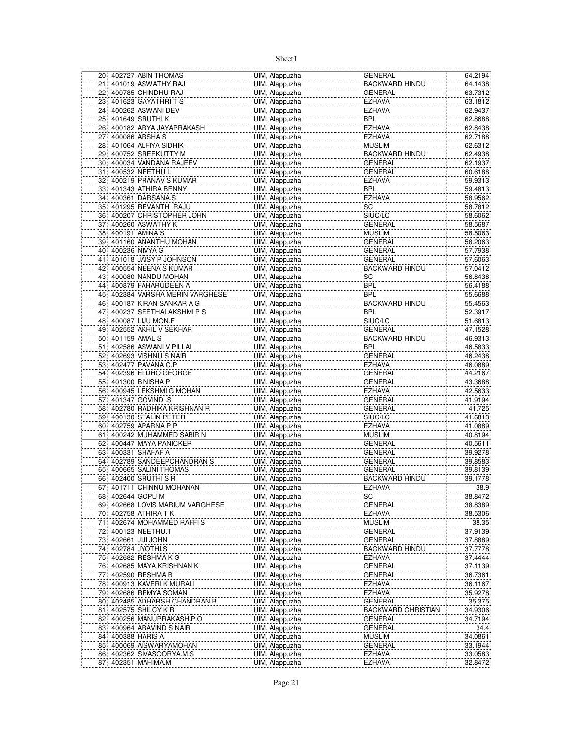|          | 20 402727 ABIN THOMAS                               | UIM, Alappuzha | <b>GENERAL</b>            | 64.2194            |
|----------|-----------------------------------------------------|----------------|---------------------------|--------------------|
| 21       | 401019 ASWATHY RAJ                                  | UIM, Alappuzha | <b>BACKWARD HINDU</b>     | 64.1438            |
| 22       | 400785 CHINDHU RAJ                                  | UIM, Alappuzha | <b>GENERAL</b>            | 63.7312            |
| 23       | 401623 GAYATHRITS                                   | UIM, Alappuzha | <b>EZHAVA</b>             | 63.1812            |
| 24       | 400262 ASWANI DEV                                   | UIM, Alappuzha | <b>EZHAVA</b>             | 62.9437            |
| 25       | 401649 SRUTHIK                                      | UIM, Alappuzha | <b>BPL</b>                | 62.8688            |
| 26       | 400182 ARYA JAYAPRAKASH                             | UIM, Alappuzha | <b>EZHAVA</b>             | 62.8438            |
| 27       | 400086 ARSHAS                                       | UIM, Alappuzha | <b>EZHAVA</b>             | 62.7188            |
| 28       | 401064 ALFIYA SIDHIK                                | UIM, Alappuzha | <b>MUSLIM</b>             | 62.6312            |
| 29       | 400752 SREEKUTTY.M                                  | UIM, Alappuzha | <b>BACKWARD HINDU</b>     | 62.4938            |
| 30       | 400034 VANDANA RAJEEV                               | UIM, Alappuzha | <b>GENERAL</b>            | 62.1937            |
| 31       | 400532 NEETHU L                                     | UIM, Alappuzha | <b>GENERAL</b>            |                    |
|          | 400219 PRANAV S KUMAR                               | UIM, Alappuzha | <b>EZHAVA</b>             | 60.6188<br>59.9313 |
| 32       |                                                     |                |                           |                    |
| 33       | 401343 ATHIRA BENNY                                 | UIM, Alappuzha | <b>BPL</b>                | 59.4813            |
| 34       | 400361 DARSANA.S                                    | UIM, Alappuzha | <b>EZHAVA</b>             | 58.9562            |
| 35       | 401295 REVANTH RAJU                                 | UIM, Alappuzha | SC                        | 58.7812            |
| 36       | 400207 CHRISTOPHER JOHN                             | UIM, Alappuzha | SIUC/LC                   | 58.6062            |
| 37       | 400260 ASWATHY K                                    | UIM, Alappuzha | <b>GENERAL</b>            | 58.5687            |
| 38       | 400191 AMINA S                                      | UIM, Alappuzha | <b>MUSLIM</b>             | 58.5063            |
| 39       | 401160 ANANTHU MOHAN                                | UIM, Alappuzha | <b>GENERAL</b>            | 58.2063            |
| 40       | 400236 NIVYA G                                      | UIM, Alappuzha | <b>GENERAL</b>            | 57.7938            |
| 41       | 401018 JAISY P JOHNSON                              | UIM, Alappuzha | <b>GENERAL</b>            | 57.6063            |
| 42       | 400554 NEENA S KUMAR                                | UIM, Alappuzha | <b>BACKWARD HINDU</b>     | 57.0412            |
| 43       | 400080 NANDU MOHAN                                  | UIM, Alappuzha | SC                        | 56.8438            |
| 44       | 400879 FAHARUDEEN A                                 | UIM, Alappuzha | <b>BPL</b>                | 56.4188            |
| 45       | 402384 VARSHA MERIN VARGHESE                        | UIM, Alappuzha | BPL                       | 55.6688            |
| 46       | 400187 KIRAN SANKAR A G                             | UIM, Alappuzha | <b>BACKWARD HINDU</b>     | 55.4563            |
| 47       | 400237 SEETHALAKSHMIPS                              | UIM, Alappuzha | <b>BPL</b>                | 52.3917            |
| 48       | 400087 LIJU MON.F                                   | UIM, Alappuzha | SIUC/LC                   | 51.6813            |
| 49       | 402552 AKHIL V SEKHAR                               | UIM, Alappuzha | <b>GENERAL</b>            | 47.1528            |
| 50       | 401159 AMAL S                                       | UIM, Alappuzha | <b>BACKWARD HINDU</b>     | 46.9313            |
| 51       | 402586 ASWANI V PILLAI                              | UIM, Alappuzha | <b>BPL</b>                | 46.5833            |
| 52       | 402693 VISHNU S NAIR                                | UIM, Alappuzha | <b>GENERAL</b>            | 46.2438            |
| 53       | 402477 PAVANA C.P                                   | UIM, Alappuzha | <b>EZHAVA</b>             | 46.0889            |
| 54       | 402396 ELDHO GEORGE                                 | UIM, Alappuzha | <b>GENERAL</b>            | 44.2167            |
| 55       | 401300 BINISHA P                                    | UIM, Alappuzha | <b>GENERAL</b>            | 43.3688            |
| 56       | 400945 LEKSHMIG MOHAN                               | UIM, Alappuzha | <b>EZHAVA</b>             | 42.5633            |
| 57       | 401347 GOVIND .S                                    | UIM, Alappuzha | <b>GENERAL</b>            | 41.9194            |
| 58       | 402780 RADHIKA KRISHNAN R                           | UIM, Alappuzha | <b>GENERAL</b>            | 41.725             |
| 59       | 400130 STALIN PETER                                 | UIM, Alappuzha | SIUC/LC                   | 41.6813            |
| 60       | 402759 APARNA P P                                   | UIM, Alappuzha | <b>EZHAVA</b>             | 41.0889            |
| 61       | 400242 MUHAMMED SABIR N                             | UIM, Alappuzha | <b>MUSLIM</b>             | 40.8194            |
| 62       | 400447 MAYA PANICKER                                | UIM, Alappuzha | <b>GENERAL</b>            | 40.5611            |
| 63       | 400331 SHAFAF A                                     | UIM, Alappuzha | <b>GENERAL</b>            | 39.9278            |
|          | 402789 SANDEEPCHANDRAN S                            | UIM, Alappuzha | <b>GENERAL</b>            |                    |
| 64<br>65 | 400665 SALINI THOMAS                                | UIM, Alappuzha | <b>GENERAL</b>            | 39.8583<br>39.8139 |
|          |                                                     |                |                           |                    |
| 66       | 402400 SRUTHI S R                                   | UIM, Alappuzha | <b>BACKWARD HINDU</b>     | 39.1778            |
| 67       | 401711 CHINNU MOHANAN                               | UIM, Alappuzha | <b>EZHAVA</b>             | 38.9               |
|          | 68 402644 GOPU M<br>69 402668 LOVIS MARIUM VARGHESE | UIM, Alappuzha | SC                        | 38.8472            |
|          |                                                     | UIM, Alappuzha | <b>GENERAL</b>            | 38.8389            |
|          | 70 402758 ATHIRA TK                                 | UIM, Alappuzha | <b>EZHAVA</b>             | 38.5306            |
| 71       | 402674 MOHAMMED RAFFIS                              | UIM, Alappuzha | <b>MUSLIM</b>             | 38.35              |
|          | 72 400123 NEETHU.T                                  | UIM, Alappuzha | GENERAL                   | 37.9139            |
|          | 73 402661 JJJJ JOHN                                 | UIM, Alappuzha | <b>GENERAL</b>            | 37.8889            |
| 74       | 402784 JYOTHI.S                                     | UIM, Alappuzha | <b>BACKWARD HINDU</b>     | 37.7778            |
| 75       | 402682 RESHMA K G                                   | UIM, Alappuzha | <b>EZHAVA</b>             | 37.4444            |
| 76       | 402685 MAYA KRISHNAN K                              | UIM, Alappuzha | <b>GENERAL</b>            | 37.1139            |
| 77       | 402590 RESHMA B                                     | UIM, Alappuzha | <b>GENERAL</b>            | 36.7361            |
|          | 78 400913 KAVERIK MURALI                            | UIM, Alappuzha | <b>EZHAVA</b>             | 36.1167            |
|          | 79 402686 REMYA SOMAN                               | UIM, Alappuzha | <b>EZHAVA</b>             | 35.9278            |
|          | 80 402485 ADHARSH CHANDRAN.B                        | UIM, Alappuzha | <b>GENERAL</b>            | 35.375             |
| 81       | 402575 SHILCY K R                                   | UIM, Alappuzha | <b>BACKWARD CHRISTIAN</b> | 34.9306            |
| 82       | 400256 MANUPRAKASH.P.O                              | UIM, Alappuzha | <b>GENERAL</b>            | 34.7194            |
| 83       | 400964 ARAVIND S NAIR                               | UIM, Alappuzha | GENERAL                   | 34.4               |
| 84       | 400388 HARIS A                                      | UIM, Alappuzha | <b>MUSLIM</b>             | 34.0861            |
| 85       | 400069 AISWARYAMOHAN                                | UIM, Alappuzha | GENERAL                   | 33.1944            |
|          | 86 402362 SIVASOORYA.M.S                            | UIM, Alappuzha | <b>EZHAVA</b>             | 33.0583            |
| 87       | 402351 MAHIMA.M                                     | UIM, Alappuzha | <b>EZHAVA</b>             | 32.8472            |
|          |                                                     |                |                           |                    |